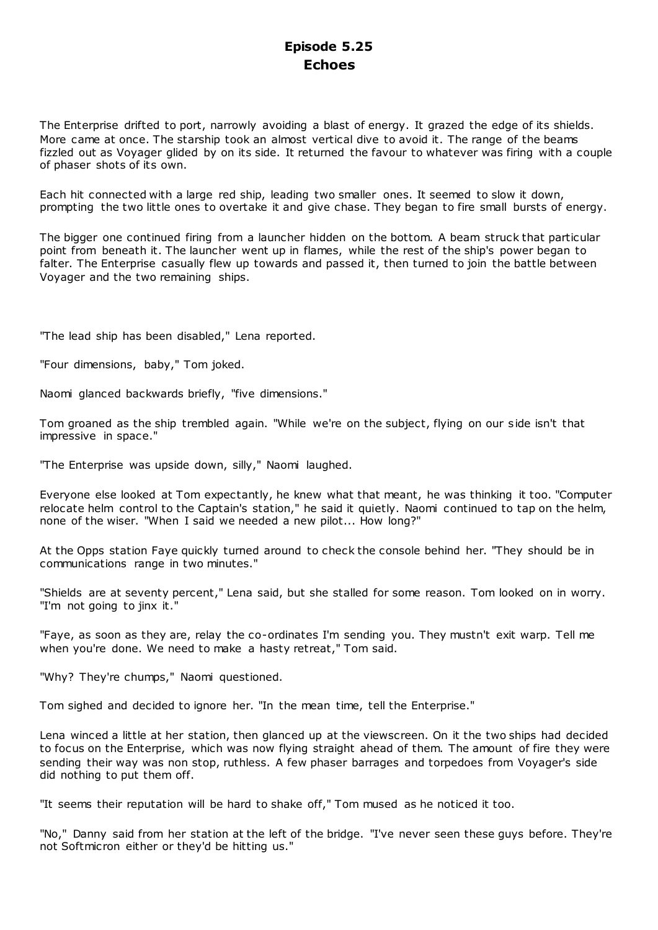# **Episode 5.25 Echoes**

The Enterprise drifted to port, narrowly avoiding a blast of energy. It grazed the edge of its shields. More came at once. The starship took an almost vertical dive to avoid it. The range of the beams fizzled out as Voyager glided by on its side. It returned the favour to whatever was firing with a couple of phaser shots of its own.

Each hit connected with a large red ship, leading two smaller ones. It seemed to slow it down, prompting the two little ones to overtake it and give chase. They began to fire small bursts of energy.

The bigger one continued firing from a launcher hidden on the bottom. A beam struck that particular point from beneath it. The launcher went up in flames, while the rest of the ship's power began to falter. The Enterprise casually flew up towards and passed it, then turned to join the battle between Voyager and the two remaining ships.

"The lead ship has been disabled," Lena reported.

"Four dimensions, baby," Tom joked.

Naomi glanced backwards briefly, "five dimensions."

Tom groaned as the ship trembled again. "While we're on the subject, flying on our side isn't that impressive in space."

"The Enterprise was upside down, silly," Naomi laughed.

Everyone else looked at Tom expectantly, he knew what that meant, he was thinking it too. "Computer relocate helm control to the Captain's station," he said it quietly. Naomi continued to tap on the helm, none of the wiser. "When I said we needed a new pilot... How long?"

At the Opps station Faye quickly turned around to check the console behind her. "They should be in communications range in two minutes."

"Shields are at seventy percent," Lena said, but she stalled for some reason. Tom looked on in worry. "I'm not going to jinx it."

"Faye, as soon as they are, relay the co-ordinates I'm sending you. They mustn't exit warp. Tell me when you're done. We need to make a hasty retreat," Tom said.

"Why? They're chumps," Naomi questioned.

Tom sighed and decided to ignore her. "In the mean time, tell the Enterprise."

Lena winced a little at her station, then glanced up at the viewscreen. On it the two ships had decided to focus on the Enterprise, which was now flying straight ahead of them. The amount of fire they were sending their way was non stop, ruthless. A few phaser barrages and torpedoes from Voyager's side did nothing to put them off.

"It seems their reputation will be hard to shake off," Tom mused as he noticed it too.

"No," Danny said from her station at the left of the bridge. "I've never seen these guys before. They're not Softmicron either or they'd be hitting us."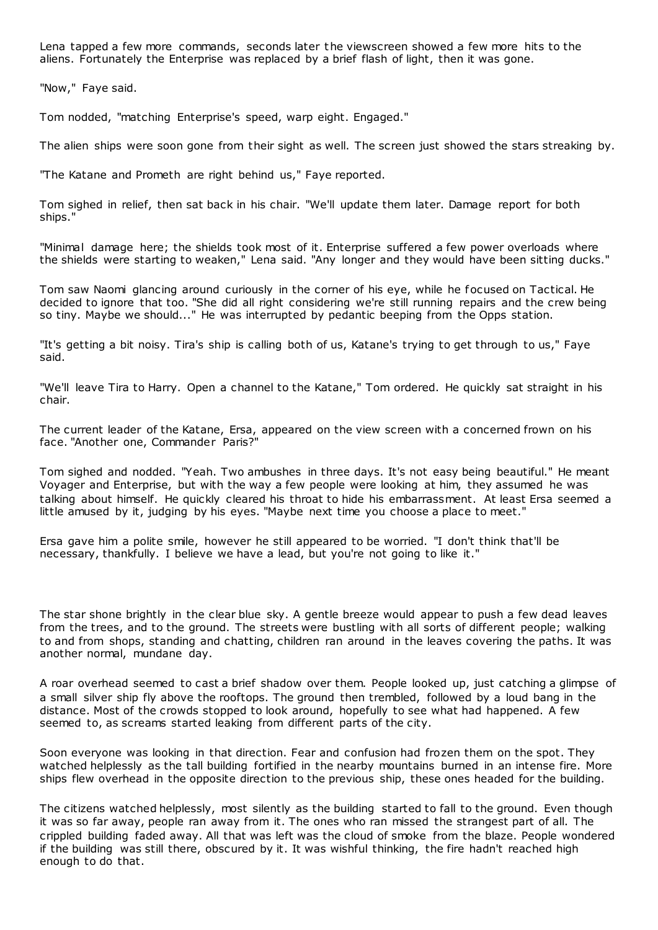Lena tapped a few more commands, seconds later the viewscreen showed a few more hits to the aliens. Fortunately the Enterprise was replaced by a brief flash of light, then it was gone.

"Now," Faye said.

Tom nodded, "matching Enterprise's speed, warp eight. Engaged."

The alien ships were soon gone from their sight as well. The screen just showed the stars streaking by.

"The Katane and Prometh are right behind us," Faye reported.

Tom sighed in relief, then sat back in his chair. "We'll update them later. Damage report for both ships."

"Minimal damage here; the shields took most of it. Enterprise suffered a few power overloads where the shields were starting to weaken," Lena said. "Any longer and they would have been sitting ducks."

Tom saw Naomi glancing around curiously in the corner of his eye, while he focused on Tactical. He decided to ignore that too. "She did all right considering we're still running repairs and the crew being so tiny. Maybe we should..." He was interrupted by pedantic beeping from the Opps station.

"It's getting a bit noisy. Tira's ship is calling both of us, Katane's trying to get through to us," Faye said.

"We'll leave Tira to Harry. Open a channel to the Katane," Tom ordered. He quickly sat straight in his chair.

The current leader of the Katane, Ersa, appeared on the view screen with a concerned frown on his face. "Another one, Commander Paris?"

Tom sighed and nodded. "Yeah. Two ambushes in three days. It's not easy being beautiful." He meant Voyager and Enterprise, but with the way a few people were looking at him, they assumed he was talking about himself. He quickly cleared his throat to hide his embarrassment. At least Ersa seemed a little amused by it, judging by his eyes. "Maybe next time you choose a place to meet."

Ersa gave him a polite smile, however he still appeared to be worried. "I don't think that'll be necessary, thankfully. I believe we have a lead, but you're not going to like it."

The star shone brightly in the clear blue sky. A gentle breeze would appear to push a few dead leaves from the trees, and to the ground. The streets were bustling with all sorts of different people; walking to and from shops, standing and chatting, children ran around in the leaves covering the paths. It was another normal, mundane day.

A roar overhead seemed to cast a brief shadow over them. People looked up, just catching a glimpse of a small silver ship fly above the rooftops. The ground then trembled, followed by a loud bang in the distance. Most of the crowds stopped to look around, hopefully to see what had happened. A few seemed to, as screams started leaking from different parts of the city.

Soon everyone was looking in that direction. Fear and confusion had frozen them on the spot. They watched helplessly as the tall building fortified in the nearby mountains burned in an intense fire. More ships flew overhead in the opposite direction to the previous ship, these ones headed for the building.

The citizens watched helplessly, most silently as the building started to fall to the ground. Even though it was so far away, people ran away from it. The ones who ran missed the strangest part of all. The crippled building faded away. All that was left was the cloud of smoke from the blaze. People wondered if the building was still there, obscured by it. It was wishful thinking, the fire hadn't reached high enough to do that.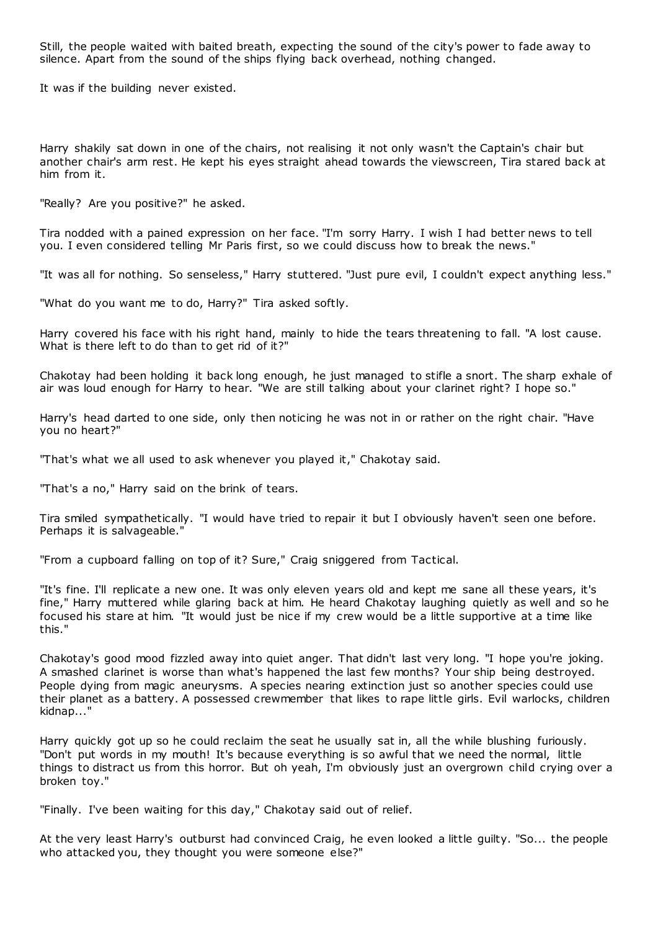Still, the people waited with baited breath, expecting the sound of the city's power to fade away to silence. Apart from the sound of the ships flying back overhead, nothing changed.

It was if the building never existed.

Harry shakily sat down in one of the chairs, not realising it not only wasn't the Captain's chair but another chair's arm rest. He kept his eyes straight ahead towards the viewscreen, Tira stared back at him from it.

"Really? Are you positive?" he asked.

Tira nodded with a pained expression on her face. "I'm sorry Harry. I wish I had better news to tell you. I even considered telling Mr Paris first, so we could discuss how to break the news."

"It was all for nothing. So senseless," Harry stuttered. "Just pure evil, I couldn't expect anything less."

"What do you want me to do, Harry?" Tira asked softly.

Harry covered his face with his right hand, mainly to hide the tears threatening to fall. "A lost cause. What is there left to do than to get rid of it?"

Chakotay had been holding it back long enough, he just managed to stifle a snort. The sharp exhale of air was loud enough for Harry to hear. "We are still talking about your clarinet right? I hope so."

Harry's head darted to one side, only then noticing he was not in or rather on the right chair. "Have you no heart?"

"That's what we all used to ask whenever you played it," Chakotay said.

"That's a no," Harry said on the brink of tears.

Tira smiled sympathetically. "I would have tried to repair it but I obviously haven't seen one before. Perhaps it is salvageable."

"From a cupboard falling on top of it? Sure," Craig sniggered from Tactical.

"It's fine. I'll replicate a new one. It was only eleven years old and kept me sane all these years, it's fine," Harry muttered while glaring back at him. He heard Chakotay laughing quietly as well and so he focused his stare at him. "It would just be nice if my crew would be a little supportive at a time like this."

Chakotay's good mood fizzled away into quiet anger. That didn't last very long. "I hope you're joking. A smashed clarinet is worse than what's happened the last few months? Your ship being destroyed. People dying from magic aneurysms. A species nearing extinction just so another species could use their planet as a battery. A possessed crewmember that likes to rape little girls. Evil warlocks, children kidnap..."

Harry quickly got up so he could reclaim the seat he usually sat in, all the while blushing furiously. "Don't put words in my mouth! It's because everything is so awful that we need the normal, little things to distract us from this horror. But oh yeah, I'm obviously just an overgrown child crying over a broken toy."

"Finally. I've been waiting for this day," Chakotay said out of relief.

At the very least Harry's outburst had convinced Craig, he even looked a little guilty. "So... the people who attacked you, they thought you were someone else?"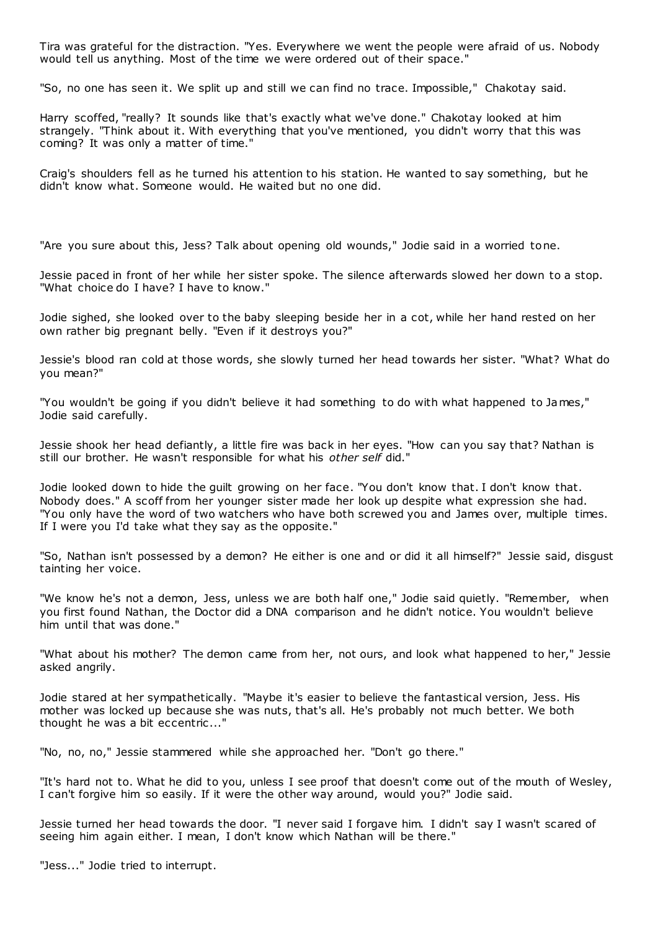Tira was grateful for the distraction. "Yes. Everywhere we went the people were afraid of us. Nobody would tell us anything. Most of the time we were ordered out of their space."

"So, no one has seen it. We split up and still we can find no trace. Impossible," Chakotay said.

Harry scoffed, "really? It sounds like that's exactly what we've done." Chakotay looked at him strangely. "Think about it. With everything that you've mentioned, you didn't worry that this was coming? It was only a matter of time."

Craig's shoulders fell as he turned his attention to his station. He wanted to say something, but he didn't know what. Someone would. He waited but no one did.

"Are you sure about this, Jess? Talk about opening old wounds," Jodie said in a worried tone.

Jessie paced in front of her while her sister spoke. The silence afterwards slowed her down to a stop. "What choice do I have? I have to know."

Jodie sighed, she looked over to the baby sleeping beside her in a cot, while her hand rested on her own rather big pregnant belly. "Even if it destroys you?"

Jessie's blood ran cold at those words, she slowly turned her head towards her sister. "What? What do you mean?"

"You wouldn't be going if you didn't believe it had something to do with what happened to James," Jodie said carefully.

Jessie shook her head defiantly, a little fire was back in her eyes. "How can you say that? Nathan is still our brother. He wasn't responsible for what his *other self* did."

Jodie looked down to hide the guilt growing on her face. "You don't know that. I don't know that. Nobody does." A scoff from her younger sister made her look up despite what expression she had. "You only have the word of two watchers who have both screwed you and James over, multiple times. If I were you I'd take what they say as the opposite."

"So, Nathan isn't possessed by a demon? He either is one and or did it all himself?" Jessie said, disgust tainting her voice.

"We know he's not a demon, Jess, unless we are both half one," Jodie said quietly. "Remember, when you first found Nathan, the Doctor did a DNA comparison and he didn't notice. You wouldn't believe him until that was done."

"What about his mother? The demon came from her, not ours, and look what happened to her," Jessie asked angrily.

Jodie stared at her sympathetically. "Maybe it's easier to believe the fantastical version, Jess. His mother was locked up because she was nuts, that's all. He's probably not much better. We both thought he was a bit eccentric ..."

"No, no, no," Jessie stammered while she approached her. "Don't go there."

"It's hard not to. What he did to you, unless I see proof that doesn't come out of the mouth of Wesley, I can't forgive him so easily. If it were the other way around, would you?" Jodie said.

Jessie turned her head towards the door. "I never said I forgave him. I didn't say I wasn't scared of seeing him again either. I mean, I don't know which Nathan will be there."

"Jess..." Jodie tried to interrupt.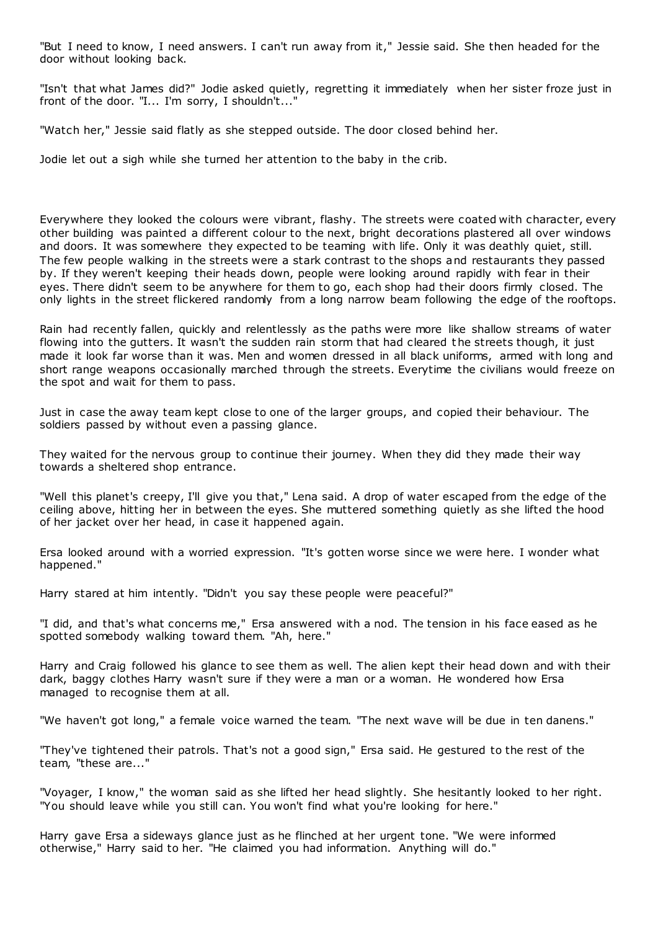"But I need to know, I need answers. I can't run away from it," Jessie said. She then headed for the door without looking back.

"Isn't that what James did?" Jodie asked quietly, regretting it immediately when her sister froze just in front of the door. "I... I'm sorry, I shouldn't..."

"Watch her," Jessie said flatly as she stepped outside. The door closed behind her.

Jodie let out a sigh while she turned her attention to the baby in the crib.

Everywhere they looked the colours were vibrant, flashy. The streets were coated with character, every other building was painted a different colour to the next, bright decorations plastered all over windows and doors. It was somewhere they expected to be teaming with life. Only it was deathly quiet, still. The few people walking in the streets were a stark contrast to the shops and restaurants they passed by. If they weren't keeping their heads down, people were looking around rapidly with fear in their eyes. There didn't seem to be anywhere for them to go, each shop had their doors firmly closed. The only lights in the street flickered randomly from a long narrow beam following the edge of the rooftops.

Rain had recently fallen, quickly and relentlessly as the paths were more like shallow streams of water flowing into the gutters. It wasn't the sudden rain storm that had cleared t he streets though, it just made it look far worse than it was. Men and women dressed in all black uniforms, armed with long and short range weapons occasionally marched through the streets. Everytime the civilians would freeze on the spot and wait for them to pass.

Just in case the away team kept close to one of the larger groups, and copied their behaviour. The soldiers passed by without even a passing glance.

They waited for the nervous group to continue their journey. When they did they made their way towards a sheltered shop entrance.

"Well this planet's creepy, I'll give you that," Lena said. A drop of water escaped from the edge of the ceiling above, hitting her in between the eyes. She muttered something quietly as she lifted the hood of her jacket over her head, in case it happened again.

Ersa looked around with a worried expression. "It's gotten worse since we were here. I wonder what happened."

Harry stared at him intently. "Didn't you say these people were peaceful?"

"I did, and that's what concerns me," Ersa answered with a nod. The tension in his face eased as he spotted somebody walking toward them. "Ah, here."

Harry and Craig followed his glance to see them as well. The alien kept their head down and with their dark, baggy clothes Harry wasn't sure if they were a man or a woman. He wondered how Ersa managed to recognise them at all.

"We haven't got long," a female voice warned the team. "The next wave will be due in ten danens."

"They've tightened their patrols. That's not a good sign," Ersa said. He gestured to the rest of the team, "these are..."

"Voyager, I know," the woman said as she lifted her head slightly. She hesitantly looked to her right. "You should leave while you still can. You won't find what you're looking for here."

Harry gave Ersa a sideways glance just as he flinched at her urgent tone. "We were informed otherwise," Harry said to her. "He claimed you had information. Anything will do."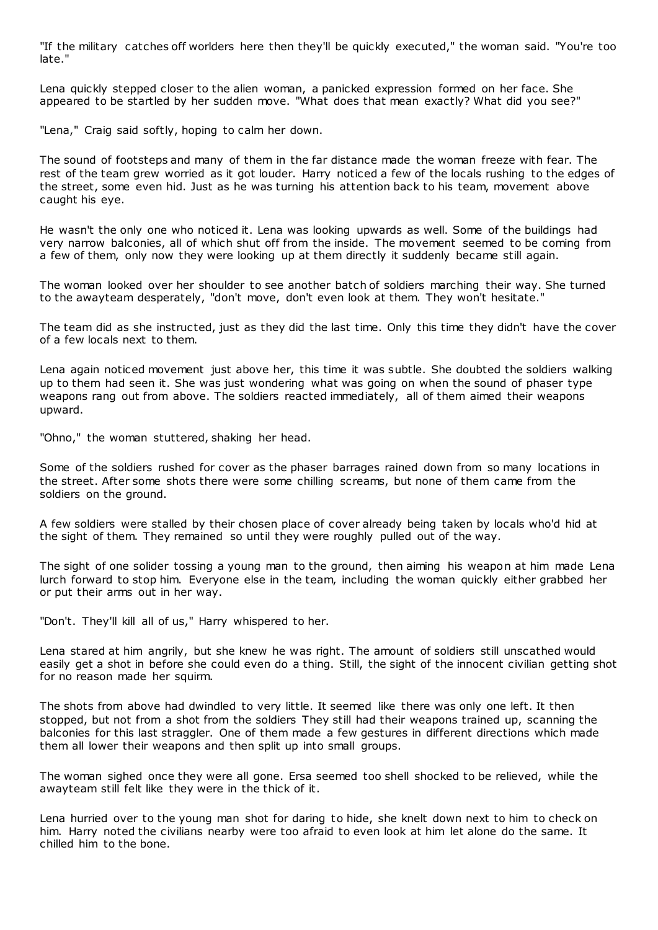"If the military catches off worlders here then they'll be quickly executed," the woman said. "You're too late."

Lena quickly stepped closer to the alien woman, a panicked expression formed on her face. She appeared to be startled by her sudden move. "What does that mean exactly? What did you see?"

"Lena," Craig said softly, hoping to calm her down.

The sound of footsteps and many of them in the far distance made the woman freeze with fear. The rest of the team grew worried as it got louder. Harry noticed a few of the locals rushing to the edges of the street, some even hid. Just as he was turning his attention back to his team, movement above caught his eye.

He wasn't the only one who noticed it. Lena was looking upwards as well. Some of the buildings had very narrow balconies, all of which shut off from the inside. The movement seemed to be coming from a few of them, only now they were looking up at them directly it suddenly became still again.

The woman looked over her shoulder to see another batch of soldiers marching their way. She turned to the awayteam desperately, "don't move, don't even look at them. They won't hesitate."

The team did as she instructed, just as they did the last time. Only this time they didn't have the cover of a few locals next to them.

Lena again noticed movement just above her, this time it was subtle. She doubted the soldiers walking up to them had seen it. She was just wondering what was going on when the sound of phaser type weapons rang out from above. The soldiers reacted immediately, all of them aimed their weapons upward.

"Ohno," the woman stuttered, shaking her head.

Some of the soldiers rushed for cover as the phaser barrages rained down from so many locations in the street. After some shots there were some chilling screams, but none of them came from the soldiers on the ground.

A few soldiers were stalled by their chosen place of cover already being taken by locals who'd hid at the sight of them. They remained so until they were roughly pulled out of the way.

The sight of one solider tossing a young man to the ground, then aiming his weapon at him made Lena lurch forward to stop him. Everyone else in the team, including the woman quickly either grabbed her or put their arms out in her way.

"Don't. They'll kill all of us," Harry whispered to her.

Lena stared at him angrily, but she knew he was right. The amount of soldiers still unscathed would easily get a shot in before she could even do a thing. Still, the sight of the innocent civilian getting shot for no reason made her squirm.

The shots from above had dwindled to very little. It seemed like there was only one left. It then stopped, but not from a shot from the soldiers They still had their weapons trained up, scanning the balconies for this last straggler. One of them made a few gestures in different directions which made them all lower their weapons and then split up into small groups.

The woman sighed once they were all gone. Ersa seemed too shell shocked to be relieved, while the awayteam still felt like they were in the thick of it.

Lena hurried over to the young man shot for daring to hide, she knelt down next to him to check on him. Harry noted the civilians nearby were too afraid to even look at him let alone do the same. It chilled him to the bone.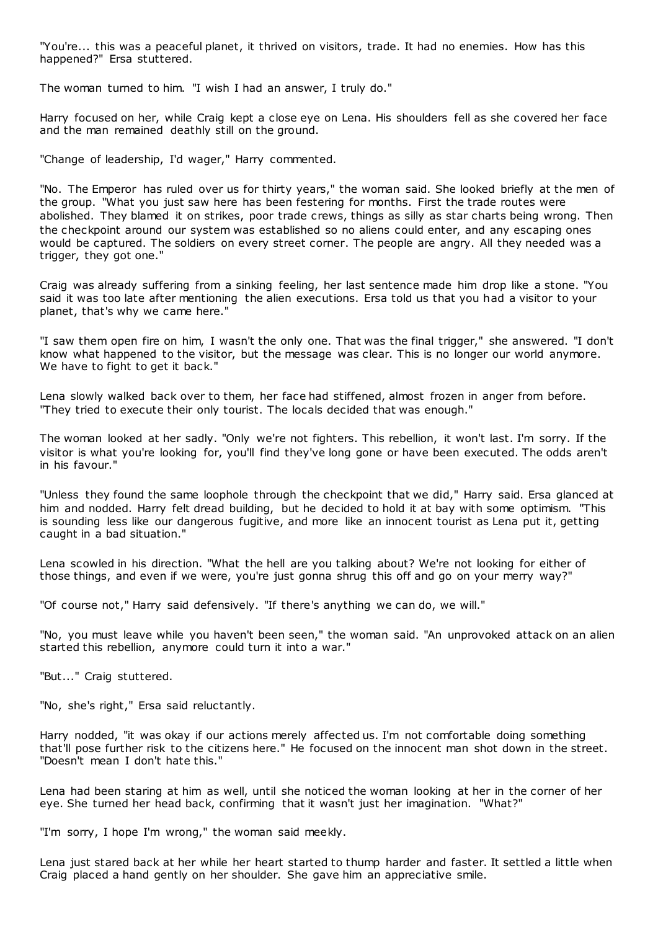"You're... this was a peaceful planet, it thrived on visitors, trade. It had no enemies. How has this happened?" Ersa stuttered.

The woman turned to him. "I wish I had an answer, I truly do."

Harry focused on her, while Craig kept a close eye on Lena. His shoulders fell as she covered her face and the man remained deathly still on the ground.

"Change of leadership, I'd wager," Harry commented.

"No. The Emperor has ruled over us for thirty years," the woman said. She looked briefly at the men of the group. "What you just saw here has been festering for months. First the trade routes were abolished. They blamed it on strikes, poor trade crews, things as silly as star charts being wrong. Then the checkpoint around our system was established so no aliens could enter, and any escaping ones would be captured. The soldiers on every street corner. The people are angry. All they needed was a trigger, they got one."

Craig was already suffering from a sinking feeling, her last sentence made him drop like a stone. "You said it was too late after mentioning the alien executions. Ersa told us that you had a visitor to your planet, that's why we came here."

"I saw them open fire on him, I wasn't the only one. That was the final trigger," she answered. "I don't know what happened to the visitor, but the message was clear. This is no longer our world anymore. We have to fight to get it back."

Lena slowly walked back over to them, her face had stiffened, almost frozen in anger from before. "They tried to execute their only tourist. The locals decided that was enough."

The woman looked at her sadly. "Only we're not fighters. This rebellion, it won't last. I'm sorry. If the visitor is what you're looking for, you'll find they've long gone or have been executed. The odds aren't in his favour."

"Unless they found the same loophole through the checkpoint that we did," Harry said. Ersa glanced at him and nodded. Harry felt dread building, but he decided to hold it at bay with some optimism. "This is sounding less like our dangerous fugitive, and more like an innocent tourist as Lena put it, getting caught in a bad situation."

Lena scowled in his direction. "What the hell are you talking about? We're not looking for either of those things, and even if we were, you're just gonna shrug this off and go on your merry way?"

"Of course not," Harry said defensively. "If there's anything we can do, we will."

"No, you must leave while you haven't been seen," the woman said. "An unprovoked attack on an alien started this rebellion, anymore could turn it into a war."

"But..." Craig stuttered.

"No, she's right," Ersa said reluctantly.

Harry nodded, "it was okay if our actions merely affected us. I'm not comfortable doing something that'll pose further risk to the citizens here." He focused on the innocent man shot down in the street. "Doesn't mean I don't hate this."

Lena had been staring at him as well, until she noticed the woman looking at her in the corner of her eye. She turned her head back, confirming that it wasn't just her imagination. "What?"

"I'm sorry, I hope I'm wrong," the woman said meekly.

Lena just stared back at her while her heart started to thump harder and faster. It settled a little when Craig placed a hand gently on her shoulder. She gave him an appreciative smile.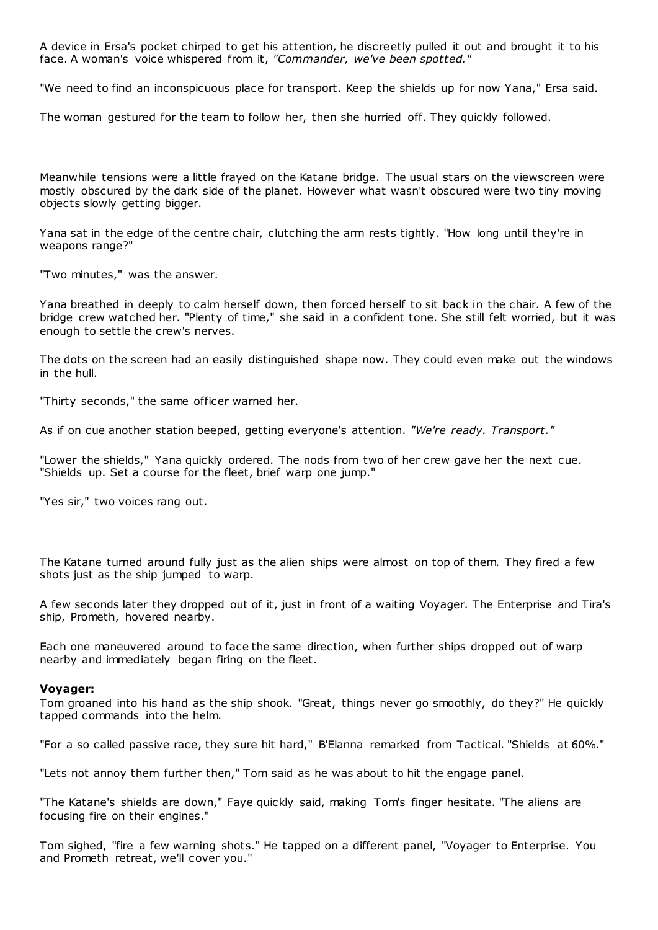A device in Ersa's pocket chirped to get his attention, he discreetly pulled it out and brought it to his face. A woman's voice whispered from it, *"Commander, we've been spotted."*

"We need to find an inconspicuous place for transport. Keep the shields up for now Yana," Ersa said.

The woman gestured for the team to follow her, then she hurried off. They quickly followed.

Meanwhile tensions were a little frayed on the Katane bridge. The usual stars on the viewscreen were mostly obscured by the dark side of the planet. However what wasn't obscured were two tiny moving objects slowly getting bigger.

Yana sat in the edge of the centre chair, clutching the arm rests tightly. "How long until they're in weapons range?"

"Two minutes," was the answer.

Yana breathed in deeply to calm herself down, then forced herself to sit back in the chair. A few of the bridge crew watched her. "Plenty of time," she said in a confident tone. She still felt worried, but it was enough to settle the crew's nerves.

The dots on the screen had an easily distinguished shape now. They could even make out the windows in the hull.

"Thirty seconds," the same officer warned her.

As if on cue another station beeped, getting everyone's attention. *"We're ready. Transport."*

"Lower the shields," Yana quickly ordered. The nods from two of her crew gave her the next cue. "Shields up. Set a course for the fleet, brief warp one jump."

"Yes sir," two voices rang out.

The Katane turned around fully just as the alien ships were almost on top of them. They fired a few shots just as the ship jumped to warp.

A few seconds later they dropped out of it, just in front of a waiting Voyager. The Enterprise and Tira's ship, Prometh, hovered nearby.

Each one maneuvered around to face the same direction, when further ships dropped out of warp nearby and immediately began firing on the fleet.

#### **Voyager:**

Tom groaned into his hand as the ship shook. "Great, things never go smoothly, do they?" He quickly tapped commands into the helm.

"For a so called passive race, they sure hit hard," B'Elanna remarked from Tactical. "Shields at 60%."

"Lets not annoy them further then," Tom said as he was about to hit the engage panel.

"The Katane's shields are down," Faye quickly said, making Tom's finger hesitate. "The aliens are focusing fire on their engines."

Tom sighed, "fire a few warning shots." He tapped on a different panel, "Voyager to Enterprise. You and Prometh retreat, we'll cover you."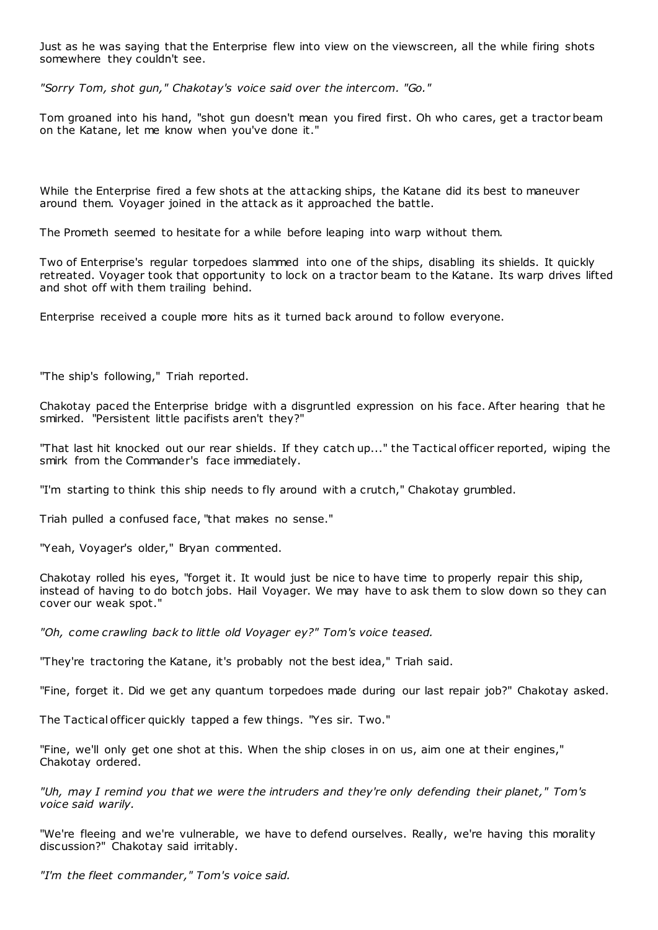Just as he was saying that the Enterprise flew into view on the viewscreen, all the while firing shots somewhere they couldn't see.

*"Sorry Tom, shot gun," Chakotay's voice said over the intercom. "Go."*

Tom groaned into his hand, "shot gun doesn't mean you fired first. Oh who cares, get a tractor beam on the Katane, let me know when you've done it."

While the Enterprise fired a few shots at the attacking ships, the Katane did its best to maneuver around them. Voyager joined in the attack as it approached the battle.

The Prometh seemed to hesitate for a while before leaping into warp without them.

Two of Enterprise's regular torpedoes slammed into one of the ships, disabling its shields. It quickly retreated. Voyager took that opportunity to lock on a tractor beam to the Katane. Its warp drives lifted and shot off with them trailing behind.

Enterprise received a couple more hits as it turned back around to follow everyone.

"The ship's following," Triah reported.

Chakotay paced the Enterprise bridge with a disgruntled expression on his face. After hearing that he smirked. "Persistent little pacifists aren't they?"

"That last hit knocked out our rear shields. If they catch up..." the Tactical officer reported, wiping the smirk from the Commander's face immediately.

"I'm starting to think this ship needs to fly around with a crutch," Chakotay grumbled.

Triah pulled a confused face, "that makes no sense."

"Yeah, Voyager's older," Bryan commented.

Chakotay rolled his eyes, "forget it. It would just be nice to have time to properly repair this ship, instead of having to do botch jobs. Hail Voyager. We may have to ask them to slow down so they can cover our weak spot."

*"Oh, come crawling back to little old Voyager ey?" Tom's voice teased.*

"They're tractoring the Katane, it's probably not the best idea," Triah said.

"Fine, forget it. Did we get any quantum torpedoes made during our last repair job?" Chakotay asked.

The Tactical officer quickly tapped a few things. "Yes sir. Two."

"Fine, we'll only get one shot at this. When the ship closes in on us, aim one at their engines," Chakotay ordered.

*"Uh, may I remind you that we were the intruders and they're only defending their planet," Tom's voice said warily.*

"We're fleeing and we're vulnerable, we have to defend ourselves. Really, we're having this morality discussion?" Chakotay said irritably.

*"I'm the fleet commander," Tom's voice said.*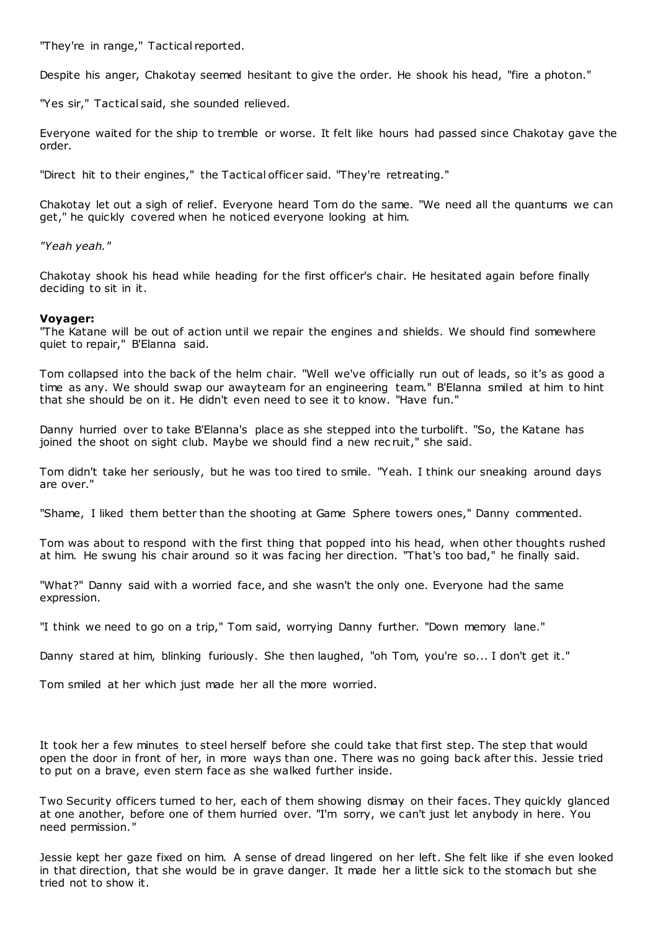"They're in range," Tactical reported.

Despite his anger, Chakotay seemed hesitant to give the order. He shook his head, "fire a photon."

"Yes sir," Tactical said, she sounded relieved.

Everyone waited for the ship to tremble or worse. It felt like hours had passed since Chakotay gave the order.

"Direct hit to their engines," the Tactical officer said. "They're retreating."

Chakotay let out a sigh of relief. Everyone heard Tom do the same. "We need all the quantums we can get," he quickly covered when he noticed everyone looking at him.

*"Yeah yeah."*

Chakotay shook his head while heading for the first officer's chair. He hesitated again before finally deciding to sit in it.

## **Voyager:**

"The Katane will be out of action until we repair the engines and shields. We should find somewhere quiet to repair," B'Elanna said.

Tom collapsed into the back of the helm chair. "Well we've officially run out of leads, so it's as good a time as any. We should swap our awayteam for an engineering team." B'Elanna smiled at him to hint that she should be on it. He didn't even need to see it to know. "Have fun."

Danny hurried over to take B'Elanna's place as she stepped into the turbolift. "So, the Katane has joined the shoot on sight club. Maybe we should find a new rec ruit," she said.

Tom didn't take her seriously, but he was too tired to smile. "Yeah. I think our sneaking around days are over."

"Shame, I liked them better than the shooting at Game Sphere towers ones," Danny commented.

Tom was about to respond with the first thing that popped into his head, when other thoughts rushed at him. He swung his chair around so it was facing her direction. "That's too bad," he finally said.

"What?" Danny said with a worried face, and she wasn't the only one. Everyone had the same expression.

"I think we need to go on a trip," Tom said, worrying Danny further. "Down memory lane."

Danny stared at him, blinking furiously. She then laughed, "oh Tom, you're so... I don't get it."

Tom smiled at her which just made her all the more worried.

It took her a few minutes to steel herself before she could take that first step. The step that would open the door in front of her, in more ways than one. There was no going back after this. Jessie tried to put on a brave, even stern face as she walked further inside.

Two Security officers turned to her, each of them showing dismay on their faces. They quickly glanced at one another, before one of them hurried over. "I'm sorry, we can't just let anybody in here. You need permission."

Jessie kept her gaze fixed on him. A sense of dread lingered on her left. She felt like if she even looked in that direction, that she would be in grave danger. It made her a little sick to the stomach but she tried not to show it.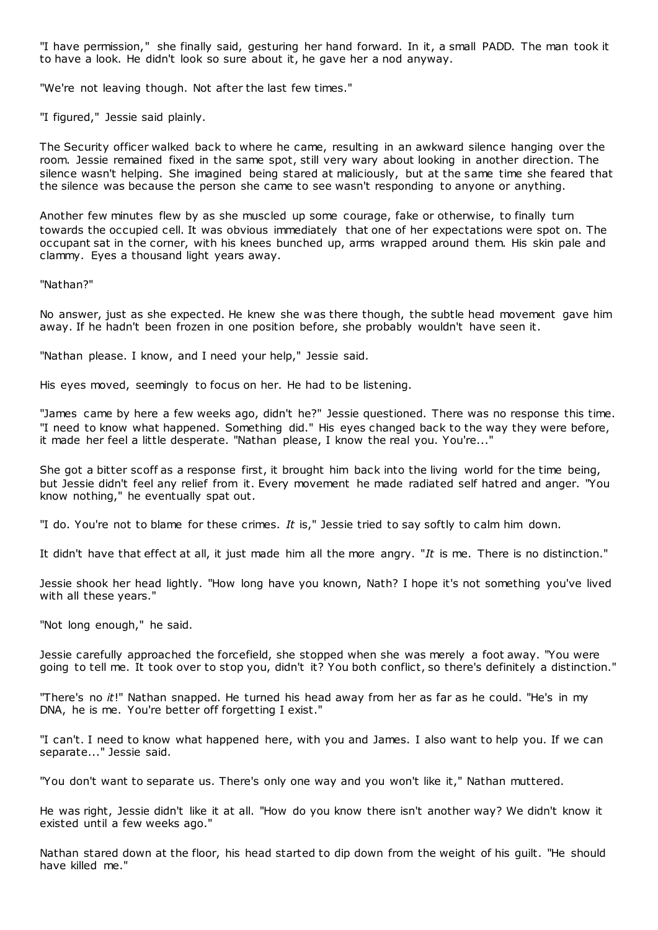"I have permission," she finally said, gesturing her hand forward. In it, a small PADD. The man took it to have a look. He didn't look so sure about it, he gave her a nod anyway.

"We're not leaving though. Not after the last few times."

"I figured," Jessie said plainly.

The Security officer walked back to where he came, resulting in an awkward silence hanging over the room. Jessie remained fixed in the same spot, still very wary about looking in another direction. The silence wasn't helping. She imagined being stared at maliciously, but at the same time she feared that the silence was because the person she came to see wasn't responding to anyone or anything.

Another few minutes flew by as she muscled up some courage, fake or otherwise, to finally turn towards the occupied cell. It was obvious immediately that one of her expectations were spot on. The occupant sat in the corner, with his knees bunched up, arms wrapped around them. His skin pale and clammy. Eyes a thousand light years away.

"Nathan?"

No answer, just as she expected. He knew she was there though, the subtle head movement gave him away. If he hadn't been frozen in one position before, she probably wouldn't have seen it.

"Nathan please. I know, and I need your help," Jessie said.

His eyes moved, seemingly to focus on her. He had to be listening.

"James came by here a few weeks ago, didn't he?" Jessie questioned. There was no response this time. "I need to know what happened. Something did." His eyes changed back to the way they were before, it made her feel a little desperate. "Nathan please, I know the real you. You're..."

She got a bitter scoff as a response first, it brought him back into the living world for the time being, but Jessie didn't feel any relief from it. Every movement he made radiated self hatred and anger. "You know nothing," he eventually spat out.

"I do. You're not to blame for these crimes. *It* is," Jessie tried to say softly to calm him down.

It didn't have that effect at all, it just made him all the more angry. "*It* is me. There is no distinction."

Jessie shook her head lightly. "How long have you known, Nath? I hope it's not something you've lived with all these years."

"Not long enough," he said.

Jessie carefully approached the forcefield, she stopped when she was merely a foot away. "You were going to tell me. It took over to stop you, didn't it? You both conflict, so there's definitely a distinction."

"There's no *it*!" Nathan snapped. He turned his head away from her as far as he could. "He's in my DNA, he is me. You're better off forgetting I exist."

"I can't. I need to know what happened here, with you and James. I also want to help you. If we can separate..." Jessie said.

"You don't want to separate us. There's only one way and you won't like it," Nathan muttered.

He was right, Jessie didn't like it at all. "How do you know there isn't another way? We didn't know it existed until a few weeks ago."

Nathan stared down at the floor, his head started to dip down from the weight of his guilt. "He should have killed me."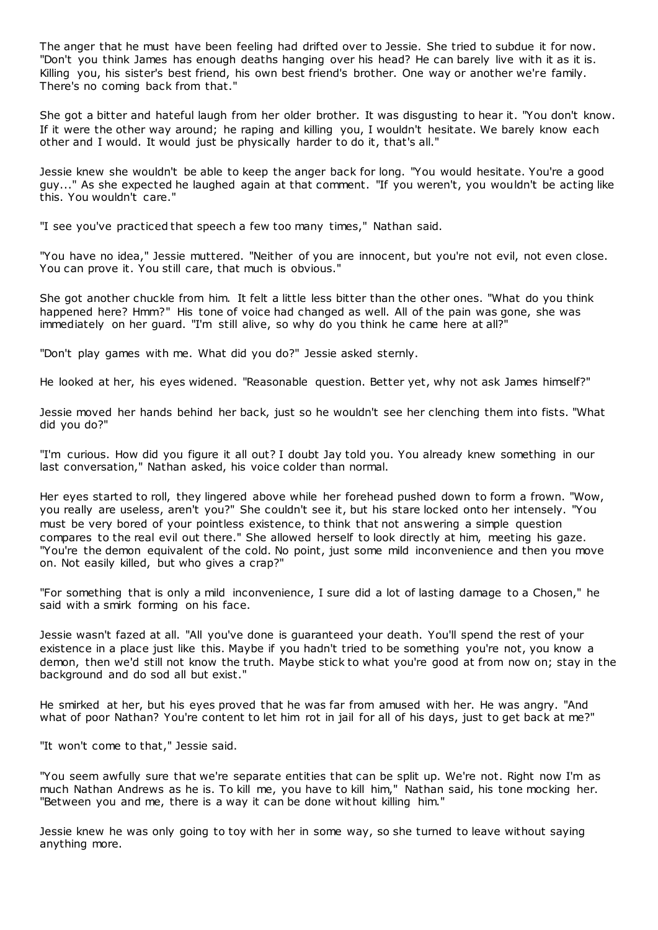The anger that he must have been feeling had drifted over to Jessie. She tried to subdue it for now. "Don't you think James has enough deaths hanging over his head? He can barely live with it as it is. Killing you, his sister's best friend, his own best friend's brother. One way or another we're family. There's no coming back from that."

She got a bitter and hateful laugh from her older brother. It was disgusting to hear it. "You don't know. If it were the other way around; he raping and killing you, I wouldn't hesitate. We barely know each other and I would. It would just be physically harder to do it, that's all."

Jessie knew she wouldn't be able to keep the anger back for long. "You would hesitate. You're a good guy..." As she expected he laughed again at that comment. "If you weren't, you wouldn't be acting like this. You wouldn't care."

"I see you've practiced that speech a few too many times," Nathan said.

"You have no idea," Jessie muttered. "Neither of you are innocent, but you're not evil, not even close. You can prove it. You still care, that much is obvious."

She got another chuckle from him. It felt a little less bitter than the other ones. "What do you think happened here? Hmm?" His tone of voice had changed as well. All of the pain was gone, she was immediately on her guard. "I'm still alive, so why do you think he came here at all?"

"Don't play games with me. What did you do?" Jessie asked sternly.

He looked at her, his eyes widened. "Reasonable question. Better yet, why not ask James himself?"

Jessie moved her hands behind her back, just so he wouldn't see her clenching them into fists. "What did you do?"

"I'm curious. How did you figure it all out? I doubt Jay told you. You already knew something in our last conversation," Nathan asked, his voice colder than normal.

Her eyes started to roll, they lingered above while her forehead pushed down to form a frown. "Wow, you really are useless, aren't you?" She couldn't see it, but his stare locked onto her intensely. "You must be very bored of your pointless existence, to think that not answering a simple question compares to the real evil out there." She allowed herself to look directly at him, meeting his gaze. "You're the demon equivalent of the cold. No point, just some mild inconvenience and then you move on. Not easily killed, but who gives a crap?"

"For something that is only a mild inconvenience, I sure did a lot of lasting damage to a Chosen," he said with a smirk forming on his face.

Jessie wasn't fazed at all. "All you've done is guaranteed your death. You'll spend the rest of your existence in a place just like this. Maybe if you hadn't tried to be something you're not, you know a demon, then we'd still not know the truth. Maybe stick to what you're good at from now on; stay in the background and do sod all but exist."

He smirked at her, but his eyes proved that he was far from amused with her. He was angry. "And what of poor Nathan? You're content to let him rot in jail for all of his days, just to get back at me?"

"It won't come to that," Jessie said.

"You seem awfully sure that we're separate entities that can be split up. We're not. Right now I'm as much Nathan Andrews as he is. To kill me, you have to kill him," Nathan said, his tone mocking her. "Between you and me, there is a way it can be done without killing him."

Jessie knew he was only going to toy with her in some way, so she turned to leave without saying anything more.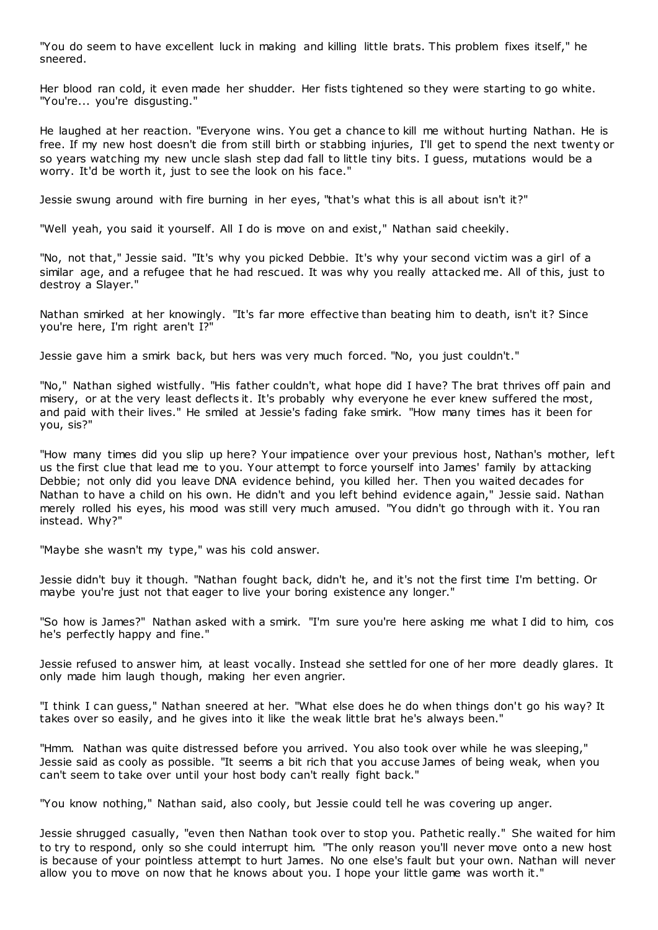"You do seem to have excellent luck in making and killing little brats. This problem fixes itself," he sneered.

Her blood ran cold, it even made her shudder. Her fists tightened so they were starting to go white. "You're... you're disgusting."

He laughed at her reaction. "Everyone wins. You get a chance to kill me without hurting Nathan. He is free. If my new host doesn't die from still birth or stabbing injuries, I'll get to spend the next twenty or so years watching my new uncle slash step dad fall to little tiny bits. I guess, mutations would be a worry. It'd be worth it, just to see the look on his face."

Jessie swung around with fire burning in her eyes, "that's what this is all about isn't it?"

"Well yeah, you said it yourself. All I do is move on and exist," Nathan said cheekily.

"No, not that," Jessie said. "It's why you picked Debbie. It's why your second victim was a girl of a similar age, and a refugee that he had rescued. It was why you really attacked me. All of this, just to destroy a Slayer."

Nathan smirked at her knowingly. "It's far more effective than beating him to death, isn't it? Since you're here, I'm right aren't I?"

Jessie gave him a smirk back, but hers was very much forced. "No, you just couldn't."

"No," Nathan sighed wistfully. "His father couldn't, what hope did I have? The brat thrives off pain and misery, or at the very least deflects it. It's probably why everyone he ever knew suffered the most, and paid with their lives." He smiled at Jessie's fading fake smirk. "How many times has it been for you, sis?"

"How many times did you slip up here? Your impatience over your previous host, Nathan's mother, left us the first clue that lead me to you. Your attempt to force yourself into James' family by attacking Debbie; not only did you leave DNA evidence behind, you killed her. Then you waited decades for Nathan to have a child on his own. He didn't and you left behind evidence again," Jessie said. Nathan merely rolled his eyes, his mood was still very much amused. "You didn't go through with it. You ran instead. Why?"

"Maybe she wasn't my type," was his cold answer.

Jessie didn't buy it though. "Nathan fought back, didn't he, and it's not the first time I'm betting. Or maybe you're just not that eager to live your boring existence any longer."

"So how is James?" Nathan asked with a smirk. "I'm sure you're here asking me what I did to him, cos he's perfectly happy and fine."

Jessie refused to answer him, at least vocally. Instead she settled for one of her more deadly glares. It only made him laugh though, making her even angrier.

"I think I can guess," Nathan sneered at her. "What else does he do when things don't go his way? It takes over so easily, and he gives into it like the weak little brat he's always been."

"Hmm. Nathan was quite distressed before you arrived. You also took over while he was sleeping," Jessie said as cooly as possible. "It seems a bit rich that you accuse James of being weak, when you can't seem to take over until your host body can't really fight back."

"You know nothing," Nathan said, also cooly, but Jessie could tell he was covering up anger.

Jessie shrugged casually, "even then Nathan took over to stop you. Pathetic really." She waited for him to try to respond, only so she could interrupt him. "The only reason you'll never move onto a new host is because of your pointless attempt to hurt James. No one else's fault but your own. Nathan will never allow you to move on now that he knows about you. I hope your little game was worth it."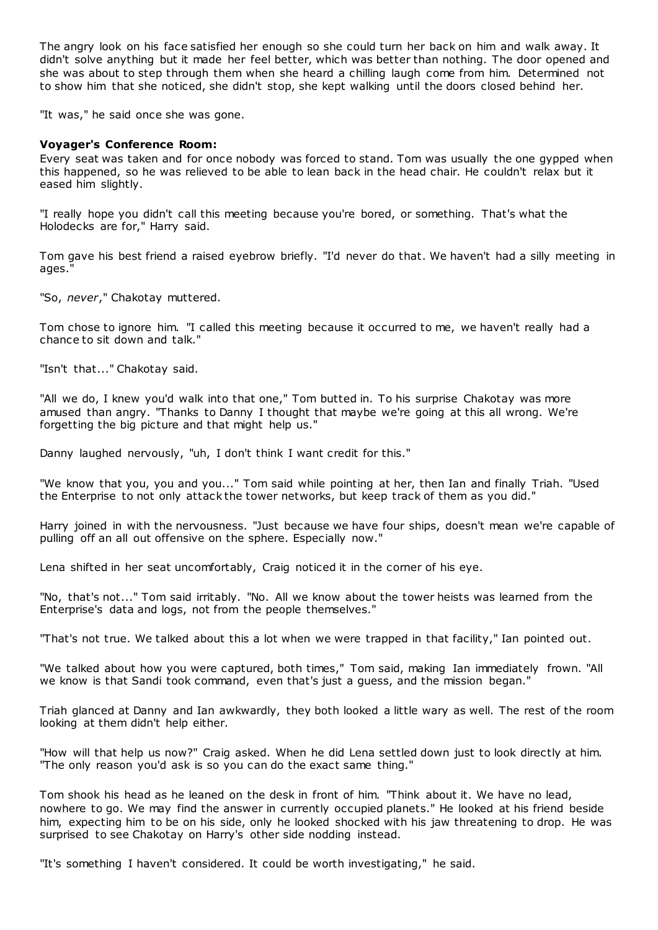The angry look on his face satisfied her enough so she could turn her back on him and walk away. It didn't solve anything but it made her feel better, which was better than nothing. The door opened and she was about to step through them when she heard a chilling laugh come from him. Determined not to show him that she noticed, she didn't stop, she kept walking until the doors closed behind her.

"It was," he said once she was gone.

## **Voyager's Conference Room:**

Every seat was taken and for once nobody was forced to stand. Tom was usually the one gypped when this happened, so he was relieved to be able to lean back in the head chair. He couldn't relax but it eased him slightly.

"I really hope you didn't call this meeting because you're bored, or something. That's what the Holodecks are for," Harry said.

Tom gave his best friend a raised eyebrow briefly. "I'd never do that. We haven't had a silly meeting in ages."

"So, *never*," Chakotay muttered.

Tom chose to ignore him. "I called this meeting because it occurred to me, we haven't really had a chance to sit down and talk."

"Isn't that..." Chakotay said.

"All we do, I knew you'd walk into that one," Tom butted in. To his surprise Chakotay was more amused than angry. "Thanks to Danny I thought that maybe we're going at this all wrong. We're forgetting the big picture and that might help us."

Danny laughed nervously, "uh, I don't think I want credit for this."

"We know that you, you and you..." Tom said while pointing at her, then Ian and finally Triah. "Used the Enterprise to not only attack the tower networks, but keep track of them as you did."

Harry joined in with the nervousness. "Just because we have four ships, doesn't mean we're capable of pulling off an all out offensive on the sphere. Especially now."

Lena shifted in her seat uncomfortably, Craig noticed it in the corner of his eye.

"No, that's not..." Tom said irritably. "No. All we know about the tower heists was learned from the Enterprise's data and logs, not from the people themselves."

"That's not true. We talked about this a lot when we were trapped in that facility," Ian pointed out.

"We talked about how you were captured, both times," Tom said, making Ian immediately frown. "All we know is that Sandi took command, even that's just a guess, and the mission began."

Triah glanced at Danny and Ian awkwardly, they both looked a little wary as well. The rest of the room looking at them didn't help either.

"How will that help us now?" Craig asked. When he did Lena settled down just to look directly at him. "The only reason you'd ask is so you can do the exact same thing."

Tom shook his head as he leaned on the desk in front of him. "Think about it. We have no lead, nowhere to go. We may find the answer in currently occupied planets." He looked at his friend beside him, expecting him to be on his side, only he looked shocked with his jaw threatening to drop. He was surprised to see Chakotay on Harry's other side nodding instead.

"It's something I haven't considered. It could be worth investigating," he said.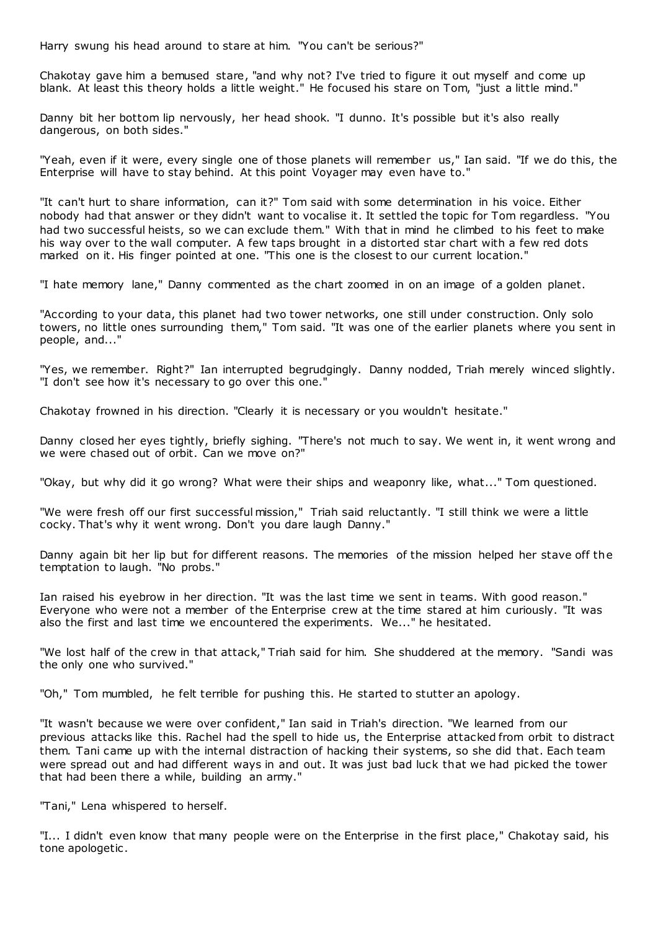Harry swung his head around to stare at him. "You can't be serious?"

Chakotay gave him a bemused stare, "and why not? I've tried to figure it out myself and come up blank. At least this theory holds a little weight." He focused his stare on Tom, "just a little mind."

Danny bit her bottom lip nervously, her head shook. "I dunno. It's possible but it's also really dangerous, on both sides."

"Yeah, even if it were, every single one of those planets will remember us," Ian said. "If we do this, the Enterprise will have to stay behind. At this point Voyager may even have to."

"It can't hurt to share information, can it?" Tom said with some determination in his voice. Either nobody had that answer or they didn't want to vocalise it. It settled the topic for Tom regardless. "You had two successful heists, so we can exclude them." With that in mind he climbed to his feet to make his way over to the wall computer. A few taps brought in a distorted star chart with a few red dots marked on it. His finger pointed at one. "This one is the closest to our current location."

"I hate memory lane," Danny commented as the chart zoomed in on an image of a golden planet.

"According to your data, this planet had two tower networks, one still under construction. Only solo towers, no little ones surrounding them," Tom said. "It was one of the earlier planets where you sent in people, and..."

"Yes, we remember. Right?" Ian interrupted begrudgingly. Danny nodded, Triah merely winced slightly. "I don't see how it's necessary to go over this one."

Chakotay frowned in his direction. "Clearly it is necessary or you wouldn't hesitate."

Danny closed her eyes tightly, briefly sighing. "There's not much to say. We went in, it went wrong and we were chased out of orbit. Can we move on?"

"Okay, but why did it go wrong? What were their ships and weaponry like, what..." Tom questioned.

"We were fresh off our first successful mission," Triah said reluctantly. "I still think we were a little cocky. That's why it went wrong. Don't you dare laugh Danny."

Danny again bit her lip but for different reasons. The memories of the mission helped her stave off the temptation to laugh. "No probs."

Ian raised his eyebrow in her direction. "It was the last time we sent in teams. With good reason." Everyone who were not a member of the Enterprise crew at the time stared at him curiously. "It was also the first and last time we encountered the experiments. We..." he hesitated.

"We lost half of the crew in that attack," Triah said for him. She shuddered at the memory. "Sandi was the only one who survived."

"Oh," Tom mumbled, he felt terrible for pushing this. He started to stutter an apology.

"It wasn't because we were over confident," Ian said in Triah's direction. "We learned from our previous attacks like this. Rachel had the spell to hide us, the Enterprise attacked from orbit to distract them. Tani came up with the internal distraction of hacking their systems, so she did that. Each team were spread out and had different ways in and out. It was just bad luck that we had picked the tower that had been there a while, building an army."

"Tani," Lena whispered to herself.

"I... I didn't even know that many people were on the Enterprise in the first place," Chakotay said, his tone apologetic .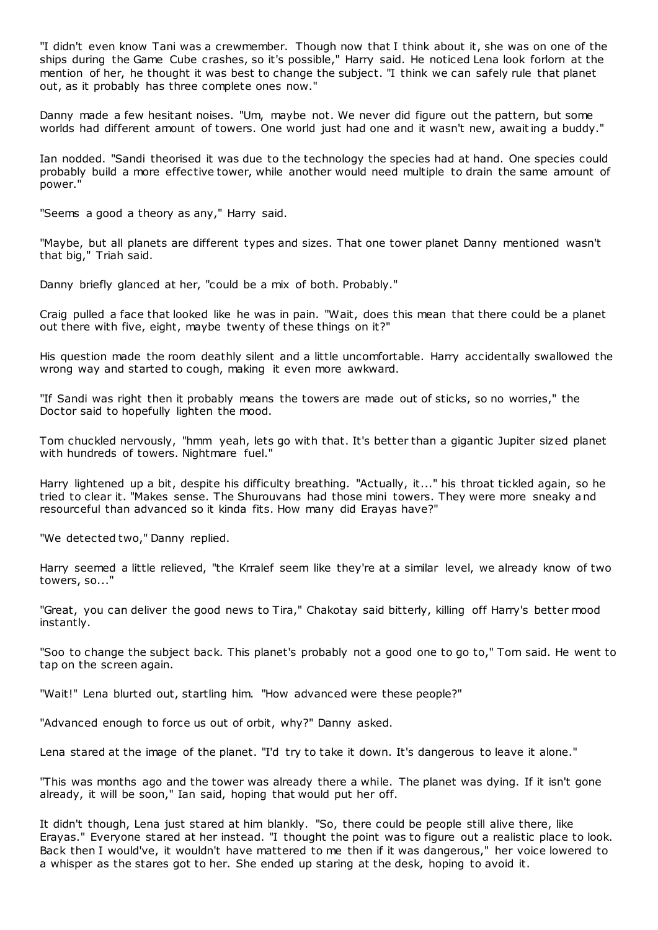"I didn't even know Tani was a crewmember. Though now that I think about it, she was on one of the ships during the Game Cube crashes, so it's possible," Harry said. He noticed Lena look forlorn at the mention of her, he thought it was best to change the subject. "I think we can safely rule that planet out, as it probably has three complete ones now."

Danny made a few hesitant noises. "Um, maybe not. We never did figure out the pattern, but some worlds had different amount of towers. One world just had one and it wasn't new, awaiting a buddy."

Ian nodded. "Sandi theorised it was due to the technology the species had at hand. One species could probably build a more effective tower, while another would need multiple to drain the same amount of power."

"Seems a good a theory as any," Harry said.

"Maybe, but all planets are different types and sizes. That one tower planet Danny mentioned wasn't that big," Triah said.

Danny briefly glanced at her, "could be a mix of both. Probably."

Craig pulled a face that looked like he was in pain. "Wait, does this mean that there could be a planet out there with five, eight, maybe twenty of these things on it?"

His question made the room deathly silent and a little uncomfortable. Harry accidentally swallowed the wrong way and started to cough, making it even more awkward.

"If Sandi was right then it probably means the towers are made out of sticks, so no worries," the Doctor said to hopefully lighten the mood.

Tom chuckled nervously, "hmm yeah, lets go with that. It's better than a gigantic Jupiter sized planet with hundreds of towers. Nightmare fuel."

Harry lightened up a bit, despite his difficulty breathing. "Actually, it..." his throat tickled again, so he tried to clear it. "Makes sense. The Shurouvans had those mini towers. They were more sneaky and resourceful than advanced so it kinda fits. How many did Erayas have?"

"We detected two," Danny replied.

Harry seemed a little relieved, "the Krralef seem like they're at a similar level, we already know of two towers, so..."

"Great, you can deliver the good news to Tira," Chakotay said bitterly, killing off Harry's better mood instantly.

"Soo to change the subject back. This planet's probably not a good one to go to," Tom said. He went to tap on the screen again.

"Wait!" Lena blurted out, startling him. "How advanced were these people?"

"Advanced enough to force us out of orbit, why?" Danny asked.

Lena stared at the image of the planet. "I'd try to take it down. It's dangerous to leave it alone."

"This was months ago and the tower was already there a while. The planet was dying. If it isn't gone already, it will be soon," Ian said, hoping that would put her off.

It didn't though, Lena just stared at him blankly. "So, there could be people still alive there, like Erayas." Everyone stared at her instead. "I thought the point was to figure out a realistic place to look. Back then I would've, it wouldn't have mattered to me then if it was dangerous," her voice lowered to a whisper as the stares got to her. She ended up staring at the desk, hoping to avoid it.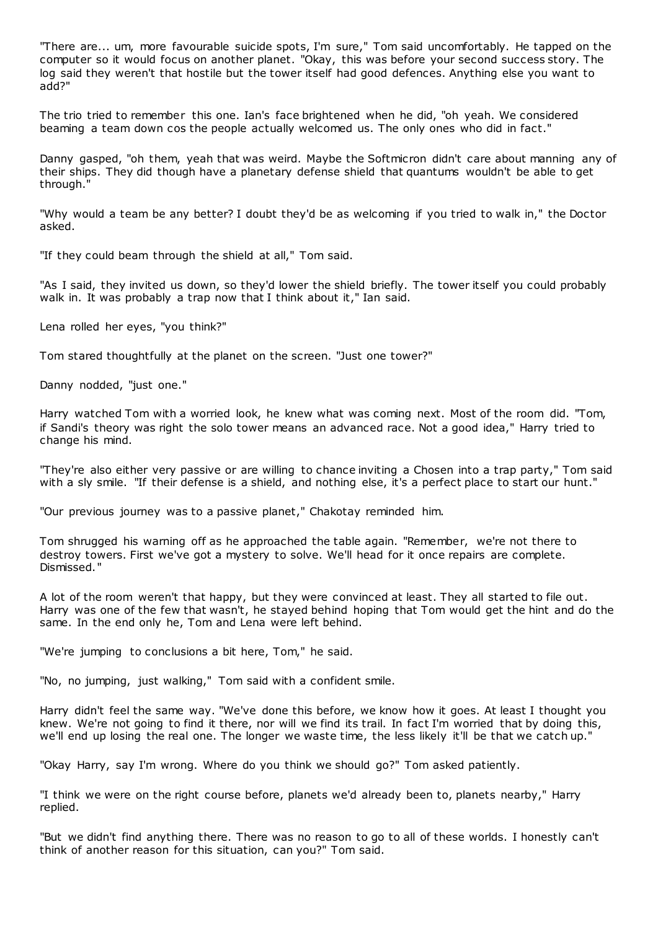"There are... um, more favourable suicide spots, I'm sure," Tom said uncomfortably. He tapped on the computer so it would focus on another planet. "Okay, this was before your second success story. The log said they weren't that hostile but the tower itself had good defences. Anything else you want to add?"

The trio tried to remember this one. Ian's face brightened when he did, "oh yeah. We considered beaming a team down cos the people actually welcomed us. The only ones who did in fact."

Danny gasped, "oh them, yeah that was weird. Maybe the Softmicron didn't care about manning any of their ships. They did though have a planetary defense shield that quantums wouldn't be able to get through."

"Why would a team be any better? I doubt they'd be as welcoming if you tried to walk in," the Doctor asked.

"If they could beam through the shield at all," Tom said.

"As I said, they invited us down, so they'd lower the shield briefly. The tower itself you could probably walk in. It was probably a trap now that I think about it," Ian said.

Lena rolled her eyes, "you think?"

Tom stared thoughtfully at the planet on the screen. "Just one tower?"

Danny nodded, "just one."

Harry watched Tom with a worried look, he knew what was coming next. Most of the room did. "Tom, if Sandi's theory was right the solo tower means an advanced race. Not a good idea," Harry tried to change his mind.

"They're also either very passive or are willing to chance inviting a Chosen into a trap party," Tom said with a sly smile. "If their defense is a shield, and nothing else, it's a perfect place to start our hunt."

"Our previous journey was to a passive planet," Chakotay reminded him.

Tom shrugged his warning off as he approached the table again. "Remember, we're not there to destroy towers. First we've got a mystery to solve. We'll head for it once repairs are complete. Dismissed."

A lot of the room weren't that happy, but they were convinced at least. They all started to file out. Harry was one of the few that wasn't, he stayed behind hoping that Tom would get the hint and do the same. In the end only he, Tom and Lena were left behind.

"We're jumping to conclusions a bit here, Tom," he said.

"No, no jumping, just walking," Tom said with a confident smile.

Harry didn't feel the same way. "We've done this before, we know how it goes. At least I thought you knew. We're not going to find it there, nor will we find its trail. In fact I'm worried that by doing this, we'll end up losing the real one. The longer we waste time, the less likely it'll be that we catch up."

"Okay Harry, say I'm wrong. Where do you think we should go?" Tom asked patiently.

"I think we were on the right course before, planets we'd already been to, planets nearby," Harry replied.

"But we didn't find anything there. There was no reason to go to all of these worlds. I honestly can't think of another reason for this situation, can you?" Tom said.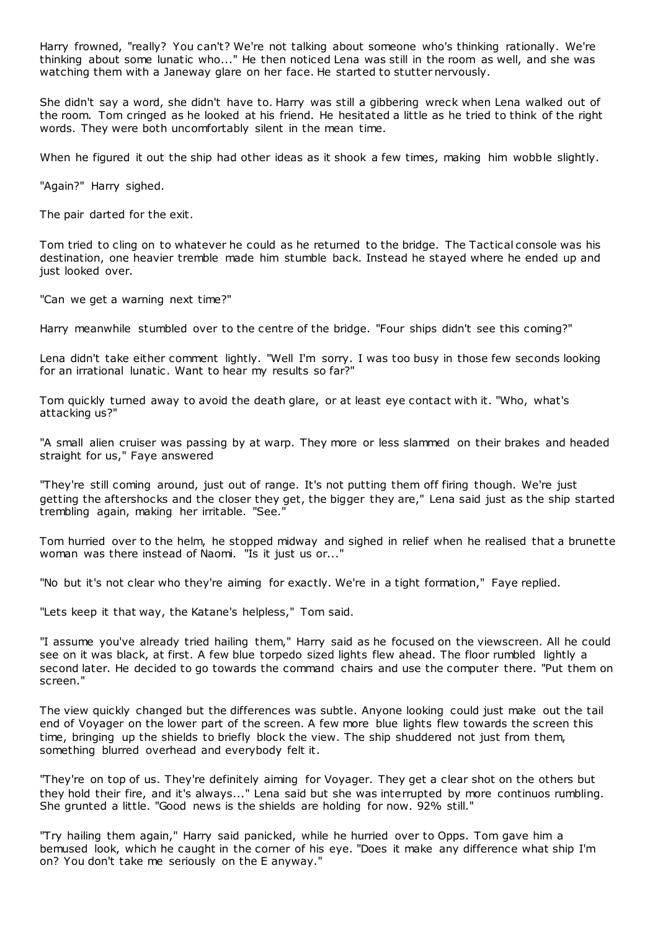Harry frowned, "really? You can't? We're not talking about someone who's thinking rationally. We're thinking about some lunatic who..." He then noticed Lena was still in the room as well, and she was watching them with a Janeway glare on her face. He started to stutter nervously.

She didn't say a word, she didn't have to. Harry was still a gibbering wreck when Lena walked out of the room. Tom cringed as he looked at his friend. He hesitated a little as he tried to think of the right words. They were both uncomfortably silent in the mean time.

When he figured it out the ship had other ideas as it shook a few times, making him wobble slightly.

"Again?" Harry sighed.

The pair darted for the exit.

Tom tried to cling on to whatever he could as he returned to the bridge. The Tactical console was his destination, one heavier tremble made him stumble back. Instead he stayed where he ended up and just looked over.

"Can we get a warning next time?"

Harry meanwhile stumbled over to the centre of the bridge. "Four ships didn't see this coming?"

Lena didn't take either comment lightly. "Well I'm sorry. I was too busy in those few seconds looking for an irrational lunatic. Want to hear my results so far?"

Tom quickly turned away to avoid the death glare, or at least eye contact with it. "Who, what's attacking us?"

"A small alien cruiser was passing by at warp. They more or less slammed on their brakes and headed straight for us," Faye answered

"They're still coming around, just out of range. It's not putting them off firing though. We're just getting the aftershocks and the closer they get, the bigger they are," Lena said just as the ship started trembling again, making her irritable. "See."

Tom hurried over to the helm, he stopped midway and sighed in relief when he realised that a brunette woman was there instead of Naomi. "Is it just us or..."

"No but it's not clear who they're aiming for exactly. We're in a tight formation," Faye replied.

"Lets keep it that way, the Katane's helpless," Tom said.

"I assume you've already tried hailing them," Harry said as he focused on the viewscreen. All he could see on it was black, at first. A few blue torpedo sized lights flew ahead. The floor rumbled lightly a second later. He decided to go towards the command chairs and use the computer there. "Put them on screen."

The view quickly changed but the differences was subtle. Anyone looking could just make out the tail end of Voyager on the lower part of the screen. A few more blue lights flew towards the screen this time, bringing up the shields to briefly block the view. The ship shuddered not just from them, something blurred overhead and everybody felt it.

"They're on top of us. They're definitely aiming for Voyager. They get a clear shot on the others but they hold their fire, and it's always..." Lena said but she was interrupted by more continuos rumbling. She grunted a little. "Good news is the shields are holding for now. 92% still."

"Try hailing them again," Harry said panicked, while he hurried over to Opps. Tom gave him a bemused look, which he caught in the corner of his eye. "Does it make any difference what ship I'm on? You don't take me seriously on the E anyway."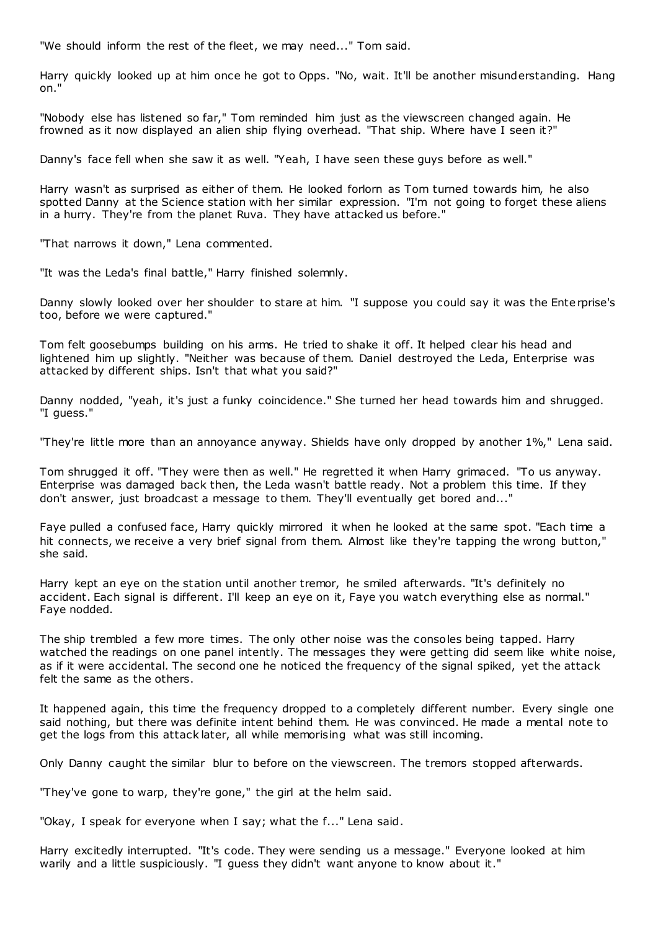"We should inform the rest of the fleet, we may need..." Tom said.

Harry quickly looked up at him once he got to Opps. "No, wait. It'll be another misunderstanding. Hang on."

"Nobody else has listened so far," Tom reminded him just as the viewscreen changed again. He frowned as it now displayed an alien ship flying overhead. "That ship. Where have I seen it?"

Danny's face fell when she saw it as well. "Yeah, I have seen these guys before as well."

Harry wasn't as surprised as either of them. He looked forlorn as Tom turned towards him, he also spotted Danny at the Science station with her similar expression. "I'm not going to forget these aliens in a hurry. They're from the planet Ruva. They have attacked us before."

"That narrows it down," Lena commented.

"It was the Leda's final battle," Harry finished solemnly.

Danny slowly looked over her shoulder to stare at him. "I suppose you could say it was the Enterprise's too, before we were captured."

Tom felt goosebumps building on his arms. He tried to shake it off. It helped clear his head and lightened him up slightly. "Neither was because of them. Daniel destroyed the Leda, Enterprise was attacked by different ships. Isn't that what you said?"

Danny nodded, "yeah, it's just a funky coincidence." She turned her head towards him and shrugged. "I guess."

"They're little more than an annoyance anyway. Shields have only dropped by another 1%," Lena said.

Tom shrugged it off. "They were then as well." He regretted it when Harry grimaced. "To us anyway. Enterprise was damaged back then, the Leda wasn't battle ready. Not a problem this time. If they don't answer, just broadcast a message to them. They'll eventually get bored and..."

Faye pulled a confused face, Harry quickly mirrored it when he looked at the same spot. "Each time a hit connects, we receive a very brief signal from them. Almost like they're tapping the wrong button," she said.

Harry kept an eye on the station until another tremor, he smiled afterwards. "It's definitely no accident. Each signal is different. I'll keep an eye on it, Faye you watch everything else as normal." Faye nodded.

The ship trembled a few more times. The only other noise was the consoles being tapped. Harry watched the readings on one panel intently. The messages they were getting did seem like white noise, as if it were accidental. The second one he noticed the frequency of the signal spiked, yet the attack felt the same as the others.

It happened again, this time the frequency dropped to a completely different number. Every single one said nothing, but there was definite intent behind them. He was convinced. He made a mental note to get the logs from this attack later, all while memorising what was still incoming.

Only Danny caught the similar blur to before on the viewscreen. The tremors stopped afterwards.

"They've gone to warp, they're gone," the girl at the helm said.

"Okay, I speak for everyone when I say; what the f..." Lena said.

Harry excitedly interrupted. "It's code. They were sending us a message." Everyone looked at him warily and a little suspiciously. "I guess they didn't want anyone to know about it."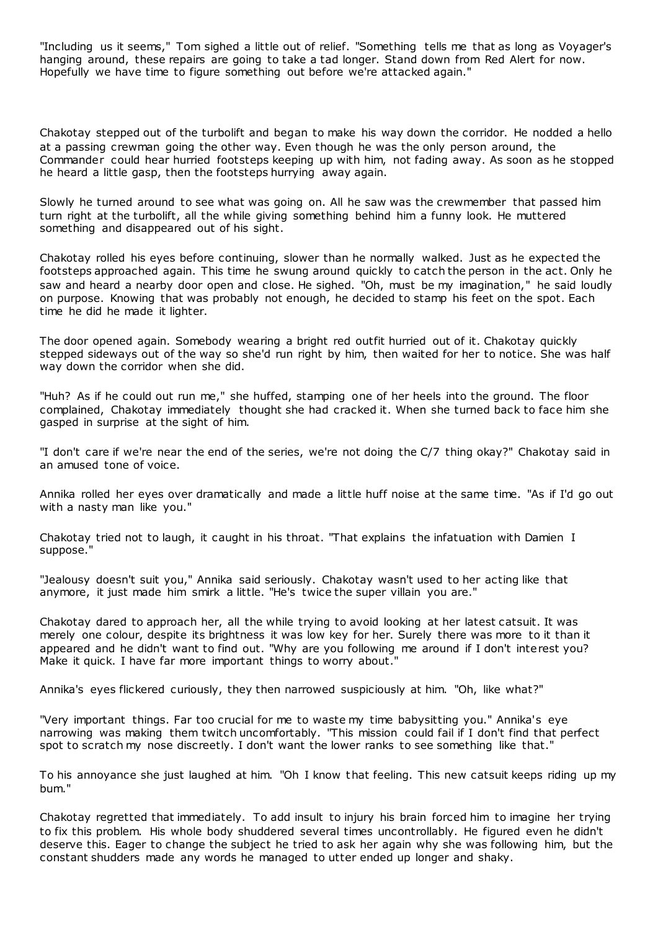"Including us it seems," Tom sighed a little out of relief. "Something tells me that as long as Voyager's hanging around, these repairs are going to take a tad longer. Stand down from Red Alert for now. Hopefully we have time to figure something out before we're attacked again."

Chakotay stepped out of the turbolift and began to make his way down the corridor. He nodded a hello at a passing crewman going the other way. Even though he was the only person around, the Commander could hear hurried footsteps keeping up with him, not fading away. As soon as he stopped he heard a little gasp, then the footsteps hurrying away again.

Slowly he turned around to see what was going on. All he saw was the crewmember that passed him turn right at the turbolift, all the while giving something behind him a funny look. He muttered something and disappeared out of his sight.

Chakotay rolled his eyes before continuing, slower than he normally walked. Just as he expected the footsteps approached again. This time he swung around quickly to catch the person in the act. Only he saw and heard a nearby door open and close. He sighed. "Oh, must be my imagination," he said loudly on purpose. Knowing that was probably not enough, he decided to stamp his feet on the spot. Each time he did he made it lighter.

The door opened again. Somebody wearing a bright red outfit hurried out of it. Chakotay quickly stepped sideways out of the way so she'd run right by him, then waited for her to notice. She was half way down the corridor when she did.

"Huh? As if he could out run me," she huffed, stamping one of her heels into the ground. The floor complained, Chakotay immediately thought she had cracked it. When she turned back to face him she gasped in surprise at the sight of him.

"I don't care if we're near the end of the series, we're not doing the C/7 thing okay?" Chakotay said in an amused tone of voice.

Annika rolled her eyes over dramatically and made a little huff noise at the same time. "As if I'd go out with a nasty man like you."

Chakotay tried not to laugh, it caught in his throat. "That explains the infatuation with Damien I suppose."

"Jealousy doesn't suit you," Annika said seriously. Chakotay wasn't used to her acting like that anymore, it just made him smirk a little. "He's twice the super villain you are."

Chakotay dared to approach her, all the while trying to avoid looking at her latest catsuit. It was merely one colour, despite its brightness it was low key for her. Surely there was more to it than it appeared and he didn't want to find out. "Why are you following me around if I don't interest you? Make it quick. I have far more important things to worry about."

Annika's eyes flickered curiously, they then narrowed suspiciously at him. "Oh, like what?"

"Very important things. Far too crucial for me to waste my time babysitting you." Annika's eye narrowing was making them twitch uncomfortably. "This mission could fail if I don't find that perfect spot to scratch my nose discreetly. I don't want the lower ranks to see something like that."

To his annoyance she just laughed at him. "Oh I know that feeling. This new catsuit keeps riding up my bum."

Chakotay regretted that immediately. To add insult to injury his brain forced him to imagine her trying to fix this problem. His whole body shuddered several times uncontrollably. He figured even he didn't deserve this. Eager to change the subject he tried to ask her again why she was following him, but the constant shudders made any words he managed to utter ended up longer and shaky.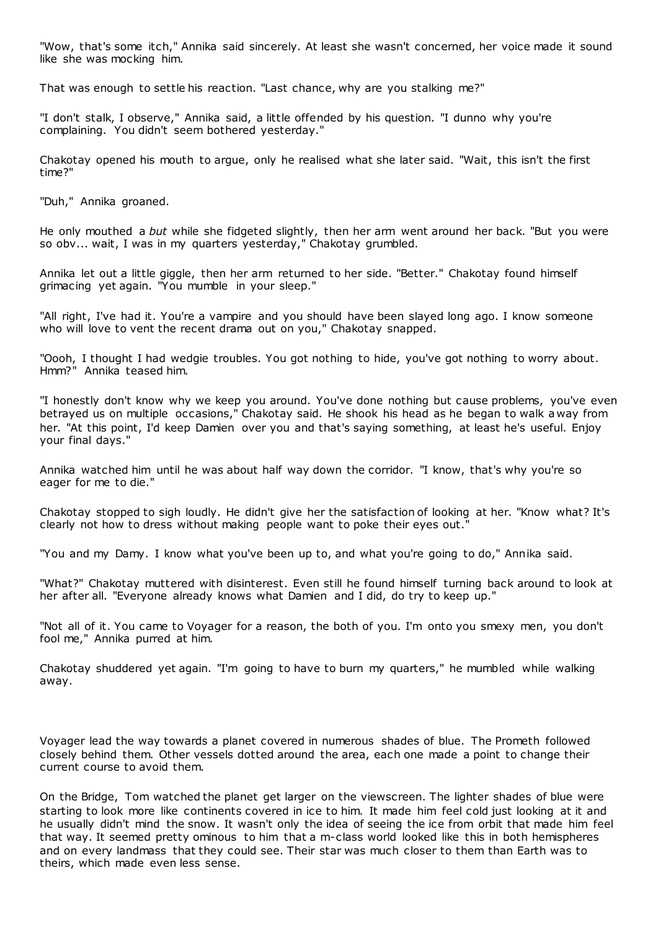"Wow, that's some itch," Annika said sincerely. At least she wasn't concerned, her voice made it sound like she was mocking him.

That was enough to settle his reaction. "Last chance, why are you stalking me?"

"I don't stalk, I observe," Annika said, a little offended by his question. "I dunno why you're complaining. You didn't seem bothered yesterday."

Chakotay opened his mouth to argue, only he realised what she later said. "Wait, this isn't the first time?"

"Duh," Annika groaned.

He only mouthed a *but* while she fidgeted slightly, then her arm went around her back. "But you were so obv... wait, I was in my quarters yesterday," Chakotay grumbled.

Annika let out a little giggle, then her arm returned to her side. "Better." Chakotay found himself grimacing yet again. "You mumble in your sleep."

"All right, I've had it. You're a vampire and you should have been slayed long ago. I know someone who will love to vent the recent drama out on you," Chakotay snapped.

"Oooh, I thought I had wedgie troubles. You got nothing to hide, you've got nothing to worry about. Hmm?" Annika teased him.

"I honestly don't know why we keep you around. You've done nothing but cause problems, you've even betrayed us on multiple occasions," Chakotay said. He shook his head as he began to walk a way from her. "At this point, I'd keep Damien over you and that's saying something, at least he's useful. Enjoy your final days."

Annika watched him until he was about half way down the corridor. "I know, that's why you're so eager for me to die."

Chakotay stopped to sigh loudly. He didn't give her the satisfaction of looking at her. "Know what? It's clearly not how to dress without making people want to poke their eyes out."

"You and my Damy. I know what you've been up to, and what you're going to do," Annika said.

"What?" Chakotay muttered with disinterest. Even still he found himself turning back around to look at her after all. "Everyone already knows what Damien and I did, do try to keep up."

"Not all of it. You came to Voyager for a reason, the both of you. I'm onto you smexy men, you don't fool me," Annika purred at him.

Chakotay shuddered yet again. "I'm going to have to burn my quarters," he mumbled while walking away.

Voyager lead the way towards a planet covered in numerous shades of blue. The Prometh followed closely behind them. Other vessels dotted around the area, each one made a point to change their current course to avoid them.

On the Bridge, Tom watched the planet get larger on the viewscreen. The lighter shades of blue were starting to look more like continents covered in ice to him. It made him feel cold just looking at it and he usually didn't mind the snow. It wasn't only the idea of seeing the ice from orbit that made him feel that way. It seemed pretty ominous to him that a m-class world looked like this in both hemispheres and on every landmass that they could see. Their star was much closer to them than Earth was to theirs, which made even less sense.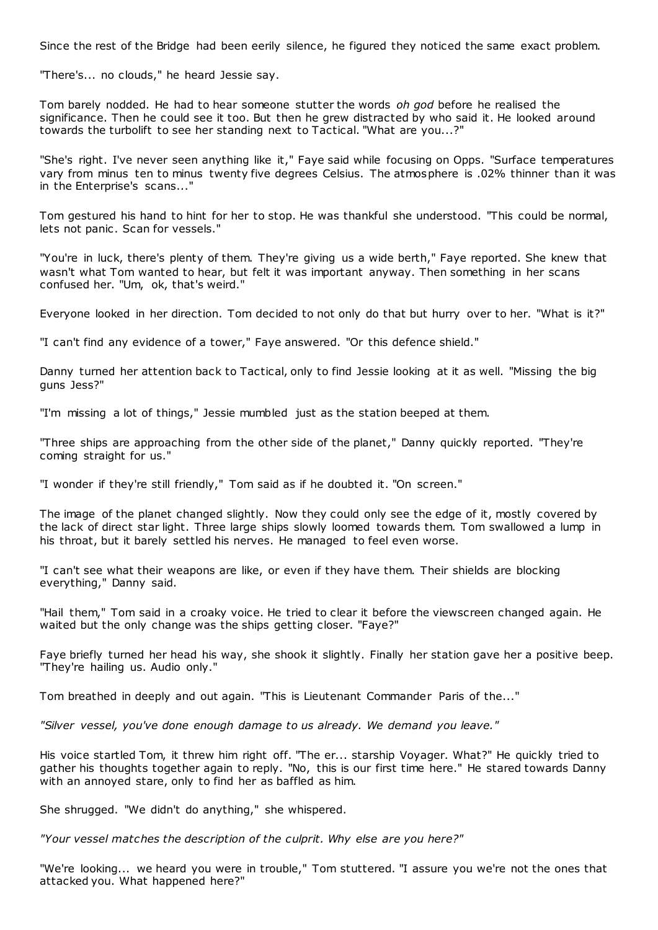Since the rest of the Bridge had been eerily silence, he figured they noticed the same exact problem.

"There's... no clouds," he heard Jessie say.

Tom barely nodded. He had to hear someone stutter the words *oh god* before he realised the significance. Then he could see it too. But then he grew distracted by who said it. He looked around towards the turbolift to see her standing next to Tactical. "What are you...?"

"She's right. I've never seen anything like it," Faye said while focusing on Opps. "Surface temperatures vary from minus ten to minus twenty five degrees Celsius. The atmosphere is .02% thinner than it was in the Enterprise's scans..."

Tom gestured his hand to hint for her to stop. He was thankful she understood. "This could be normal, lets not panic. Scan for vessels."

"You're in luck, there's plenty of them. They're giving us a wide berth," Faye reported. She knew that wasn't what Tom wanted to hear, but felt it was important anyway. Then something in her scans confused her. "Um, ok, that's weird."

Everyone looked in her direction. Tom decided to not only do that but hurry over to her. "What is it?"

"I can't find any evidence of a tower," Faye answered. "Or this defence shield."

Danny turned her attention back to Tactical, only to find Jessie looking at it as well. "Missing the big guns Jess?"

"I'm missing a lot of things," Jessie mumbled just as the station beeped at them.

"Three ships are approaching from the other side of the planet," Danny quickly reported. "They're coming straight for us."

"I wonder if they're still friendly," Tom said as if he doubted it. "On screen."

The image of the planet changed slightly. Now they could only see the edge of it, mostly covered by the lack of direct star light. Three large ships slowly loomed towards them. Tom swallowed a lump in his throat, but it barely settled his nerves. He managed to feel even worse.

"I can't see what their weapons are like, or even if they have them. Their shields are blocking everything," Danny said.

"Hail them," Tom said in a croaky voice. He tried to clear it before the viewscreen changed again. He waited but the only change was the ships getting closer. "Faye?"

Faye briefly turned her head his way, she shook it slightly. Finally her station gave her a positive beep. "They're hailing us. Audio only."

Tom breathed in deeply and out again. "This is Lieutenant Commander Paris of the..."

*"Silver vessel, you've done enough damage to us already. We demand you leave."*

His voice startled Tom, it threw him right off. "The er... starship Voyager. What?" He quickly tried to gather his thoughts together again to reply. "No, this is our first time here." He stared towards Danny with an annoyed stare, only to find her as baffled as him.

She shrugged. "We didn't do anything," she whispered.

*"Your vessel matches the description of the culprit. Why else are you here?"*

"We're looking... we heard you were in trouble," Tom stuttered. "I assure you we're not the ones that attacked you. What happened here?"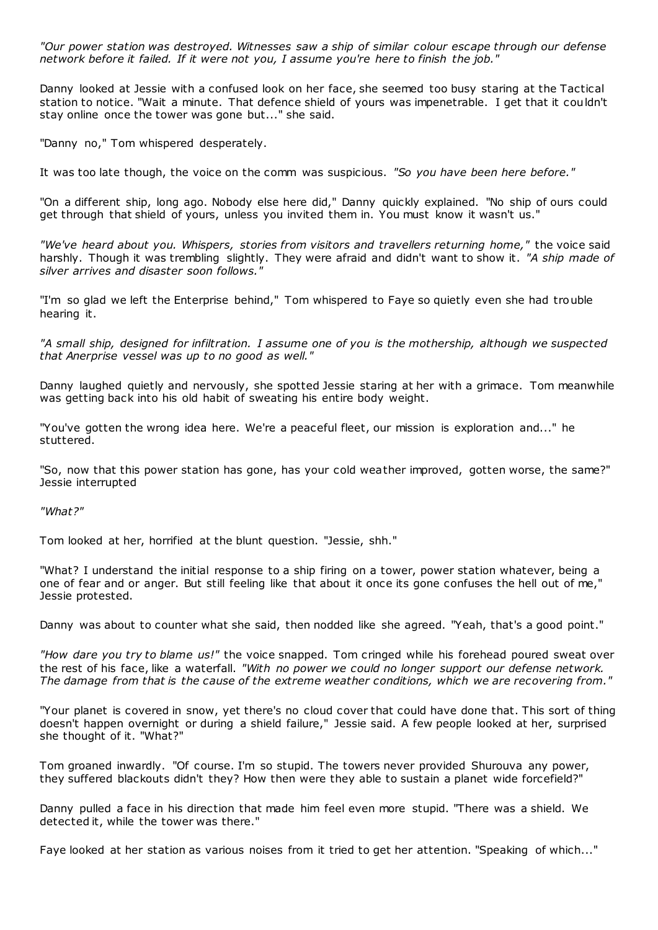*"Our power station was destroyed. Witnesses saw a ship of similar colour escape through our defense network before it failed. If it were not you, I assume you're here to finish the job."*

Danny looked at Jessie with a confused look on her face, she seemed too busy staring at the Tactical station to notice. "Wait a minute. That defence shield of yours was impenetrable. I get that it couldn't stay online once the tower was gone but..." she said.

"Danny no," Tom whispered desperately.

It was too late though, the voice on the comm was suspicious. *"So you have been here before."*

"On a different ship, long ago. Nobody else here did," Danny quickly explained. "No ship of ours could get through that shield of yours, unless you invited them in. You must know it wasn't us."

*"We've heard about you. Whispers, stories from visitors and travellers returning home,"* the voice said harshly. Though it was trembling slightly. They were afraid and didn't want to show it. *"A ship made of silver arrives and disaster soon follows."*

"I'm so glad we left the Enterprise behind," Tom whispered to Faye so quietly even she had trouble hearing it.

*"A small ship, designed for infiltration. I assume one of you is the mothership, although we suspected that Anerprise vessel was up to no good as well."*

Danny laughed quietly and nervously, she spotted Jessie staring at her with a grimace. Tom meanwhile was getting back into his old habit of sweating his entire body weight.

"You've gotten the wrong idea here. We're a peaceful fleet, our mission is exploration and..." he stuttered.

"So, now that this power station has gone, has your cold weather improved, gotten worse, the same?" Jessie interrupted

*"What?"*

Tom looked at her, horrified at the blunt question. "Jessie, shh."

"What? I understand the initial response to a ship firing on a tower, power station whatever, being a one of fear and or anger. But still feeling like that about it once its gone confuses the hell out of me," Jessie protested.

Danny was about to counter what she said, then nodded like she agreed. "Yeah, that's a good point."

*"How dare you try to blame us!"* the voice snapped. Tom cringed while his forehead poured sweat over the rest of his face, like a waterfall. *"With no power we could no longer support our defense network. The damage from that is the cause of the extreme weather conditions, which we are recovering from."*

"Your planet is covered in snow, yet there's no cloud cover that could have done that. This sort of thing doesn't happen overnight or during a shield failure," Jessie said. A few people looked at her, surprised she thought of it. "What?"

Tom groaned inwardly. "Of course. I'm so stupid. The towers never provided Shurouva any power, they suffered blackouts didn't they? How then were they able to sustain a planet wide forcefield?"

Danny pulled a face in his direction that made him feel even more stupid. "There was a shield. We detected it, while the tower was there."

Faye looked at her station as various noises from it tried to get her attention. "Speaking of which..."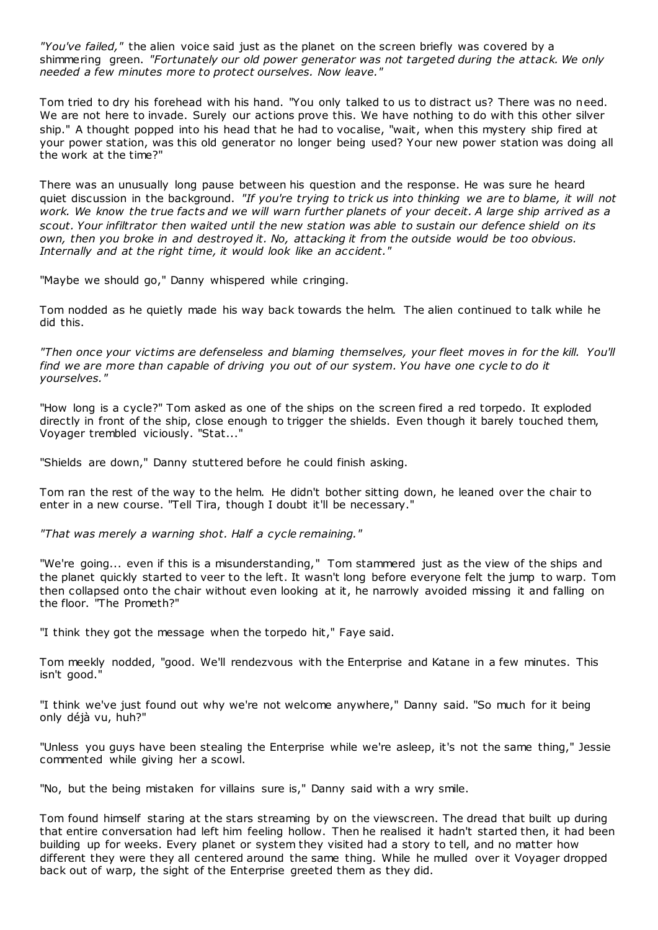*"You've failed,"* the alien voice said just as the planet on the screen briefly was covered by a shimmering green. *"Fortunately our old power generator was not targeted during the attack. We only needed a few minutes more to protect ourselves. Now leave."*

Tom tried to dry his forehead with his hand. "You only talked to us to distract us? There was no need. We are not here to invade. Surely our actions prove this. We have nothing to do with this other silver ship." A thought popped into his head that he had to vocalise, "wait, when this mystery ship fired at your power station, was this old generator no longer being used? Your new power station was doing all the work at the time?"

There was an unusually long pause between his question and the response. He was sure he heard quiet discussion in the background. *"If you're trying to trick us into thinking we are to blame, it will not work. We know the true facts and we will warn further planets of your deceit. A large ship arrived as a scout. Your infiltrator then waited until the new station was able to sustain our defence shield on its own, then you broke in and destroyed it. No, attacking it from the outside would be too obvious. Internally and at the right time, it would look like an accident."*

"Maybe we should go," Danny whispered while cringing.

Tom nodded as he quietly made his way back towards the helm. The alien continued to talk while he did this.

*"Then once your victims are defenseless and blaming themselves, your fleet moves in for the kill. You'll find we are more than capable of driving you out of our system. You have one cycle to do it yourselves."*

"How long is a cycle?" Tom asked as one of the ships on the screen fired a red torpedo. It exploded directly in front of the ship, close enough to trigger the shields. Even though it barely touched them, Voyager trembled viciously. "Stat..."

"Shields are down," Danny stuttered before he could finish asking.

Tom ran the rest of the way to the helm. He didn't bother sitting down, he leaned over the chair to enter in a new course. "Tell Tira, though I doubt it'll be necessary."

*"That was merely a warning shot. Half a cycle remaining."*

"We're going... even if this is a misunderstanding," Tom stammered just as the view of the ships and the planet quickly started to veer to the left. It wasn't long before everyone felt the jump to warp. Tom then collapsed onto the chair without even looking at it, he narrowly avoided missing it and falling on the floor. "The Prometh?"

"I think they got the message when the torpedo hit," Faye said.

Tom meekly nodded, "good. We'll rendezvous with the Enterprise and Katane in a few minutes. This isn't good."

"I think we've just found out why we're not welcome anywhere," Danny said. "So much for it being only déjà vu, huh?"

"Unless you guys have been stealing the Enterprise while we're asleep, it's not the same thing," Jessie commented while giving her a scowl.

"No, but the being mistaken for villains sure is," Danny said with a wry smile.

Tom found himself staring at the stars streaming by on the viewscreen. The dread that built up during that entire conversation had left him feeling hollow. Then he realised it hadn't started then, it had been building up for weeks. Every planet or system they visited had a story to tell, and no matter how different they were they all centered around the same thing. While he mulled over it Voyager dropped back out of warp, the sight of the Enterprise greeted them as they did.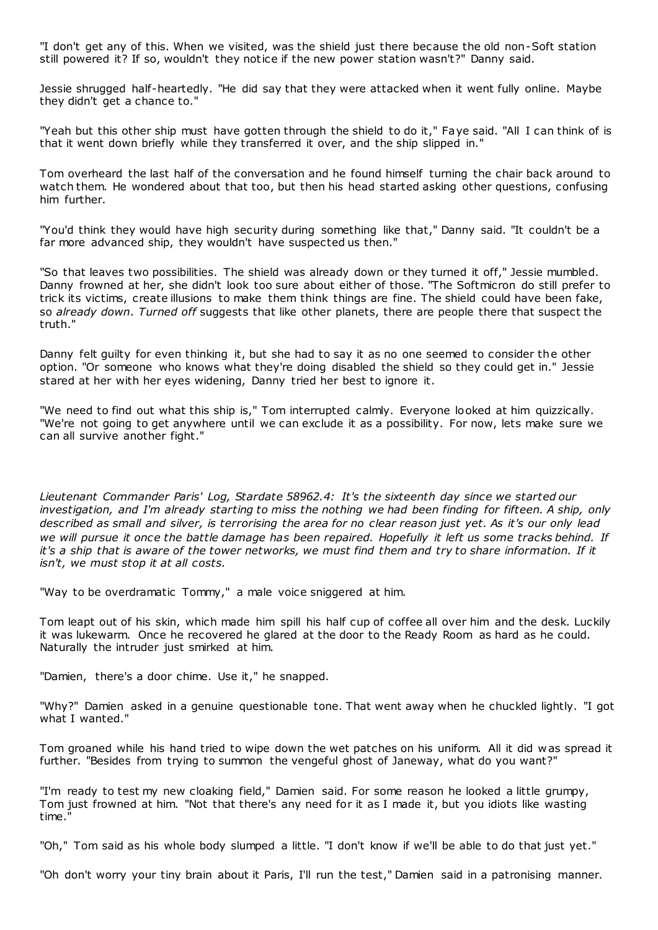"I don't get any of this. When we visited, was the shield just there because the old non-Soft station still powered it? If so, wouldn't they notice if the new power station wasn't?" Danny said.

Jessie shrugged half-heartedly. "He did say that they were attacked when it went fully online. Maybe they didn't get a chance to."

"Yeah but this other ship must have gotten through the shield to do it," Faye said. "All I can think of is that it went down briefly while they transferred it over, and the ship slipped in."

Tom overheard the last half of the conversation and he found himself turning the chair back around to watch them. He wondered about that too, but then his head started asking other questions, confusing him further.

"You'd think they would have high security during something like that," Danny said. "It couldn't be a far more advanced ship, they wouldn't have suspected us then."

"So that leaves two possibilities. The shield was already down or they turned it off," Jessie mumbled. Danny frowned at her, she didn't look too sure about either of those. "The Softmicron do still prefer to trick its victims, create illusions to make them think things are fine. The shield could have been fake, so *already down*. *Turned off* suggests that like other planets, there are people there that suspect the truth."

Danny felt guilty for even thinking it, but she had to say it as no one seemed to consider the other option. "Or someone who knows what they're doing disabled the shield so they could get in." Jessie stared at her with her eyes widening, Danny tried her best to ignore it.

"We need to find out what this ship is," Tom interrupted calmly. Everyone looked at him quizzically. "We're not going to get anywhere until we can exclude it as a possibility. For now, lets make sure we can all survive another fight."

*Lieutenant Commander Paris' Log, Stardate 58962.4: It's the sixteenth day since we started our investigation, and I'm already starting to miss the nothing we had been finding for fifteen. A ship, only described as small and silver, is terrorising the area for no clear reason just yet. As it's our only lead we will pursue it once the battle damage has been repaired. Hopefully it left us some tracks behind. If it's a ship that is aware of the tower networks, we must find them and try to share information. If it isn't, we must stop it at all costs.*

"Way to be overdramatic Tommy," a male voice sniggered at him.

Tom leapt out of his skin, which made him spill his half cup of coffee all over him and the desk. Luckily it was lukewarm. Once he recovered he glared at the door to the Ready Room as hard as he could. Naturally the intruder just smirked at him.

"Damien, there's a door chime. Use it," he snapped.

"Why?" Damien asked in a genuine questionable tone. That went away when he chuckled lightly. "I got what I wanted."

Tom groaned while his hand tried to wipe down the wet patches on his uniform. All it did w as spread it further. "Besides from trying to summon the vengeful ghost of Janeway, what do you want?"

"I'm ready to test my new cloaking field," Damien said. For some reason he looked a little grumpy, Tom just frowned at him. "Not that there's any need for it as I made it, but you idiots like wasting time."

"Oh," Tom said as his whole body slumped a little. "I don't know if we'll be able to do that just yet."

"Oh don't worry your tiny brain about it Paris, I'll run the test," Damien said in a patronising manner.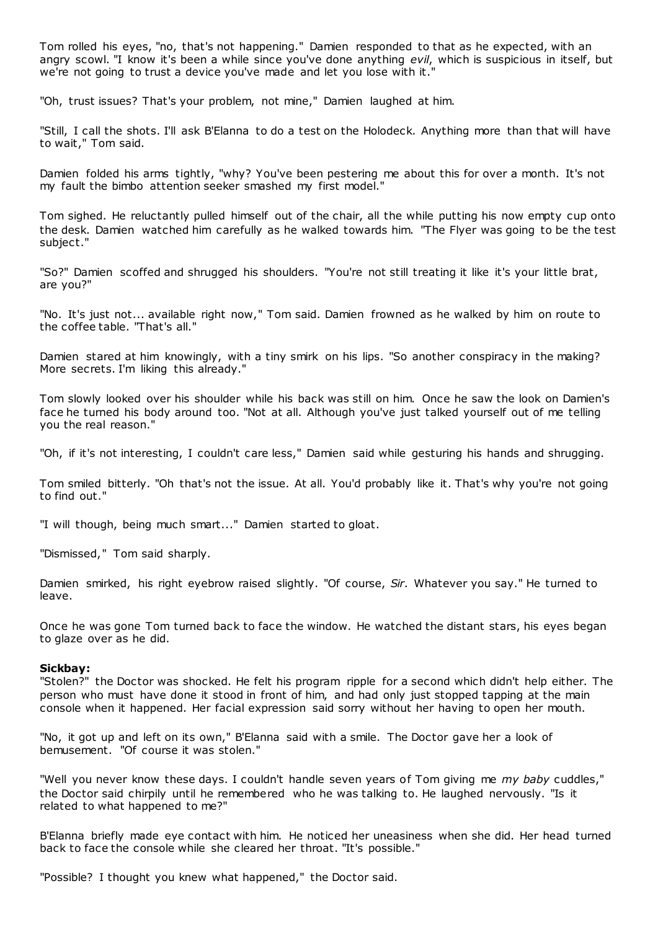Tom rolled his eyes, "no, that's not happening." Damien responded to that as he expected, with an angry scowl. "I know it's been a while since you've done anything *evil*, which is suspicious in itself, but we're not going to trust a device you've made and let you lose with it."

"Oh, trust issues? That's your problem, not mine," Damien laughed at him.

"Still, I call the shots. I'll ask B'Elanna to do a test on the Holodeck. Anything more than that will have to wait," Tom said.

Damien folded his arms tightly, "why? You've been pestering me about this for over a month. It's not my fault the bimbo attention seeker smashed my first model."

Tom sighed. He reluctantly pulled himself out of the chair, all the while putting his now empty cup onto the desk. Damien watched him carefully as he walked towards him. "The Flyer was going to be the test subject."

"So?" Damien scoffed and shrugged his shoulders. "You're not still treating it like it's your little brat, are you?"

"No. It's just not... available right now," Tom said. Damien frowned as he walked by him on route to the coffee table. "That's all."

Damien stared at him knowingly, with a tiny smirk on his lips. "So another conspiracy in the making? More secrets. I'm liking this already."

Tom slowly looked over his shoulder while his back was still on him. Once he saw the look on Damien's face he turned his body around too. "Not at all. Although you've just talked yourself out of me telling you the real reason."

"Oh, if it's not interesting, I couldn't care less," Damien said while gesturing his hands and shrugging.

Tom smiled bitterly. "Oh that's not the issue. At all. You'd probably like it. That's why you're not going to find out."

"I will though, being much smart..." Damien started to gloat.

"Dismissed," Tom said sharply.

Damien smirked, his right eyebrow raised slightly. "Of course, *Sir.* Whatever you say." He turned to leave.

Once he was gone Tom turned back to face the window. He watched the distant stars, his eyes began to glaze over as he did.

## **Sickbay:**

"Stolen?" the Doctor was shocked. He felt his program ripple for a second which didn't help either. The person who must have done it stood in front of him, and had only just stopped tapping at the main console when it happened. Her facial expression said sorry without her having to open her mouth.

"No, it got up and left on its own," B'Elanna said with a smile. The Doctor gave her a look of bemusement. "Of course it was stolen."

"Well you never know these days. I couldn't handle seven years of Tom giving me *my baby* cuddles," the Doctor said chirpily until he remembered who he was talking to. He laughed nervously. "Is it related to what happened to me?"

B'Elanna briefly made eye contact with him. He noticed her uneasiness when she did. Her head turned back to face the console while she cleared her throat. "It's possible."

"Possible? I thought you knew what happened," the Doctor said.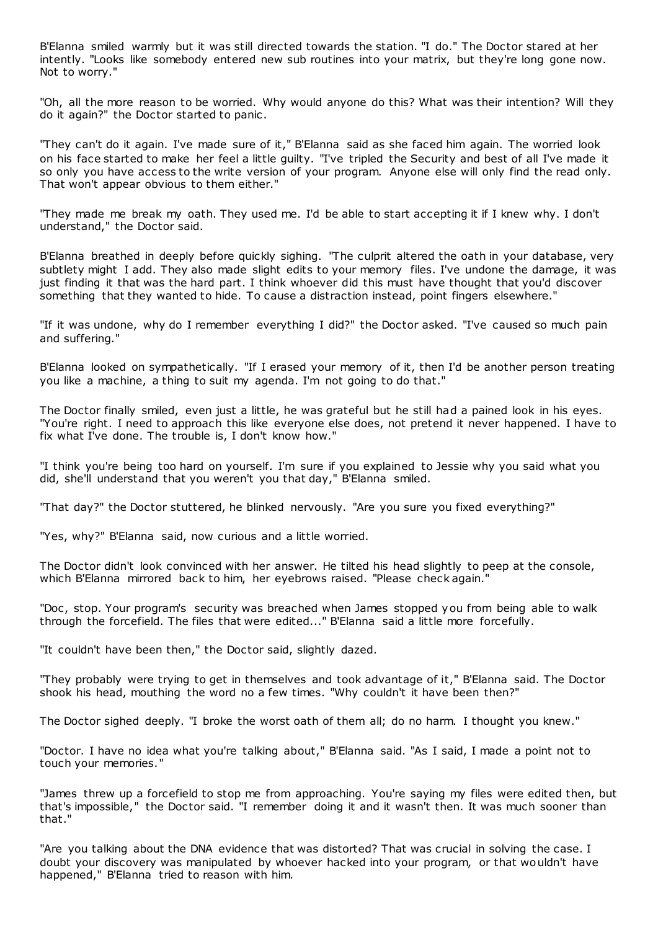B'Elanna smiled warmly but it was still directed towards the station. "I do." The Doctor stared at her intently. "Looks like somebody entered new sub routines into your matrix, but they're long gone now. Not to worry."

"Oh, all the more reason to be worried. Why would anyone do this? What was their intention? Will they do it again?" the Doctor started to panic .

"They can't do it again. I've made sure of it," B'Elanna said as she faced him again. The worried look on his face started to make her feel a little guilty. "I've tripled the Security and best of all I've made it so only you have access to the write version of your program. Anyone else will only find the read only. That won't appear obvious to them either."

"They made me break my oath. They used me. I'd be able to start accepting it if I knew why. I don't understand," the Doctor said.

B'Elanna breathed in deeply before quickly sighing. "The culprit altered the oath in your database, very subtlety might I add. They also made slight edits to your memory files. I've undone the damage, it was just finding it that was the hard part. I think whoever did this must have thought that you'd discover something that they wanted to hide. To cause a distraction instead, point fingers elsewhere."

"If it was undone, why do I remember everything I did?" the Doctor asked. "I've caused so much pain and suffering."

B'Elanna looked on sympathetically. "If I erased your memory of it, then I'd be another person treating you like a machine, a thing to suit my agenda. I'm not going to do that."

The Doctor finally smiled, even just a little, he was grateful but he still had a pained look in his eyes. "You're right. I need to approach this like everyone else does, not pretend it never happened. I have to fix what I've done. The trouble is, I don't know how."

"I think you're being too hard on yourself. I'm sure if you explained to Jessie why you said what you did, she'll understand that you weren't you that day," B'Elanna smiled.

"That day?" the Doctor stuttered, he blinked nervously. "Are you sure you fixed everything?"

"Yes, why?" B'Elanna said, now curious and a little worried.

The Doctor didn't look convinced with her answer. He tilted his head slightly to peep at the console, which B'Elanna mirrored back to him, her eyebrows raised. "Please check again."

"Doc, stop. Your program's security was breached when James stopped you from being able to walk through the forcefield. The files that were edited..." B'Elanna said a little more forcefully.

"It couldn't have been then," the Doctor said, slightly dazed.

"They probably were trying to get in themselves and took advantage of it," B'Elanna said. The Doctor shook his head, mouthing the word no a few times. "Why couldn't it have been then?"

The Doctor sighed deeply. "I broke the worst oath of them all; do no harm. I thought you knew."

"Doctor. I have no idea what you're talking about," B'Elanna said. "As I said, I made a point not to touch your memories."

"James threw up a forcefield to stop me from approaching. You're saying my files were edited then, but that's impossible," the Doctor said. "I remember doing it and it wasn't then. It was much sooner than that."

"Are you talking about the DNA evidence that was distorted? That was crucial in solving the case. I doubt your discovery was manipulated by whoever hacked into your program, or that wouldn't have happened," B'Elanna tried to reason with him.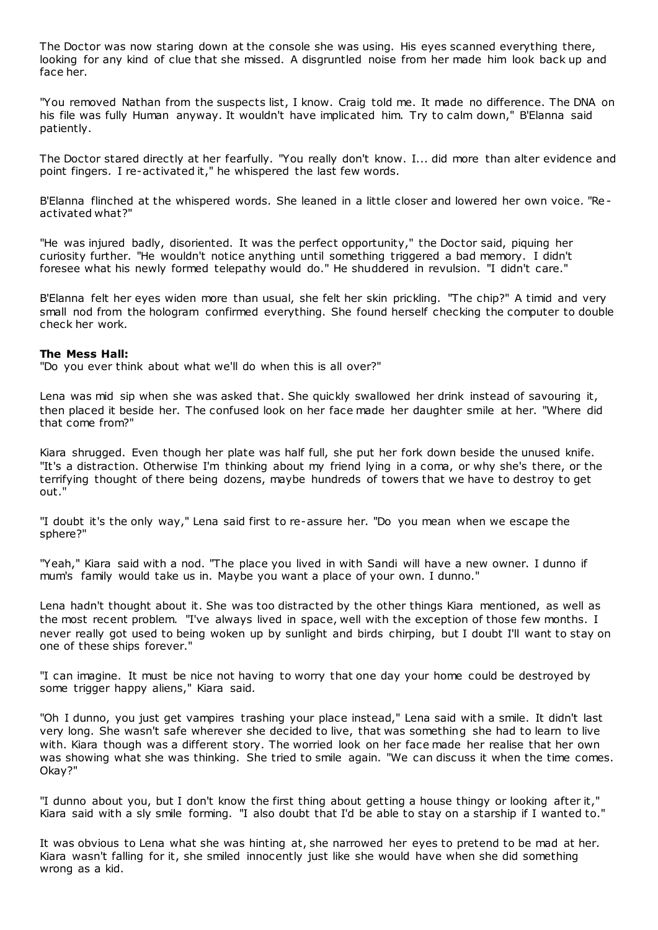The Doctor was now staring down at the console she was using. His eyes scanned everything there, looking for any kind of clue that she missed. A disgruntled noise from her made him look back up and face her.

"You removed Nathan from the suspects list, I know. Craig told me. It made no difference. The DNA on his file was fully Human anyway. It wouldn't have implicated him. Try to calm down," B'Elanna said patiently.

The Doctor stared directly at her fearfully. "You really don't know. I... did more than alter evidence and point fingers. I re-activated it," he whispered the last few words.

B'Elanna flinched at the whispered words. She leaned in a little closer and lowered her own voice. "Reactivated what?"

"He was injured badly, disoriented. It was the perfect opportunity," the Doctor said, piquing her curiosity further. "He wouldn't notice anything until something triggered a bad memory. I didn't foresee what his newly formed telepathy would do." He shuddered in revulsion. "I didn't care."

B'Elanna felt her eyes widen more than usual, she felt her skin prickling. "The chip?" A timid and very small nod from the hologram confirmed everything. She found herself checking the computer to double check her work.

#### **The Mess Hall:**

"Do you ever think about what we'll do when this is all over?"

Lena was mid sip when she was asked that. She quickly swallowed her drink instead of savouring it, then placed it beside her. The confused look on her face made her daughter smile at her. "Where did that come from?"

Kiara shrugged. Even though her plate was half full, she put her fork down beside the unused knife. "It's a distraction. Otherwise I'm thinking about my friend lying in a coma, or why she's there, or the terrifying thought of there being dozens, maybe hundreds of towers that we have to destroy to get out."

"I doubt it's the only way," Lena said first to re-assure her. "Do you mean when we escape the sphere?"

"Yeah," Kiara said with a nod. "The place you lived in with Sandi will have a new owner. I dunno if mum's family would take us in. Maybe you want a place of your own. I dunno."

Lena hadn't thought about it. She was too distracted by the other things Kiara mentioned, as well as the most recent problem. "I've always lived in space, well with the exception of those few months. I never really got used to being woken up by sunlight and birds chirping, but I doubt I'll want to stay on one of these ships forever."

"I can imagine. It must be nice not having to worry that one day your home could be destroyed by some trigger happy aliens," Kiara said.

"Oh I dunno, you just get vampires trashing your place instead," Lena said with a smile. It didn't last very long. She wasn't safe wherever she decided to live, that was something she had to learn to live with. Kiara though was a different story. The worried look on her face made her realise that her own was showing what she was thinking. She tried to smile again. "We can discuss it when the time comes. Okay?"

"I dunno about you, but I don't know the first thing about getting a house thingy or looking after it," Kiara said with a sly smile forming. "I also doubt that I'd be able to stay on a starship if I wanted to."

It was obvious to Lena what she was hinting at, she narrowed her eyes to pretend to be mad at her. Kiara wasn't falling for it, she smiled innocently just like she would have when she did something wrong as a kid.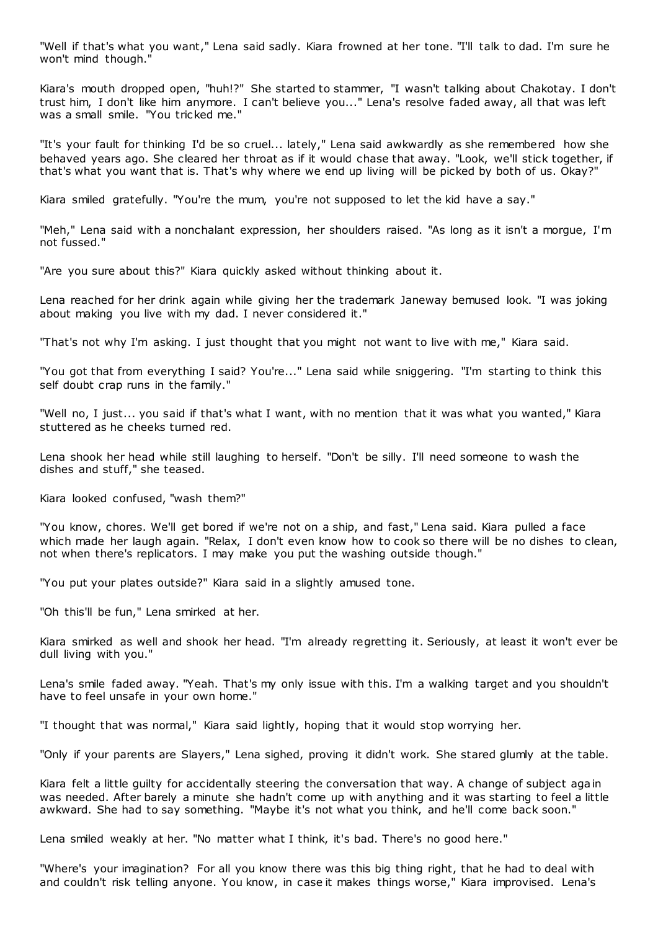"Well if that's what you want," Lena said sadly. Kiara frowned at her tone. "I'll talk to dad. I'm sure he won't mind though."

Kiara's mouth dropped open, "huh!?" She started to stammer, "I wasn't talking about Chakotay. I don't trust him, I don't like him anymore. I can't believe you..." Lena's resolve faded away, all that was left was a small smile. "You tricked me."

"It's your fault for thinking I'd be so cruel... lately," Lena said awkwardly as she remembered how she behaved years ago. She cleared her throat as if it would chase that away. "Look, we'll stick together, if that's what you want that is. That's why where we end up living will be picked by both of us. Okay?"

Kiara smiled gratefully. "You're the mum, you're not supposed to let the kid have a say."

"Meh," Lena said with a nonchalant expression, her shoulders raised. "As long as it isn't a morgue, I'm not fussed."

"Are you sure about this?" Kiara quickly asked without thinking about it.

Lena reached for her drink again while giving her the trademark Janeway bemused look. "I was joking about making you live with my dad. I never considered it."

"That's not why I'm asking. I just thought that you might not want to live with me," Kiara said.

"You got that from everything I said? You're..." Lena said while sniggering. "I'm starting to think this self doubt crap runs in the family."

"Well no, I just... you said if that's what I want, with no mention that it was what you wanted," Kiara stuttered as he cheeks turned red.

Lena shook her head while still laughing to herself. "Don't be silly. I'll need someone to wash the dishes and stuff," she teased.

Kiara looked confused, "wash them?"

"You know, chores. We'll get bored if we're not on a ship, and fast," Lena said. Kiara pulled a face which made her laugh again. "Relax, I don't even know how to cook so there will be no dishes to clean, not when there's replicators. I may make you put the washing outside though."

"You put your plates outside?" Kiara said in a slightly amused tone.

"Oh this'll be fun," Lena smirked at her.

Kiara smirked as well and shook her head. "I'm already regretting it. Seriously, at least it won't ever be dull living with you."

Lena's smile faded away. "Yeah. That's my only issue with this. I'm a walking target and you shouldn't have to feel unsafe in your own home."

"I thought that was normal," Kiara said lightly, hoping that it would stop worrying her.

"Only if your parents are Slayers," Lena sighed, proving it didn't work. She stared glumly at the table.

Kiara felt a little guilty for accidentally steering the conversation that way. A change of subject again was needed. After barely a minute she hadn't come up with anything and it was starting to feel a little awkward. She had to say something. "Maybe it's not what you think, and he'll come back soon."

Lena smiled weakly at her. "No matter what I think, it's bad. There's no good here."

"Where's your imagination? For all you know there was this big thing right, that he had to deal with and couldn't risk telling anyone. You know, in case it makes things worse," Kiara improvised. Lena's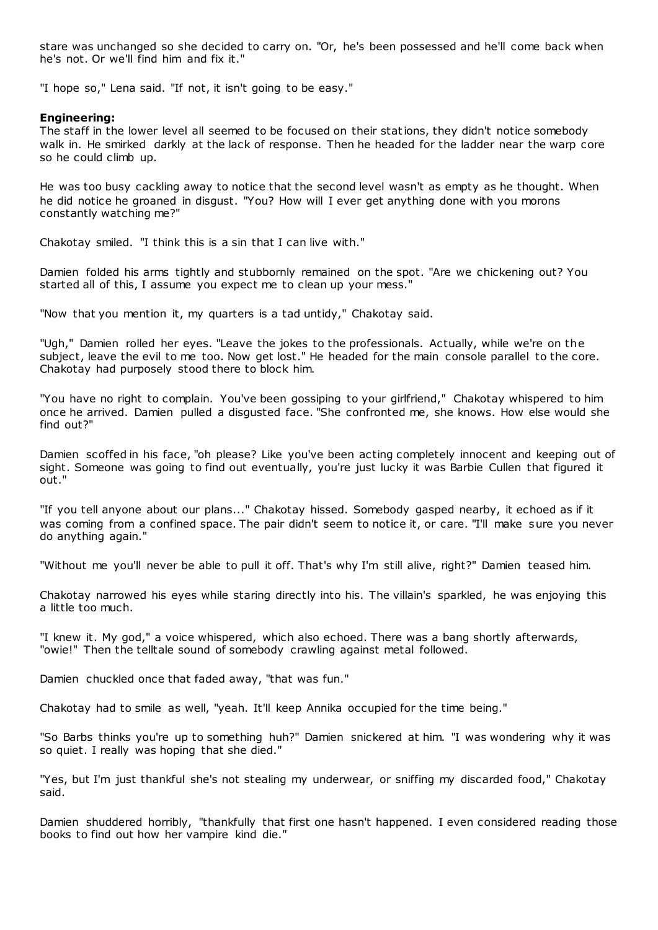stare was unchanged so she decided to carry on. "Or, he's been possessed and he'll come back when he's not. Or we'll find him and fix it."

"I hope so," Lena said. "If not, it isn't going to be easy."

## **Engineering:**

The staff in the lower level all seemed to be focused on their stations, they didn't notice somebody walk in. He smirked darkly at the lack of response. Then he headed for the ladder near the warp core so he could climb up.

He was too busy cackling away to notice that the second level wasn't as empty as he thought. When he did notice he groaned in disgust. "You? How will I ever get anything done with you morons constantly watching me?"

Chakotay smiled. "I think this is a sin that I can live with."

Damien folded his arms tightly and stubbornly remained on the spot. "Are we chickening out? You started all of this, I assume you expect me to clean up your mess."

"Now that you mention it, my quarters is a tad untidy," Chakotay said.

"Ugh," Damien rolled her eyes. "Leave the jokes to the professionals. Actually, while we're on the subject, leave the evil to me too. Now get lost." He headed for the main console parallel to the core. Chakotay had purposely stood there to block him.

"You have no right to complain. You've been gossiping to your girlfriend," Chakotay whispered to him once he arrived. Damien pulled a disgusted face. "She confronted me, she knows. How else would she find out?"

Damien scoffed in his face, "oh please? Like you've been acting completely innocent and keeping out of sight. Someone was going to find out eventually, you're just lucky it was Barbie Cullen that figured it out."

"If you tell anyone about our plans..." Chakotay hissed. Somebody gasped nearby, it echoed as if it was coming from a confined space. The pair didn't seem to notice it, or care. "I'll make sure you never do anything again."

"Without me you'll never be able to pull it off. That's why I'm still alive, right?" Damien teased him.

Chakotay narrowed his eyes while staring directly into his. The villain's sparkled, he was enjoying this a little too much.

"I knew it. My god," a voice whispered, which also echoed. There was a bang shortly afterwards, "owie!" Then the telltale sound of somebody crawling against metal followed.

Damien chuckled once that faded away, "that was fun."

Chakotay had to smile as well, "yeah. It'll keep Annika occupied for the time being."

"So Barbs thinks you're up to something huh?" Damien snickered at him. "I was wondering why it was so quiet. I really was hoping that she died."

"Yes, but I'm just thankful she's not stealing my underwear, or sniffing my discarded food," Chakotay said.

Damien shuddered horribly, "thankfully that first one hasn't happened. I even considered reading those books to find out how her vampire kind die."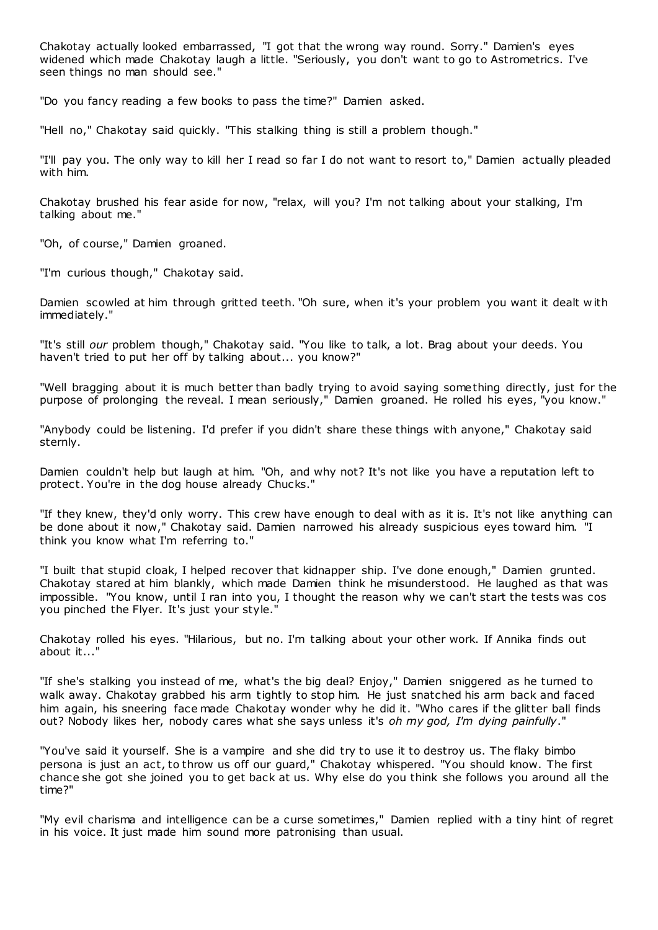Chakotay actually looked embarrassed, "I got that the wrong way round. Sorry." Damien's eyes widened which made Chakotay laugh a little. "Seriously, you don't want to go to Astrometrics. I've seen things no man should see."

"Do you fancy reading a few books to pass the time?" Damien asked.

"Hell no," Chakotay said quickly. "This stalking thing is still a problem though."

"I'll pay you. The only way to kill her I read so far I do not want to resort to," Damien actually pleaded with him.

Chakotay brushed his fear aside for now, "relax, will you? I'm not talking about your stalking, I'm talking about me."

"Oh, of course," Damien groaned.

"I'm curious though," Chakotay said.

Damien scowled at him through gritted teeth. "Oh sure, when it's your problem you want it dealt w ith immediately."

"It's still *our* problem though," Chakotay said. "You like to talk, a lot. Brag about your deeds. You haven't tried to put her off by talking about... you know?"

"Well bragging about it is much better than badly trying to avoid saying something directly, just for the purpose of prolonging the reveal. I mean seriously," Damien groaned. He rolled his eyes, "you know."

"Anybody could be listening. I'd prefer if you didn't share these things with anyone," Chakotay said sternly.

Damien couldn't help but laugh at him. "Oh, and why not? It's not like you have a reputation left to protect. You're in the dog house already Chucks."

"If they knew, they'd only worry. This crew have enough to deal with as it is. It's not like anything can be done about it now," Chakotay said. Damien narrowed his already suspicious eyes toward him. "I think you know what I'm referring to."

"I built that stupid cloak, I helped recover that kidnapper ship. I've done enough," Damien grunted. Chakotay stared at him blankly, which made Damien think he misunderstood. He laughed as that was impossible. "You know, until I ran into you, I thought the reason why we can't start the tests was cos you pinched the Flyer. It's just your style."

Chakotay rolled his eyes. "Hilarious, but no. I'm talking about your other work. If Annika finds out about it..."

"If she's stalking you instead of me, what's the big deal? Enjoy," Damien sniggered as he turned to walk away. Chakotay grabbed his arm tightly to stop him. He just snatched his arm back and faced him again, his sneering face made Chakotay wonder why he did it. "Who cares if the glitter ball finds out? Nobody likes her, nobody cares what she says unless it's *oh my god, I'm dying painfully*."

"You've said it yourself. She is a vampire and she did try to use it to destroy us. The flaky bimbo persona is just an act, to throw us off our guard," Chakotay whispered. "You should know. The first chance she got she joined you to get back at us. Why else do you think she follows you around all the time?"

"My evil charisma and intelligence can be a curse sometimes," Damien replied with a tiny hint of regret in his voice. It just made him sound more patronising than usual.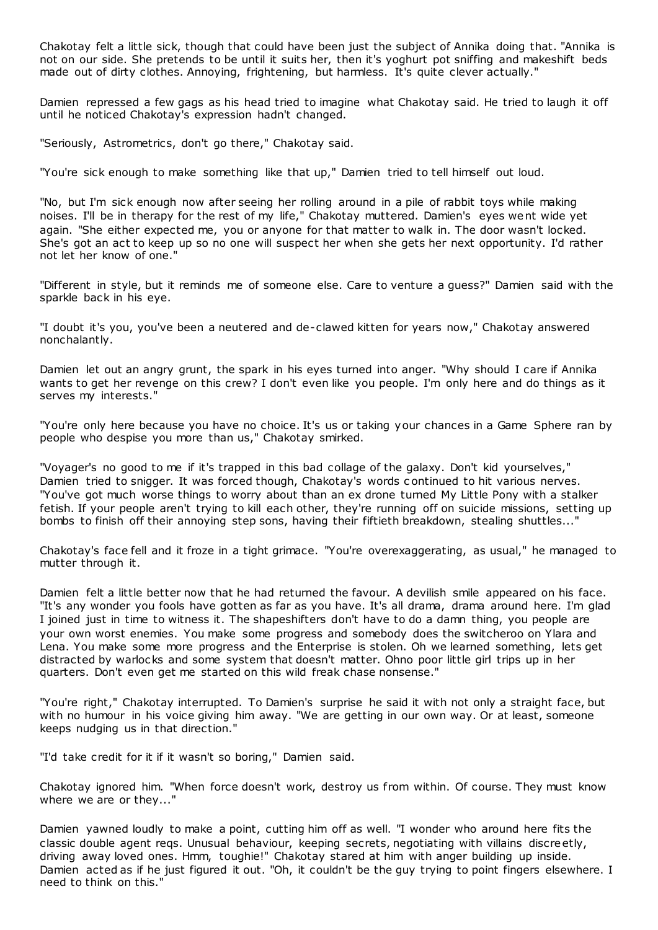Chakotay felt a little sick, though that could have been just the subject of Annika doing that. "Annika is not on our side. She pretends to be until it suits her, then it's yoghurt pot sniffing and makeshift beds made out of dirty clothes. Annoying, frightening, but harmless. It's quite clever actually."

Damien repressed a few gags as his head tried to imagine what Chakotay said. He tried to laugh it off until he noticed Chakotay's expression hadn't changed.

"Seriously, Astrometrics, don't go there," Chakotay said.

"You're sick enough to make something like that up," Damien tried to tell himself out loud.

"No, but I'm sick enough now after seeing her rolling around in a pile of rabbit toys while making noises. I'll be in therapy for the rest of my life," Chakotay muttered. Damien's eyes went wide yet again. "She either expected me, you or anyone for that matter to walk in. The door wasn't locked. She's got an act to keep up so no one will suspect her when she gets her next opportunity. I'd rather not let her know of one."

"Different in style, but it reminds me of someone else. Care to venture a guess?" Damien said with the sparkle back in his eye.

"I doubt it's you, you've been a neutered and de-clawed kitten for years now," Chakotay answered nonchalantly.

Damien let out an angry grunt, the spark in his eyes turned into anger. "Why should I care if Annika wants to get her revenge on this crew? I don't even like you people. I'm only here and do things as it serves my interests."

"You're only here because you have no choice. It's us or taking your chances in a Game Sphere ran by people who despise you more than us," Chakotay smirked.

"Voyager's no good to me if it's trapped in this bad collage of the galaxy. Don't kid yourselves," Damien tried to snigger. It was forced though, Chakotay's words c ontinued to hit various nerves. "You've got much worse things to worry about than an ex drone turned My Little Pony with a stalker fetish. If your people aren't trying to kill each other, they're running off on suicide missions, setting up bombs to finish off their annoying step sons, having their fiftieth breakdown, stealing shuttles..."

Chakotay's face fell and it froze in a tight grimace. "You're overexaggerating, as usual," he managed to mutter through it.

Damien felt a little better now that he had returned the favour. A devilish smile appeared on his face. "It's any wonder you fools have gotten as far as you have. It's all drama, drama around here. I'm glad I joined just in time to witness it. The shapeshifters don't have to do a damn thing, you people are your own worst enemies. You make some progress and somebody does the switcheroo on Ylara and Lena. You make some more progress and the Enterprise is stolen. Oh we learned something, lets get distracted by warlocks and some system that doesn't matter. Ohno poor little girl trips up in her quarters. Don't even get me started on this wild freak chase nonsense."

"You're right," Chakotay interrupted. To Damien's surprise he said it with not only a straight face, but with no humour in his voice giving him away. "We are getting in our own way. Or at least, someone keeps nudging us in that direction."

"I'd take credit for it if it wasn't so boring," Damien said.

Chakotay ignored him. "When force doesn't work, destroy us from within. Of course. They must know where we are or they..."

Damien yawned loudly to make a point, cutting him off as well. "I wonder who around here fits the classic double agent reqs. Unusual behaviour, keeping secrets, negotiating with villains discreetly, driving away loved ones. Hmm, toughie!" Chakotay stared at him with anger building up inside. Damien acted as if he just figured it out. "Oh, it couldn't be the guy trying to point fingers elsewhere. I need to think on this."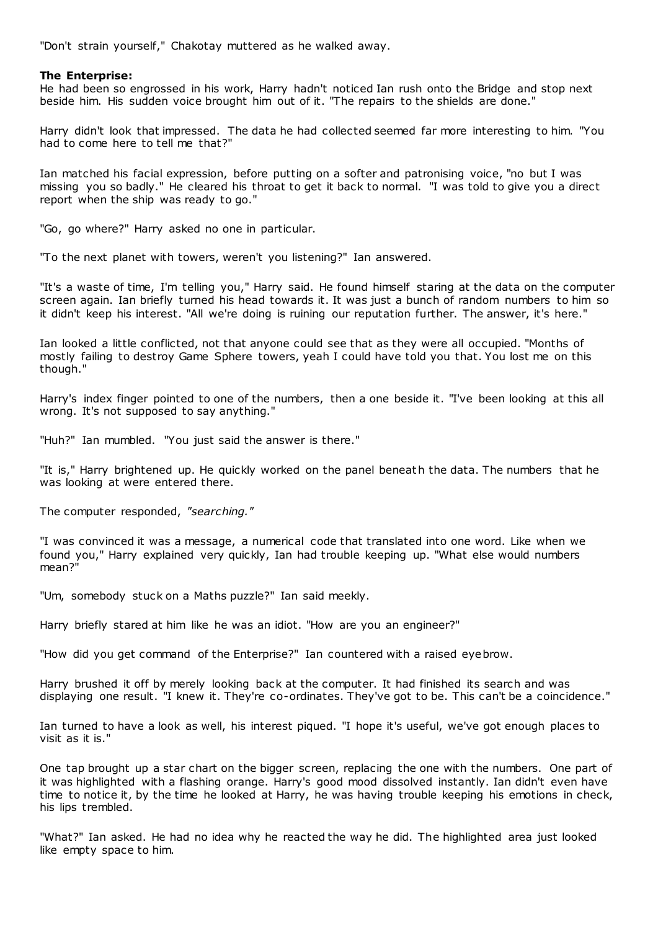"Don't strain yourself," Chakotay muttered as he walked away.

## **The Enterprise:**

He had been so engrossed in his work, Harry hadn't noticed Ian rush onto the Bridge and stop next beside him. His sudden voice brought him out of it. "The repairs to the shields are done."

Harry didn't look that impressed. The data he had collected seemed far more interesting to him. "You had to come here to tell me that?"

Ian matched his facial expression, before putting on a softer and patronising voice, "no but I was missing you so badly." He cleared his throat to get it back to normal. "I was told to give you a direct report when the ship was ready to go."

"Go, go where?" Harry asked no one in particular.

"To the next planet with towers, weren't you listening?" Ian answered.

"It's a waste of time, I'm telling you," Harry said. He found himself staring at the data on the computer screen again. Ian briefly turned his head towards it. It was just a bunch of random numbers to him so it didn't keep his interest. "All we're doing is ruining our reputation further. The answer, it's here."

Ian looked a little conflicted, not that anyone could see that as they were all occupied. "Months of mostly failing to destroy Game Sphere towers, yeah I could have told you that. You lost me on this though."

Harry's index finger pointed to one of the numbers, then a one beside it. "I've been looking at this all wrong. It's not supposed to say anything."

"Huh?" Ian mumbled. "You just said the answer is there."

"It is," Harry brightened up. He quickly worked on the panel beneath the data. The numbers that he was looking at were entered there.

The computer responded, *"searching."*

"I was convinced it was a message, a numerical code that translated into one word. Like when we found you," Harry explained very quickly, Ian had trouble keeping up. "What else would numbers mean?"

"Um, somebody stuck on a Maths puzzle?" Ian said meekly.

Harry briefly stared at him like he was an idiot. "How are you an engineer?"

"How did you get command of the Enterprise?" Ian countered with a raised eyebrow.

Harry brushed it off by merely looking back at the computer. It had finished its search and was displaying one result. "I knew it. They're co-ordinates. They've got to be. This can't be a coincidence."

Ian turned to have a look as well, his interest piqued. "I hope it's useful, we've got enough places to visit as it is."

One tap brought up a star chart on the bigger screen, replacing the one with the numbers. One part of it was highlighted with a flashing orange. Harry's good mood dissolved instantly. Ian didn't even have time to notice it, by the time he looked at Harry, he was having trouble keeping his emotions in check, his lips trembled.

"What?" Ian asked. He had no idea why he reacted the way he did. The highlighted area just looked like empty space to him.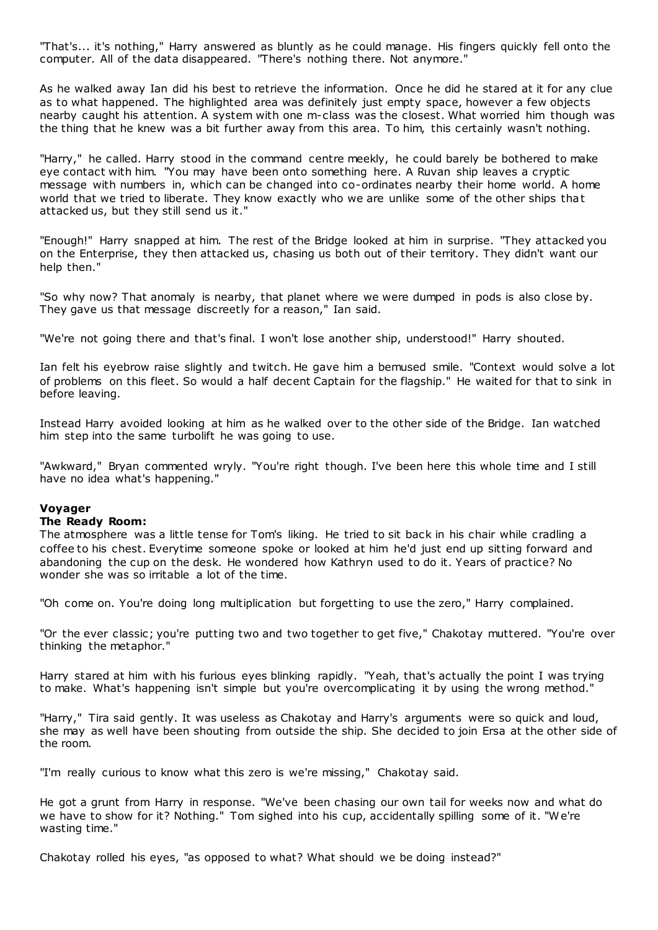"That's... it's nothing," Harry answered as bluntly as he could manage. His fingers quickly fell onto the computer. All of the data disappeared. "There's nothing there. Not anymore."

As he walked away Ian did his best to retrieve the information. Once he did he stared at it for any clue as to what happened. The highlighted area was definitely just empty space, however a few objects nearby caught his attention. A system with one m-class was the closest. What worried him though was the thing that he knew was a bit further away from this area. To him, this certainly wasn't nothing.

"Harry," he called. Harry stood in the command centre meekly, he could barely be bothered to make eye contact with him. "You may have been onto something here. A Ruvan ship leaves a cryptic message with numbers in, which can be changed into co-ordinates nearby their home world. A home world that we tried to liberate. They know exactly who we are unlike some of the other ships that attacked us, but they still send us it."

"Enough!" Harry snapped at him. The rest of the Bridge looked at him in surprise. "They attacked you on the Enterprise, they then attacked us, chasing us both out of their territory. They didn't want our help then."

"So why now? That anomaly is nearby, that planet where we were dumped in pods is also close by. They gave us that message discreetly for a reason," Ian said.

"We're not going there and that's final. I won't lose another ship, understood!" Harry shouted.

Ian felt his eyebrow raise slightly and twitch. He gave him a bemused smile. "Context would solve a lot of problems on this fleet. So would a half decent Captain for the flagship." He waited for that to sink in before leaving.

Instead Harry avoided looking at him as he walked over to the other side of the Bridge. Ian watched him step into the same turbolift he was going to use.

"Awkward," Bryan commented wryly. "You're right though. I've been here this whole time and I still have no idea what's happening."

## **Voyager**

## **The Ready Room:**

The atmosphere was a little tense for Tom's liking. He tried to sit back in his chair while cradling a coffee to his chest. Everytime someone spoke or looked at him he'd just end up sitting forward and abandoning the cup on the desk. He wondered how Kathryn used to do it. Years of practice? No wonder she was so irritable a lot of the time.

"Oh come on. You're doing long multiplication but forgetting to use the zero," Harry complained.

"Or the ever classic; you're putting two and two together to get five," Chakotay muttered. "You're over thinking the metaphor."

Harry stared at him with his furious eyes blinking rapidly. "Yeah, that's actually the point I was trying to make. What's happening isn't simple but you're overcomplicating it by using the wrong method."

"Harry," Tira said gently. It was useless as Chakotay and Harry's arguments were so quick and loud, she may as well have been shouting from outside the ship. She decided to join Ersa at the other side of the room.

"I'm really curious to know what this zero is we're missing," Chakotay said.

He got a grunt from Harry in response. "We've been chasing our own tail for weeks now and what do we have to show for it? Nothing." Tom sighed into his cup, accidentally spilling some of it. "We're wasting time."

Chakotay rolled his eyes, "as opposed to what? What should we be doing instead?"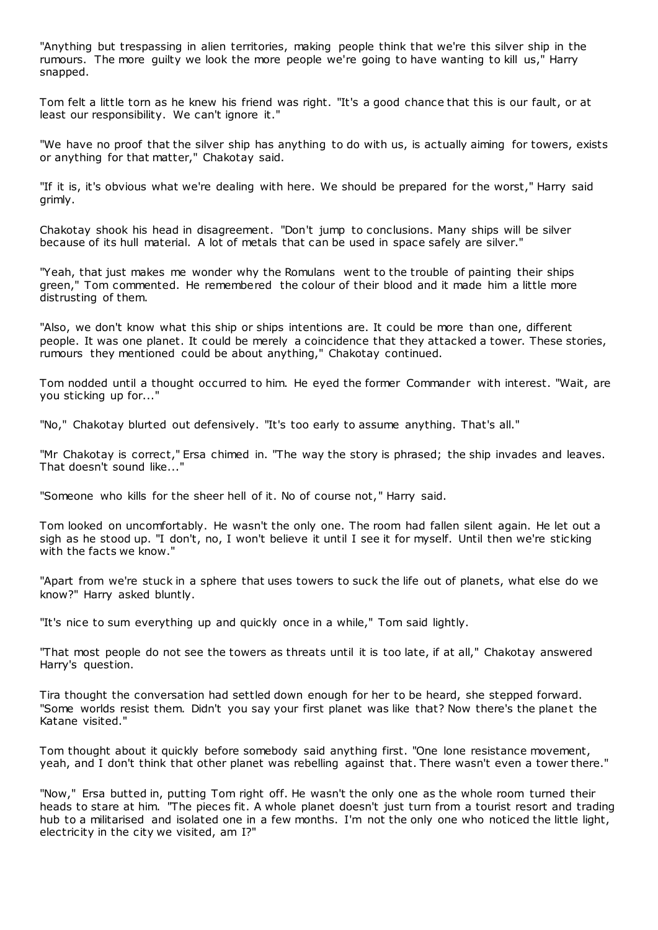"Anything but trespassing in alien territories, making people think that we're this silver ship in the rumours. The more guilty we look the more people we're going to have wanting to kill us," Harry snapped.

Tom felt a little torn as he knew his friend was right. "It's a good chance that this is our fault, or at least our responsibility. We can't ignore it."

"We have no proof that the silver ship has anything to do with us, is actually aiming for towers, exists or anything for that matter," Chakotay said.

"If it is, it's obvious what we're dealing with here. We should be prepared for the worst," Harry said grimly.

Chakotay shook his head in disagreement. "Don't jump to conclusions. Many ships will be silver because of its hull material. A lot of metals that can be used in space safely are silver."

"Yeah, that just makes me wonder why the Romulans went to the trouble of painting their ships green," Tom commented. He remembered the colour of their blood and it made him a little more distrusting of them.

"Also, we don't know what this ship or ships intentions are. It could be more than one, different people. It was one planet. It could be merely a coincidence that they attacked a tower. These stories, rumours they mentioned could be about anything," Chakotay continued.

Tom nodded until a thought occurred to him. He eyed the former Commander with interest. "Wait, are you sticking up for..."

"No," Chakotay blurted out defensively. "It's too early to assume anything. That's all."

"Mr Chakotay is correct," Ersa chimed in. "The way the story is phrased; the ship invades and leaves. That doesn't sound like..."

"Someone who kills for the sheer hell of it. No of course not," Harry said.

Tom looked on uncomfortably. He wasn't the only one. The room had fallen silent again. He let out a sigh as he stood up. "I don't, no, I won't believe it until I see it for myself. Until then we're sticking with the facts we know."

"Apart from we're stuck in a sphere that uses towers to suck the life out of planets, what else do we know?" Harry asked bluntly.

"It's nice to sum everything up and quickly once in a while," Tom said lightly.

"That most people do not see the towers as threats until it is too late, if at all," Chakotay answered Harry's question.

Tira thought the conversation had settled down enough for her to be heard, she stepped forward. "Some worlds resist them. Didn't you say your first planet was like that? Now there's the planet the Katane visited."

Tom thought about it quickly before somebody said anything first. "One lone resistance movement, yeah, and I don't think that other planet was rebelling against that. There wasn't even a tower there."

"Now," Ersa butted in, putting Tom right off. He wasn't the only one as the whole room turned their heads to stare at him. "The pieces fit. A whole planet doesn't just turn from a tourist resort and trading hub to a militarised and isolated one in a few months. I'm not the only one who noticed the little light, electricity in the city we visited, am I?"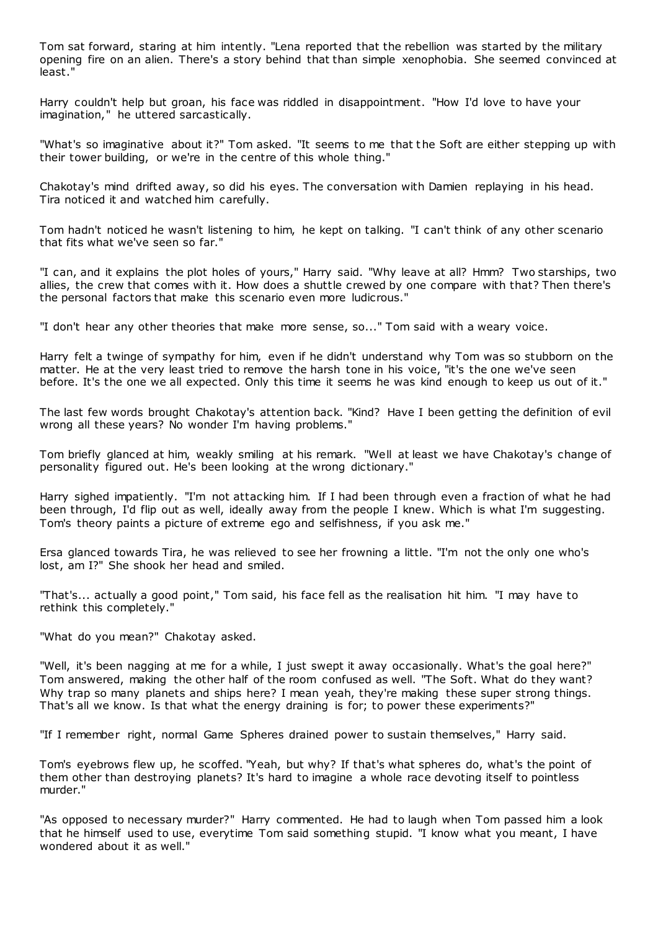Tom sat forward, staring at him intently. "Lena reported that the rebellion was started by the military opening fire on an alien. There's a story behind that than simple xenophobia. She seemed convinced at least."

Harry couldn't help but groan, his face was riddled in disappointment. "How I'd love to have your imagination," he uttered sarcastically.

"What's so imaginative about it?" Tom asked. "It seems to me that the Soft are either stepping up with their tower building, or we're in the centre of this whole thing."

Chakotay's mind drifted away, so did his eyes. The conversation with Damien replaying in his head. Tira noticed it and watched him carefully.

Tom hadn't noticed he wasn't listening to him, he kept on talking. "I can't think of any other scenario that fits what we've seen so far."

"I can, and it explains the plot holes of yours," Harry said. "Why leave at all? Hmm? Two starships, two allies, the crew that comes with it. How does a shuttle crewed by one compare with that? Then there's the personal factors that make this scenario even more ludicrous."

"I don't hear any other theories that make more sense, so..." Tom said with a weary voice.

Harry felt a twinge of sympathy for him, even if he didn't understand why Tom was so stubborn on the matter. He at the very least tried to remove the harsh tone in his voice, "it's the one we've seen before. It's the one we all expected. Only this time it seems he was kind enough to keep us out of it."

The last few words brought Chakotay's attention back. "Kind? Have I been getting the definition of evil wrong all these years? No wonder I'm having problems."

Tom briefly glanced at him, weakly smiling at his remark. "Well at least we have Chakotay's change of personality figured out. He's been looking at the wrong dictionary."

Harry sighed impatiently. "I'm not attacking him. If I had been through even a fraction of what he had been through, I'd flip out as well, ideally away from the people I knew. Which is what I'm suggesting. Tom's theory paints a picture of extreme ego and selfishness, if you ask me."

Ersa glanced towards Tira, he was relieved to see her frowning a little. "I'm not the only one who's lost, am I?" She shook her head and smiled.

"That's... actually a good point," Tom said, his face fell as the realisation hit him. "I may have to rethink this completely."

"What do you mean?" Chakotay asked.

"Well, it's been nagging at me for a while, I just swept it away occasionally. What's the goal here?" Tom answered, making the other half of the room confused as well. "The Soft. What do they want? Why trap so many planets and ships here? I mean yeah, they're making these super strong things. That's all we know. Is that what the energy draining is for; to power these experiments?"

"If I remember right, normal Game Spheres drained power to sustain themselves," Harry said.

Tom's eyebrows flew up, he scoffed. "Yeah, but why? If that's what spheres do, what's the point of them other than destroying planets? It's hard to imagine a whole race devoting itself to pointless murder."

"As opposed to necessary murder?" Harry commented. He had to laugh when Tom passed him a look that he himself used to use, everytime Tom said something stupid. "I know what you meant, I have wondered about it as well."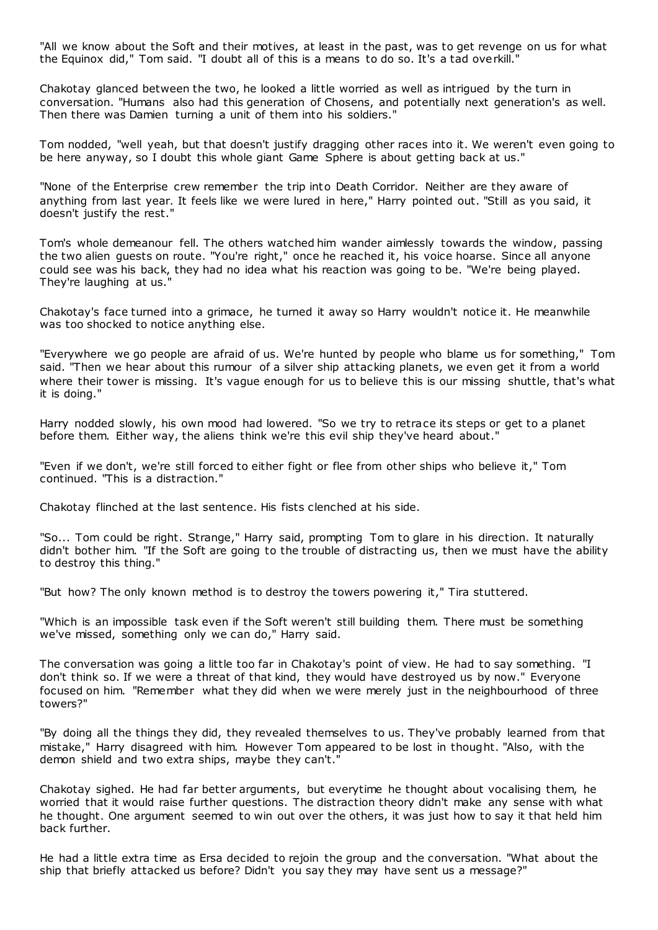"All we know about the Soft and their motives, at least in the past, was to get revenge on us for what the Equinox did," Tom said. "I doubt all of this is a means to do so. It's a tad overkill."

Chakotay glanced between the two, he looked a little worried as well as intrigued by the turn in conversation. "Humans also had this generation of Chosens, and potentially next generation's as well. Then there was Damien turning a unit of them into his soldiers."

Tom nodded, "well yeah, but that doesn't justify dragging other races into it. We weren't even going to be here anyway, so I doubt this whole giant Game Sphere is about getting back at us."

"None of the Enterprise crew remember the trip into Death Corridor. Neither are they aware of anything from last year. It feels like we were lured in here," Harry pointed out. "Still as you said, it doesn't justify the rest."

Tom's whole demeanour fell. The others watched him wander aimlessly towards the window, passing the two alien guests on route. "You're right," once he reached it, his voice hoarse. Since all anyone could see was his back, they had no idea what his reaction was going to be. "We're being played. They're laughing at us."

Chakotay's face turned into a grimace, he turned it away so Harry wouldn't notice it. He meanwhile was too shocked to notice anything else.

"Everywhere we go people are afraid of us. We're hunted by people who blame us for something," Tom said. "Then we hear about this rumour of a silver ship attacking planets, we even get it from a world where their tower is missing. It's vague enough for us to believe this is our missing shuttle, that's what it is doing."

Harry nodded slowly, his own mood had lowered. "So we try to retrace its steps or get to a planet before them. Either way, the aliens think we're this evil ship they've heard about."

"Even if we don't, we're still forced to either fight or flee from other ships who believe it," Tom continued. "This is a distraction."

Chakotay flinched at the last sentence. His fists clenched at his side.

"So... Tom could be right. Strange," Harry said, prompting Tom to glare in his direction. It naturally didn't bother him. "If the Soft are going to the trouble of distracting us, then we must have the ability to destroy this thing."

"But how? The only known method is to destroy the towers powering it," Tira stuttered.

"Which is an impossible task even if the Soft weren't still building them. There must be something we've missed, something only we can do," Harry said.

The conversation was going a little too far in Chakotay's point of view. He had to say something. "I don't think so. If we were a threat of that kind, they would have destroyed us by now." Everyone focused on him. "Remember what they did when we were merely just in the neighbourhood of three towers?"

"By doing all the things they did, they revealed themselves to us. They've probably learned from that mistake," Harry disagreed with him. However Tom appeared to be lost in thought. "Also, with the demon shield and two extra ships, maybe they can't."

Chakotay sighed. He had far better arguments, but everytime he thought about vocalising them, he worried that it would raise further questions. The distraction theory didn't make any sense with what he thought. One argument seemed to win out over the others, it was just how to say it that held him back further.

He had a little extra time as Ersa decided to rejoin the group and the conversation. "What about the ship that briefly attacked us before? Didn't you say they may have sent us a message?"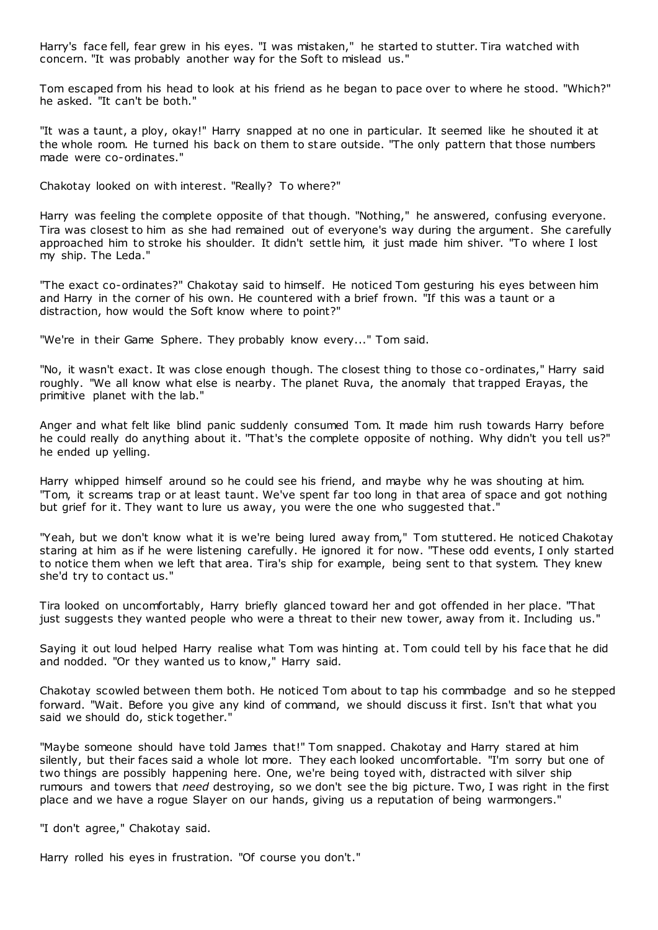Harry's face fell, fear grew in his eyes. "I was mistaken," he started to stutter. Tira watched with concern. "It was probably another way for the Soft to mislead us."

Tom escaped from his head to look at his friend as he began to pace over to where he stood. "Which?" he asked. "It can't be both."

"It was a taunt, a ploy, okay!" Harry snapped at no one in particular. It seemed like he shouted it at the whole room. He turned his back on them to stare outside. "The only pattern that those numbers made were co-ordinates."

Chakotay looked on with interest. "Really? To where?"

Harry was feeling the complete opposite of that though. "Nothing," he answered, confusing everyone. Tira was closest to him as she had remained out of everyone's way during the argument. She carefully approached him to stroke his shoulder. It didn't settle him, it just made him shiver. "To where I lost my ship. The Leda."

"The exact co-ordinates?" Chakotay said to himself. He noticed Tom gesturing his eyes between him and Harry in the corner of his own. He countered with a brief frown. "If this was a taunt or a distraction, how would the Soft know where to point?"

"We're in their Game Sphere. They probably know every..." Tom said.

"No, it wasn't exact. It was close enough though. The closest thing to those co-ordinates," Harry said roughly. "We all know what else is nearby. The planet Ruva, the anomaly that trapped Erayas, the primitive planet with the lab."

Anger and what felt like blind panic suddenly consumed Tom. It made him rush towards Harry before he could really do anything about it. "That's the complete opposite of nothing. Why didn't you tell us?" he ended up yelling.

Harry whipped himself around so he could see his friend, and maybe why he was shouting at him. "Tom, it screams trap or at least taunt. We've spent far too long in that area of space and got nothing but grief for it. They want to lure us away, you were the one who suggested that."

"Yeah, but we don't know what it is we're being lured away from," Tom stuttered. He noticed Chakotay staring at him as if he were listening carefully. He ignored it for now. "These odd events, I only started to notice them when we left that area. Tira's ship for example, being sent to that system. They knew she'd try to contact us."

Tira looked on uncomfortably, Harry briefly glanced toward her and got offended in her place. "That just suggests they wanted people who were a threat to their new tower, away from it. Including us."

Saying it out loud helped Harry realise what Tom was hinting at. Tom could tell by his face that he did and nodded. "Or they wanted us to know," Harry said.

Chakotay scowled between them both. He noticed Tom about to tap his commbadge and so he stepped forward. "Wait. Before you give any kind of command, we should discuss it first. Isn't that what you said we should do, stick together."

"Maybe someone should have told James that!" Tom snapped. Chakotay and Harry stared at him silently, but their faces said a whole lot more. They each looked uncomfortable. "I'm sorry but one of two things are possibly happening here. One, we're being toyed with, distracted with silver ship rumours and towers that *need* destroying, so we don't see the big picture. Two, I was right in the first place and we have a rogue Slayer on our hands, giving us a reputation of being warmongers."

"I don't agree," Chakotay said.

Harry rolled his eyes in frustration. "Of course you don't."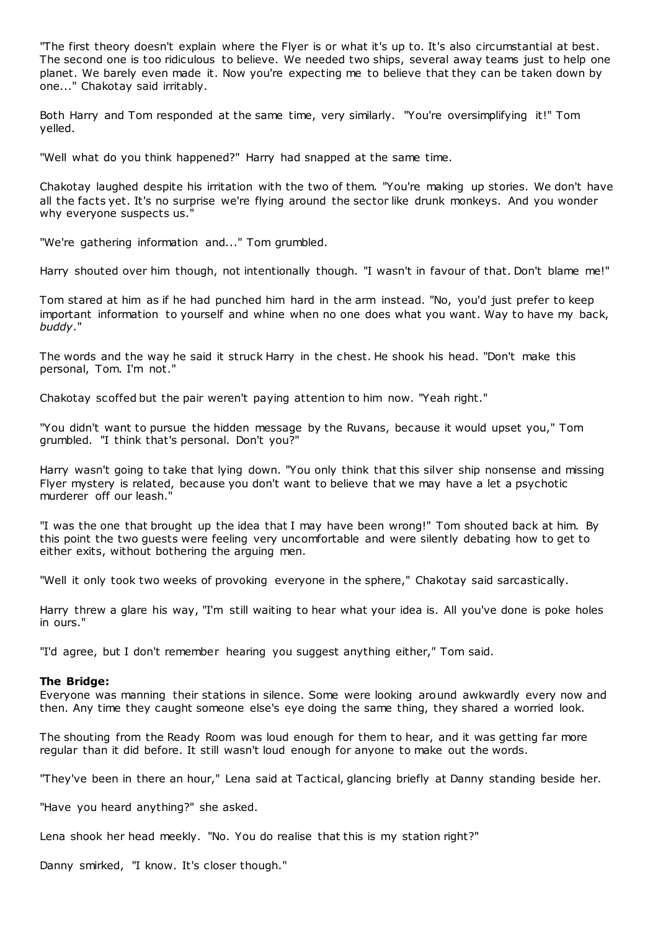"The first theory doesn't explain where the Flyer is or what it's up to. It's also circumstantial at best. The second one is too ridiculous to believe. We needed two ships, several away teams just to help one planet. We barely even made it. Now you're expecting me to believe that they can be taken down by one..." Chakotay said irritably.

Both Harry and Tom responded at the same time, very similarly. "You're oversimplifying it!" Tom yelled.

"Well what do you think happened?" Harry had snapped at the same time.

Chakotay laughed despite his irritation with the two of them. "You're making up stories. We don't have all the facts yet. It's no surprise we're flying around the sector like drunk monkeys. And you wonder why everyone suspects us."

"We're gathering information and..." Tom grumbled.

Harry shouted over him though, not intentionally though. "I wasn't in favour of that. Don't blame me!"

Tom stared at him as if he had punched him hard in the arm instead. "No, you'd just prefer to keep important information to yourself and whine when no one does what you want. Way to have my back, *buddy*."

The words and the way he said it struck Harry in the chest. He shook his head. "Don't make this personal, Tom. I'm not."

Chakotay scoffed but the pair weren't paying attention to him now. "Yeah right."

"You didn't want to pursue the hidden message by the Ruvans, because it would upset you," Tom grumbled. "I think that's personal. Don't you?"

Harry wasn't going to take that lying down. "You only think that this silver ship nonsense and missing Flyer mystery is related, because you don't want to believe that we may have a let a psychotic murderer off our leash."

"I was the one that brought up the idea that I may have been wrong!" Tom shouted back at him. By this point the two guests were feeling very uncomfortable and were silently debating how to get to either exits, without bothering the arguing men.

"Well it only took two weeks of provoking everyone in the sphere," Chakotay said sarcastically.

Harry threw a glare his way, "I'm still waiting to hear what your idea is. All you've done is poke holes in ours."

"I'd agree, but I don't remember hearing you suggest anything either," Tom said.

### **The Bridge:**

Everyone was manning their stations in silence. Some were looking around awkwardly every now and then. Any time they caught someone else's eye doing the same thing, they shared a worried look.

The shouting from the Ready Room was loud enough for them to hear, and it was getting far more regular than it did before. It still wasn't loud enough for anyone to make out the words.

"They've been in there an hour," Lena said at Tactical, glancing briefly at Danny standing beside her.

"Have you heard anything?" she asked.

Lena shook her head meekly. "No. You do realise that this is my station right?"

Danny smirked, "I know. It's closer though."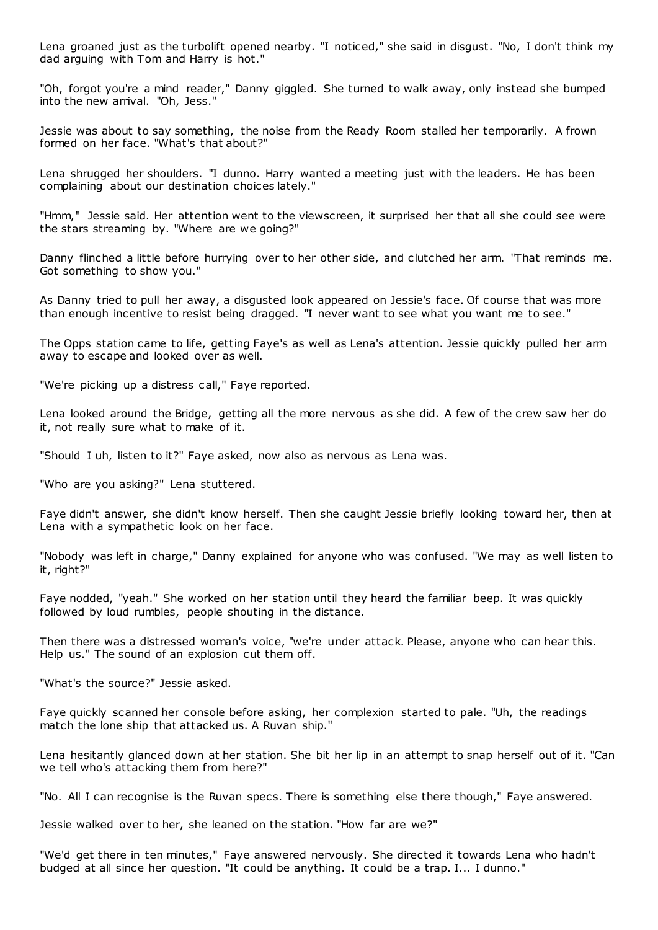Lena groaned just as the turbolift opened nearby. "I noticed," she said in disgust. "No, I don't think my dad arguing with Tom and Harry is hot."

"Oh, forgot you're a mind reader," Danny giggled. She turned to walk away, only instead she bumped into the new arrival. "Oh, Jess."

Jessie was about to say something, the noise from the Ready Room stalled her temporarily. A frown formed on her face. "What's that about?"

Lena shrugged her shoulders. "I dunno. Harry wanted a meeting just with the leaders. He has been complaining about our destination choices lately."

"Hmm," Jessie said. Her attention went to the viewscreen, it surprised her that all she could see were the stars streaming by. "Where are we going?"

Danny flinched a little before hurrying over to her other side, and clutched her arm. "That reminds me. Got something to show you."

As Danny tried to pull her away, a disgusted look appeared on Jessie's face. Of course that was more than enough incentive to resist being dragged. "I never want to see what you want me to see."

The Opps station came to life, getting Faye's as well as Lena's attention. Jessie quickly pulled her arm away to escape and looked over as well.

"We're picking up a distress call," Faye reported.

Lena looked around the Bridge, getting all the more nervous as she did. A few of the crew saw her do it, not really sure what to make of it.

"Should I uh, listen to it?" Faye asked, now also as nervous as Lena was.

"Who are you asking?" Lena stuttered.

Faye didn't answer, she didn't know herself. Then she caught Jessie briefly looking toward her, then at Lena with a sympathetic look on her face.

"Nobody was left in charge," Danny explained for anyone who was confused. "We may as well listen to it, right?"

Faye nodded, "yeah." She worked on her station until they heard the familiar beep. It was quickly followed by loud rumbles, people shouting in the distance.

Then there was a distressed woman's voice, "we're under attack. Please, anyone who can hear this. Help us." The sound of an explosion cut them off.

"What's the source?" Jessie asked.

Faye quickly scanned her console before asking, her complexion started to pale. "Uh, the readings match the lone ship that attacked us. A Ruvan ship."

Lena hesitantly glanced down at her station. She bit her lip in an attempt to snap herself out of it. "Can we tell who's attacking them from here?"

"No. All I can recognise is the Ruvan specs. There is something else there though," Faye answered.

Jessie walked over to her, she leaned on the station. "How far are we?"

"We'd get there in ten minutes," Faye answered nervously. She directed it towards Lena who hadn't budged at all since her question. "It could be anything. It could be a trap. I... I dunno."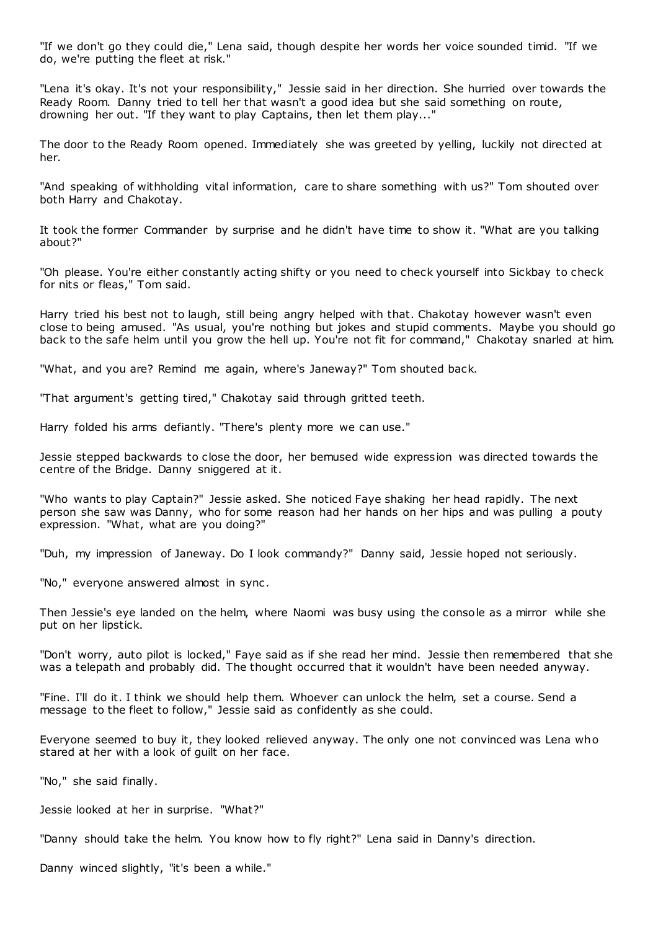"If we don't go they could die," Lena said, though despite her words her voice sounded timid. "If we do, we're putting the fleet at risk."

"Lena it's okay. It's not your responsibility," Jessie said in her direction. She hurried over towards the Ready Room. Danny tried to tell her that wasn't a good idea but she said something on route, drowning her out. "If they want to play Captains, then let them play..."

The door to the Ready Room opened. Immediately she was greeted by yelling, luckily not directed at her.

"And speaking of withholding vital information, care to share something with us?" Tom shouted over both Harry and Chakotay.

It took the former Commander by surprise and he didn't have time to show it. "What are you talking about?"

"Oh please. You're either constantly acting shifty or you need to check yourself into Sickbay to check for nits or fleas," Tom said.

Harry tried his best not to laugh, still being angry helped with that. Chakotay however wasn't even close to being amused. "As usual, you're nothing but jokes and stupid comments. Maybe you should go back to the safe helm until you grow the hell up. You're not fit for command," Chakotay snarled at him.

"What, and you are? Remind me again, where's Janeway?" Tom shouted back.

"That argument's getting tired," Chakotay said through gritted teeth.

Harry folded his arms defiantly. "There's plenty more we can use."

Jessie stepped backwards to close the door, her bemused wide expression was directed towards the centre of the Bridge. Danny sniggered at it.

"Who wants to play Captain?" Jessie asked. She noticed Faye shaking her head rapidly. The next person she saw was Danny, who for some reason had her hands on her hips and was pulling a pouty expression. "What, what are you doing?"

"Duh, my impression of Janeway. Do I look commandy?" Danny said, Jessie hoped not seriously.

"No," everyone answered almost in sync .

Then Jessie's eye landed on the helm, where Naomi was busy using the console as a mirror while she put on her lipstick.

"Don't worry, auto pilot is locked," Faye said as if she read her mind. Jessie then remembered that she was a telepath and probably did. The thought occurred that it wouldn't have been needed anyway.

"Fine. I'll do it. I think we should help them. Whoever can unlock the helm, set a course. Send a message to the fleet to follow," Jessie said as confidently as she could.

Everyone seemed to buy it, they looked relieved anyway. The only one not convinced was Lena who stared at her with a look of guilt on her face.

"No," she said finally.

Jessie looked at her in surprise. "What?"

"Danny should take the helm. You know how to fly right?" Lena said in Danny's direction.

Danny winced slightly, "it's been a while."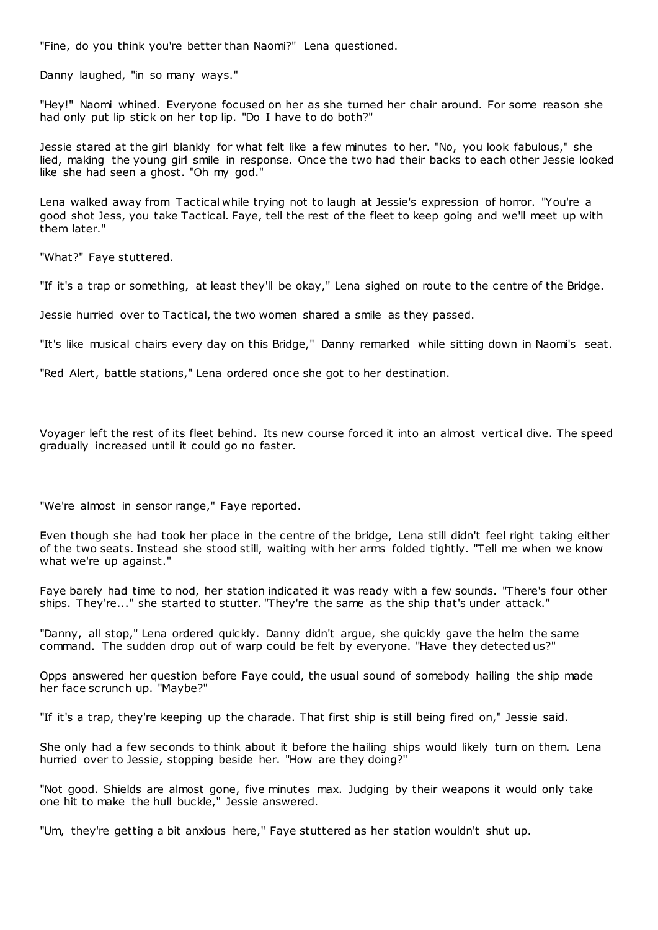"Fine, do you think you're better than Naomi?" Lena questioned.

Danny laughed, "in so many ways."

"Hey!" Naomi whined. Everyone focused on her as she turned her chair around. For some reason she had only put lip stick on her top lip. "Do I have to do both?"

Jessie stared at the girl blankly for what felt like a few minutes to her. "No, you look fabulous," she lied, making the young girl smile in response. Once the two had their backs to each other Jessie looked like she had seen a ghost. "Oh my god."

Lena walked away from Tactical while trying not to laugh at Jessie's expression of horror. "You're a good shot Jess, you take Tactical. Faye, tell the rest of the fleet to keep going and we'll meet up with them later."

"What?" Faye stuttered.

"If it's a trap or something, at least they'll be okay," Lena sighed on route to the centre of the Bridge.

Jessie hurried over to Tactical, the two women shared a smile as they passed.

"It's like musical chairs every day on this Bridge," Danny remarked while sitting down in Naomi's seat.

"Red Alert, battle stations," Lena ordered once she got to her destination.

Voyager left the rest of its fleet behind. Its new course forced it into an almost vertical dive. The speed gradually increased until it could go no faster.

"We're almost in sensor range," Faye reported.

Even though she had took her place in the centre of the bridge, Lena still didn't feel right taking either of the two seats. Instead she stood still, waiting with her arms folded tightly. "Tell me when we know what we're up against."

Faye barely had time to nod, her station indicated it was ready with a few sounds. "There's four other ships. They're..." she started to stutter. "They're the same as the ship that's under attack."

"Danny, all stop," Lena ordered quickly. Danny didn't argue, she quickly gave the helm the same command. The sudden drop out of warp could be felt by everyone. "Have they detected us?"

Opps answered her question before Faye could, the usual sound of somebody hailing the ship made her face scrunch up. "Maybe?"

"If it's a trap, they're keeping up the charade. That first ship is still being fired on," Jessie said.

She only had a few seconds to think about it before the hailing ships would likely turn on them. Lena hurried over to Jessie, stopping beside her. "How are they doing?"

"Not good. Shields are almost gone, five minutes max. Judging by their weapons it would only take one hit to make the hull buckle," Jessie answered.

"Um, they're getting a bit anxious here," Faye stuttered as her station wouldn't shut up.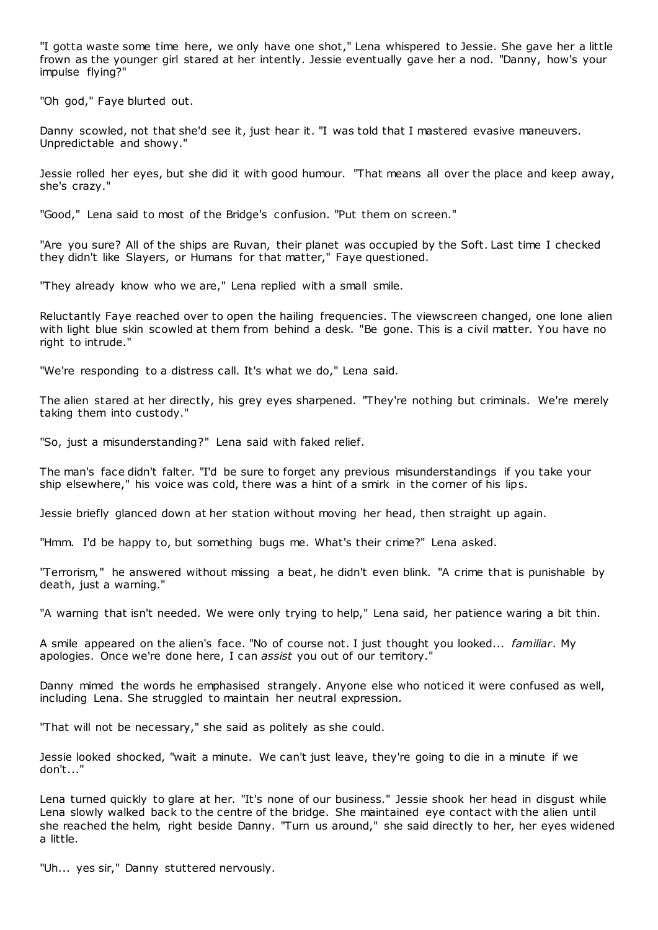"I gotta waste some time here, we only have one shot," Lena whispered to Jessie. She gave her a little frown as the younger girl stared at her intently. Jessie eventually gave her a nod. "Danny, how's your impulse flying?"

"Oh god," Faye blurted out.

Danny scowled, not that she'd see it, just hear it. "I was told that I mastered evasive maneuvers. Unpredictable and showy."

Jessie rolled her eyes, but she did it with good humour. "That means all over the place and keep away, she's crazy."

"Good," Lena said to most of the Bridge's confusion. "Put them on screen."

"Are you sure? All of the ships are Ruvan, their planet was occupied by the Soft. Last time I checked they didn't like Slayers, or Humans for that matter," Faye questioned.

"They already know who we are," Lena replied with a small smile.

Reluctantly Faye reached over to open the hailing frequencies. The viewscreen changed, one lone alien with light blue skin scowled at them from behind a desk. "Be gone. This is a civil matter. You have no right to intrude."

"We're responding to a distress call. It's what we do," Lena said.

The alien stared at her directly, his grey eyes sharpened. "They're nothing but criminals. We're merely taking them into custody."

"So, just a misunderstanding?" Lena said with faked relief.

The man's face didn't falter. "I'd be sure to forget any previous misunderstandings if you take your ship elsewhere," his voice was cold, there was a hint of a smirk in the corner of his lips.

Jessie briefly glanced down at her station without moving her head, then straight up again.

"Hmm. I'd be happy to, but something bugs me. What's their crime?" Lena asked.

"Terrorism," he answered without missing a beat, he didn't even blink. "A crime that is punishable by death, just a warning."

"A warning that isn't needed. We were only trying to help," Lena said, her patience waring a bit thin.

A smile appeared on the alien's face. "No of course not. I just thought you looked... *familiar*. My apologies. Once we're done here, I can *assist* you out of our territory."

Danny mimed the words he emphasised strangely. Anyone else who noticed it were confused as well, including Lena. She struggled to maintain her neutral expression.

"That will not be necessary," she said as politely as she could.

Jessie looked shocked, "wait a minute. We can't just leave, they're going to die in a minute if we don't..."

Lena turned quickly to glare at her. "It's none of our business." Jessie shook her head in disgust while Lena slowly walked back to the centre of the bridge. She maintained eye contact with the alien until she reached the helm, right beside Danny. "Turn us around," she said directly to her, her eyes widened a little.

"Uh... yes sir," Danny stuttered nervously.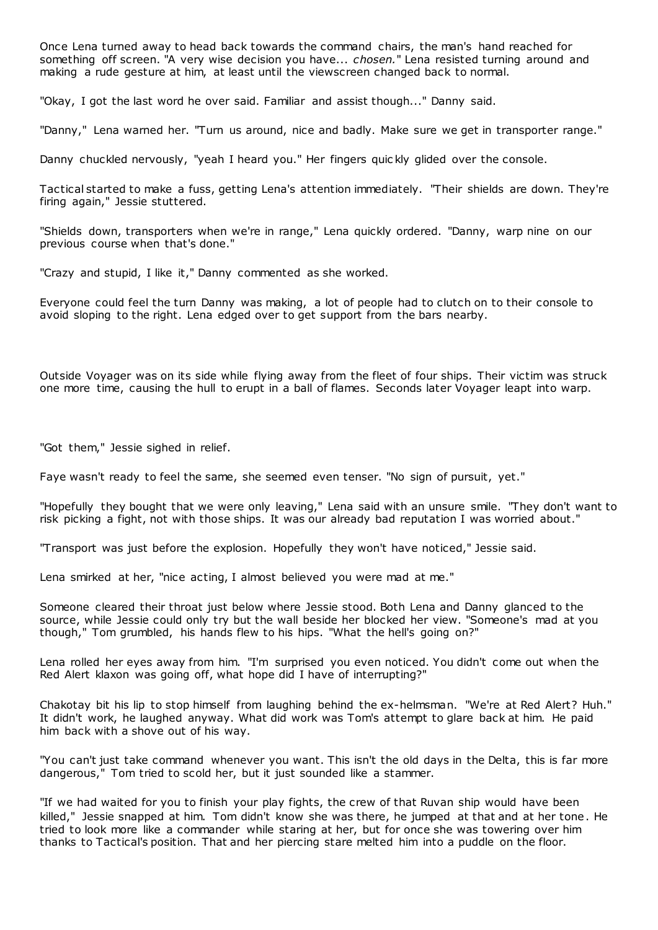Once Lena turned away to head back towards the command chairs, the man's hand reached for something off screen. "A very wise decision you have... *chosen.*" Lena resisted turning around and making a rude gesture at him, at least until the viewscreen changed back to normal.

"Okay, I got the last word he over said. Familiar and assist though..." Danny said.

"Danny," Lena warned her. "Turn us around, nice and badly. Make sure we get in transporter range."

Danny chuckled nervously, "yeah I heard you." Her fingers quic kly glided over the console.

Tactical started to make a fuss, getting Lena's attention immediately. "Their shields are down. They're firing again," Jessie stuttered.

"Shields down, transporters when we're in range," Lena quickly ordered. "Danny, warp nine on our previous course when that's done."

"Crazy and stupid, I like it," Danny commented as she worked.

Everyone could feel the turn Danny was making, a lot of people had to clutch on to their console to avoid sloping to the right. Lena edged over to get support from the bars nearby.

Outside Voyager was on its side while flying away from the fleet of four ships. Their victim was struck one more time, causing the hull to erupt in a ball of flames. Seconds later Voyager leapt into warp.

"Got them," Jessie sighed in relief.

Faye wasn't ready to feel the same, she seemed even tenser. "No sign of pursuit, yet."

"Hopefully they bought that we were only leaving," Lena said with an unsure smile. "They don't want to risk picking a fight, not with those ships. It was our already bad reputation I was worried about."

"Transport was just before the explosion. Hopefully they won't have noticed," Jessie said.

Lena smirked at her, "nice acting, I almost believed you were mad at me."

Someone cleared their throat just below where Jessie stood. Both Lena and Danny glanced to the source, while Jessie could only try but the wall beside her blocked her view. "Someone's mad at you though," Tom grumbled, his hands flew to his hips. "What the hell's going on?"

Lena rolled her eyes away from him. "I'm surprised you even noticed. You didn't come out when the Red Alert klaxon was going off, what hope did I have of interrupting?"

Chakotay bit his lip to stop himself from laughing behind the ex-helmsman. "We're at Red Alert? Huh." It didn't work, he laughed anyway. What did work was Tom's attempt to glare back at him. He paid him back with a shove out of his way.

"You can't just take command whenever you want. This isn't the old days in the Delta, this is far more dangerous," Tom tried to scold her, but it just sounded like a stammer.

"If we had waited for you to finish your play fights, the crew of that Ruvan ship would have been killed," Jessie snapped at him. Tom didn't know she was there, he jumped at that and at her tone. He tried to look more like a commander while staring at her, but for once she was towering over him thanks to Tactical's position. That and her piercing stare melted him into a puddle on the floor.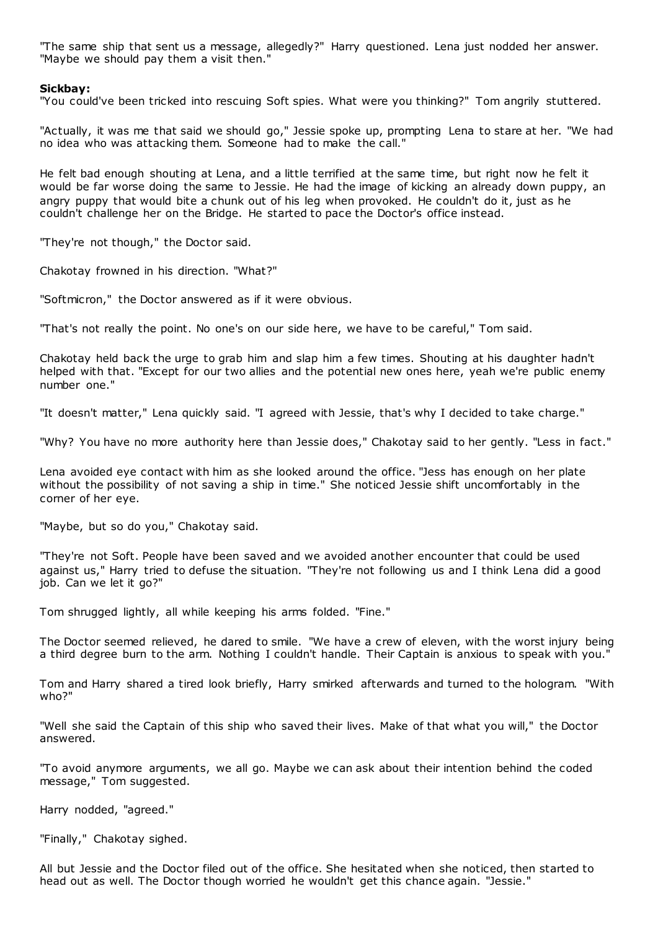"The same ship that sent us a message, allegedly?" Harry questioned. Lena just nodded her answer. "Maybe we should pay them a visit then."

## **Sickbay:**

"You could've been tricked into rescuing Soft spies. What were you thinking?" Tom angrily stuttered.

"Actually, it was me that said we should go," Jessie spoke up, prompting Lena to stare at her. "We had no idea who was attacking them. Someone had to make the call."

He felt bad enough shouting at Lena, and a little terrified at the same time, but right now he felt it would be far worse doing the same to Jessie. He had the image of kicking an already down puppy, an angry puppy that would bite a chunk out of his leg when provoked. He couldn't do it, just as he couldn't challenge her on the Bridge. He started to pace the Doctor's office instead.

"They're not though," the Doctor said.

Chakotay frowned in his direction. "What?"

"Softmicron," the Doctor answered as if it were obvious.

"That's not really the point. No one's on our side here, we have to be careful," Tom said.

Chakotay held back the urge to grab him and slap him a few times. Shouting at his daughter hadn't helped with that. "Except for our two allies and the potential new ones here, yeah we're public enemy number one."

"It doesn't matter," Lena quickly said. "I agreed with Jessie, that's why I decided to take charge."

"Why? You have no more authority here than Jessie does," Chakotay said to her gently. "Less in fact."

Lena avoided eye contact with him as she looked around the office. "Jess has enough on her plate without the possibility of not saving a ship in time." She noticed Jessie shift uncomfortably in the corner of her eye.

"Maybe, but so do you," Chakotay said.

"They're not Soft. People have been saved and we avoided another encounter that could be used against us," Harry tried to defuse the situation. "They're not following us and I think Lena did a good job. Can we let it go?"

Tom shrugged lightly, all while keeping his arms folded. "Fine."

The Doctor seemed relieved, he dared to smile. "We have a crew of eleven, with the worst injury being a third degree burn to the arm. Nothing I couldn't handle. Their Captain is anxious to speak with you."

Tom and Harry shared a tired look briefly, Harry smirked afterwards and turned to the hologram. "With who?"

"Well she said the Captain of this ship who saved their lives. Make of that what you will," the Doctor answered.

"To avoid anymore arguments, we all go. Maybe we can ask about their intention behind the coded message," Tom suggested.

Harry nodded, "agreed."

"Finally," Chakotay sighed.

All but Jessie and the Doctor filed out of the office. She hesitated when she noticed, then started to head out as well. The Doctor though worried he wouldn't get this chance again. "Jessie."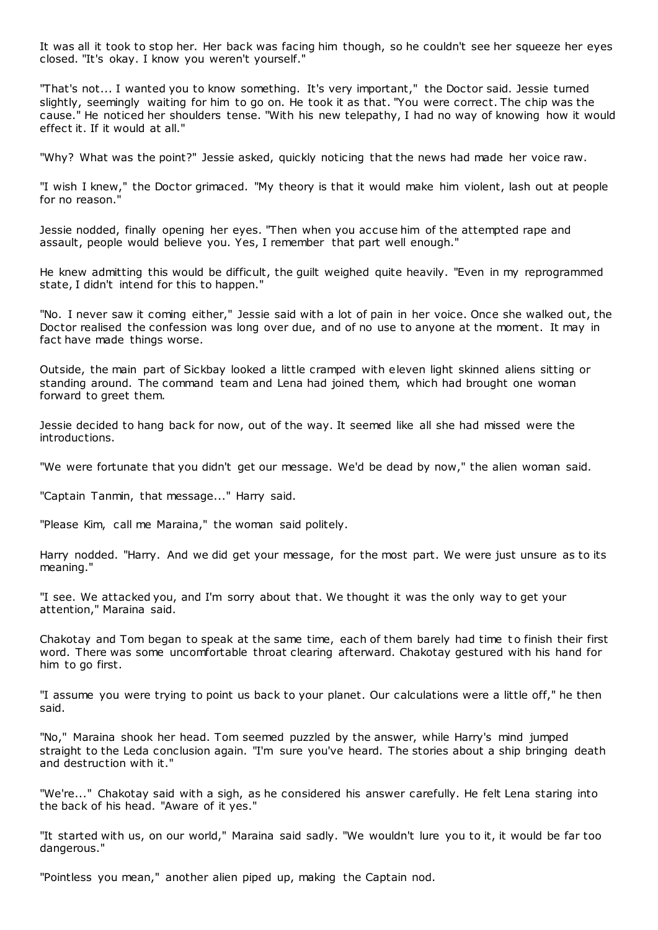It was all it took to stop her. Her back was facing him though, so he couldn't see her squeeze her eyes closed. "It's okay. I know you weren't yourself."

"That's not... I wanted you to know something. It's very important," the Doctor said. Jessie turned slightly, seemingly waiting for him to go on. He took it as that. "You were correct. The chip was the cause." He noticed her shoulders tense. "With his new telepathy, I had no way of knowing how it would effect it. If it would at all."

"Why? What was the point?" Jessie asked, quickly noticing that the news had made her voice raw.

"I wish I knew," the Doctor grimaced. "My theory is that it would make him violent, lash out at people for no reason."

Jessie nodded, finally opening her eyes. "Then when you accuse him of the attempted rape and assault, people would believe you. Yes, I remember that part well enough."

He knew admitting this would be difficult, the guilt weighed quite heavily. "Even in my reprogrammed state, I didn't intend for this to happen."

"No. I never saw it coming either," Jessie said with a lot of pain in her voice. Once she walked out, the Doctor realised the confession was long over due, and of no use to anyone at the moment. It may in fact have made things worse.

Outside, the main part of Sickbay looked a little cramped with eleven light skinned aliens sitting or standing around. The command team and Lena had joined them, which had brought one woman forward to greet them.

Jessie decided to hang back for now, out of the way. It seemed like all she had missed were the introductions.

"We were fortunate that you didn't get our message. We'd be dead by now," the alien woman said.

"Captain Tanmin, that message..." Harry said.

"Please Kim, call me Maraina," the woman said politely.

Harry nodded. "Harry. And we did get your message, for the most part. We were just unsure as to its meaning."

"I see. We attacked you, and I'm sorry about that. We thought it was the only way to get your attention," Maraina said.

Chakotay and Tom began to speak at the same time, each of them barely had time t o finish their first word. There was some uncomfortable throat clearing afterward. Chakotay gestured with his hand for him to go first.

"I assume you were trying to point us back to your planet. Our calculations were a little off," he then said.

"No," Maraina shook her head. Tom seemed puzzled by the answer, while Harry's mind jumped straight to the Leda conclusion again. "I'm sure you've heard. The stories about a ship bringing death and destruction with it."

"We're..." Chakotay said with a sigh, as he considered his answer carefully. He felt Lena staring into the back of his head. "Aware of it yes."

"It started with us, on our world," Maraina said sadly. "We wouldn't lure you to it, it would be far too dangerous."

"Pointless you mean," another alien piped up, making the Captain nod.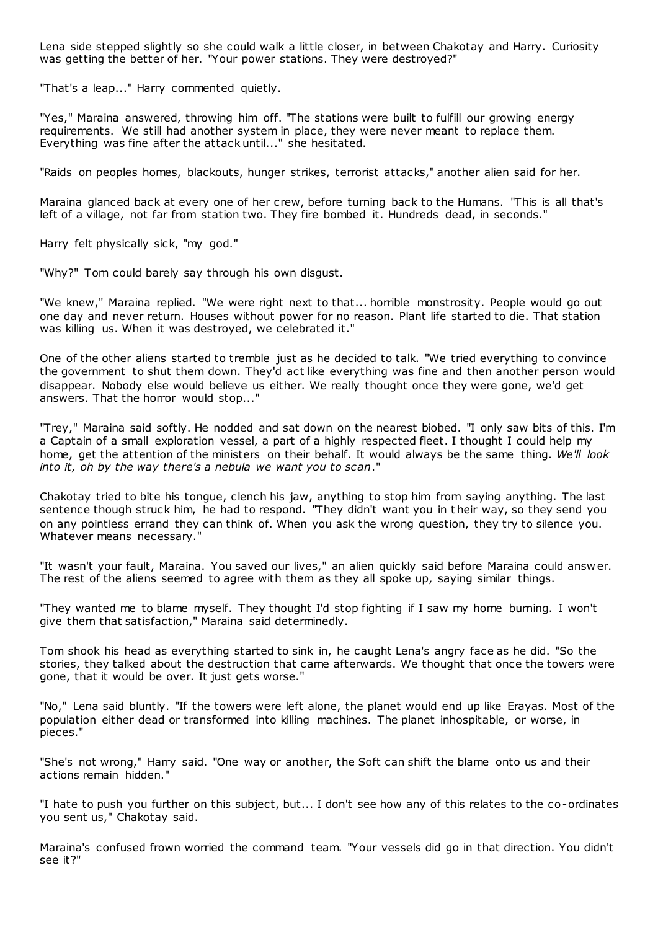Lena side stepped slightly so she could walk a little closer, in between Chakotay and Harry. Curiosity was getting the better of her. "Your power stations. They were destroyed?"

"That's a leap..." Harry commented quietly.

"Yes," Maraina answered, throwing him off. "The stations were built to fulfill our growing energy requirements. We still had another system in place, they were never meant to replace them. Everything was fine after the attack until..." she hesitated.

"Raids on peoples homes, blackouts, hunger strikes, terrorist attacks," another alien said for her.

Maraina glanced back at every one of her crew, before turning back to the Humans. "This is all that's left of a village, not far from station two. They fire bombed it. Hundreds dead, in seconds."

Harry felt physically sick, "my god."

"Why?" Tom could barely say through his own disgust.

"We knew," Maraina replied. "We were right next to that... horrible monstrosity. People would go out one day and never return. Houses without power for no reason. Plant life started to die. That station was killing us. When it was destroyed, we celebrated it."

One of the other aliens started to tremble just as he decided to talk. "We tried everything to convince the government to shut them down. They'd act like everything was fine and then another person would disappear. Nobody else would believe us either. We really thought once they were gone, we'd get answers. That the horror would stop..."

"Trey," Maraina said softly. He nodded and sat down on the nearest biobed. "I only saw bits of this. I'm a Captain of a small exploration vessel, a part of a highly respected fleet. I thought I could help my home, get the attention of the ministers on their behalf. It would always be the same thing. *We'll look into it, oh by the way there's a nebula we want you to scan*."

Chakotay tried to bite his tongue, clench his jaw, anything to stop him from saying anything. The last sentence though struck him, he had to respond. "They didn't want you in t heir way, so they send you on any pointless errand they can think of. When you ask the wrong question, they try to silence you. Whatever means necessary."

"It wasn't your fault, Maraina. You saved our lives," an alien quickly said before Maraina could answ er. The rest of the aliens seemed to agree with them as they all spoke up, saying similar things.

"They wanted me to blame myself. They thought I'd stop fighting if I saw my home burning. I won't give them that satisfaction," Maraina said determinedly.

Tom shook his head as everything started to sink in, he caught Lena's angry face as he did. "So the stories, they talked about the destruction that came afterwards. We thought that once the towers were gone, that it would be over. It just gets worse."

"No," Lena said bluntly. "If the towers were left alone, the planet would end up like Erayas. Most of the population either dead or transformed into killing machines. The planet inhospitable, or worse, in pieces."

"She's not wrong," Harry said. "One way or another, the Soft can shift the blame onto us and their actions remain hidden."

"I hate to push you further on this subject, but... I don't see how any of this relates to the co-ordinates you sent us," Chakotay said.

Maraina's confused frown worried the command team. "Your vessels did go in that direction. You didn't see it?"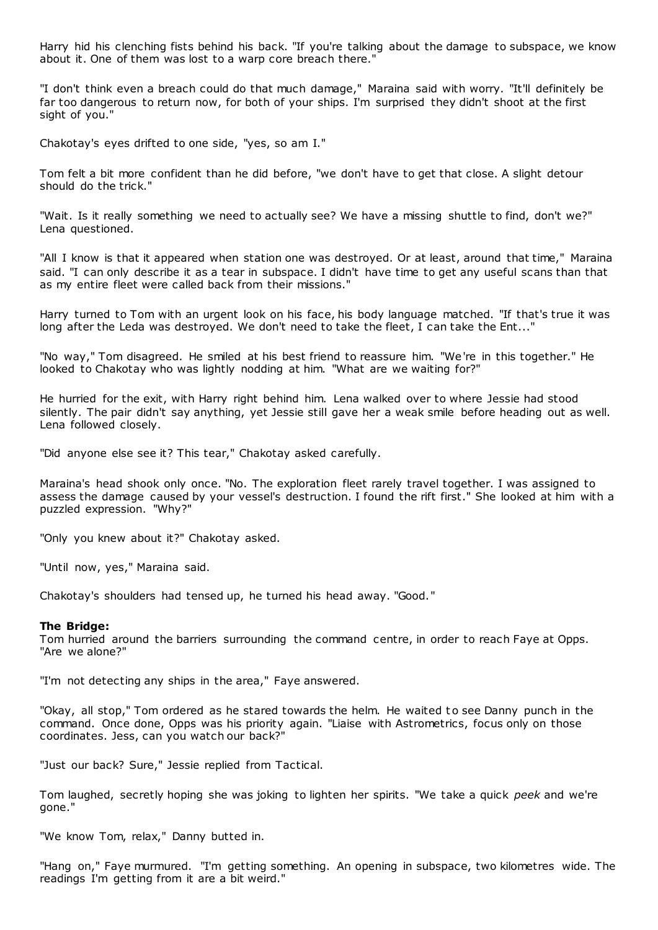Harry hid his clenching fists behind his back. "If you're talking about the damage to subspace, we know about it. One of them was lost to a warp core breach there."

"I don't think even a breach could do that much damage," Maraina said with worry. "It'll definitely be far too dangerous to return now, for both of your ships. I'm surprised they didn't shoot at the first sight of you."

Chakotay's eyes drifted to one side, "yes, so am I."

Tom felt a bit more confident than he did before, "we don't have to get that close. A slight detour should do the trick."

"Wait. Is it really something we need to actually see? We have a missing shuttle to find, don't we?" Lena questioned.

"All I know is that it appeared when station one was destroyed. Or at least, around that time," Maraina said. "I can only describe it as a tear in subspace. I didn't have time to get any useful scans than that as my entire fleet were called back from their missions."

Harry turned to Tom with an urgent look on his face, his body language matched. "If that's true it was long after the Leda was destroyed. We don't need to take the fleet, I can take the Ent..."

"No way," Tom disagreed. He smiled at his best friend to reassure him. "We're in this together." He looked to Chakotay who was lightly nodding at him. "What are we waiting for?"

He hurried for the exit, with Harry right behind him. Lena walked over to where Jessie had stood silently. The pair didn't say anything, yet Jessie still gave her a weak smile before heading out as well. Lena followed closely.

"Did anyone else see it? This tear," Chakotay asked carefully.

Maraina's head shook only once. "No. The exploration fleet rarely travel together. I was assigned to assess the damage caused by your vessel's destruction. I found the rift first." She looked at him with a puzzled expression. "Why?"

"Only you knew about it?" Chakotay asked.

"Until now, yes," Maraina said.

Chakotay's shoulders had tensed up, he turned his head away. "Good."

#### **The Bridge:**

Tom hurried around the barriers surrounding the command centre, in order to reach Faye at Opps. "Are we alone?"

"I'm not detecting any ships in the area," Faye answered.

"Okay, all stop," Tom ordered as he stared towards the helm. He waited to see Danny punch in the command. Once done, Opps was his priority again. "Liaise with Astrometrics, focus only on those coordinates. Jess, can you watch our back?"

"Just our back? Sure," Jessie replied from Tactical.

Tom laughed, secretly hoping she was joking to lighten her spirits. "We take a quick *peek* and we're gone."

"We know Tom, relax," Danny butted in.

"Hang on," Faye murmured. "I'm getting something. An opening in subspace, two kilometres wide. The readings I'm getting from it are a bit weird."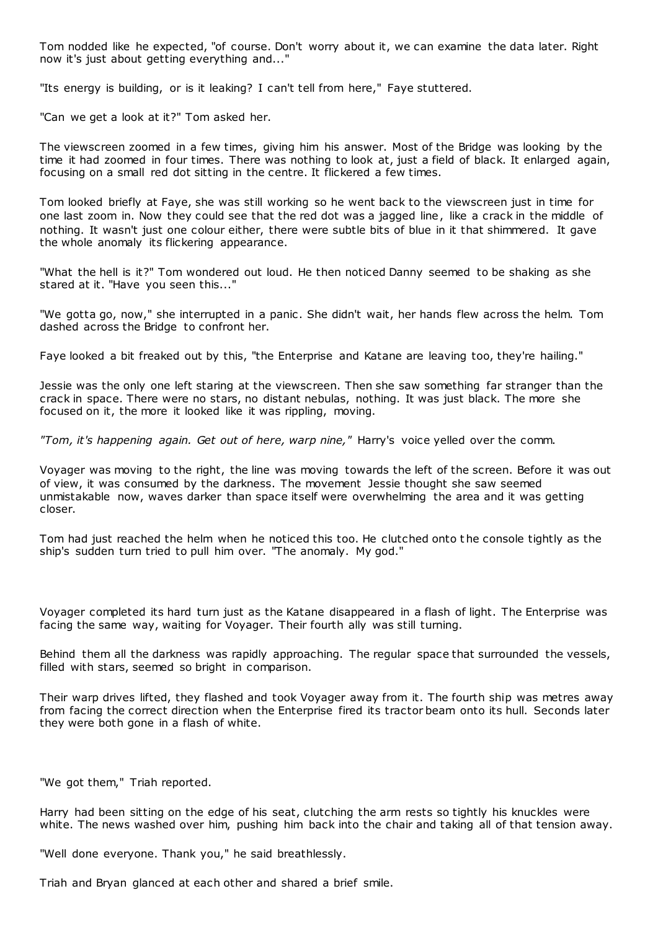Tom nodded like he expected, "of course. Don't worry about it, we can examine the data later. Right now it's just about getting everything and..."

"Its energy is building, or is it leaking? I can't tell from here," Faye stuttered.

"Can we get a look at it?" Tom asked her.

The viewscreen zoomed in a few times, giving him his answer. Most of the Bridge was looking by the time it had zoomed in four times. There was nothing to look at, just a field of black. It enlarged again, focusing on a small red dot sitting in the centre. It flickered a few times.

Tom looked briefly at Faye, she was still working so he went back to the viewscreen just in time for one last zoom in. Now they could see that the red dot was a jagged line, like a crack in the middle of nothing. It wasn't just one colour either, there were subtle bits of blue in it that shimmered. It gave the whole anomaly its flickering appearance.

"What the hell is it?" Tom wondered out loud. He then noticed Danny seemed to be shaking as she stared at it. "Have you seen this..."

"We gotta go, now," she interrupted in a panic . She didn't wait, her hands flew across the helm. Tom dashed across the Bridge to confront her.

Faye looked a bit freaked out by this, "the Enterprise and Katane are leaving too, they're hailing."

Jessie was the only one left staring at the viewscreen. Then she saw something far stranger than the crack in space. There were no stars, no distant nebulas, nothing. It was just black. The more she focused on it, the more it looked like it was rippling, moving.

*"Tom, it's happening again. Get out of here, warp nine,"* Harry's voice yelled over the comm.

Voyager was moving to the right, the line was moving towards the left of the screen. Before it was out of view, it was consumed by the darkness. The movement Jessie thought she saw seemed unmistakable now, waves darker than space itself were overwhelming the area and it was getting closer.

Tom had just reached the helm when he noticed this too. He clutched onto t he console tightly as the ship's sudden turn tried to pull him over. "The anomaly. My god."

Voyager completed its hard turn just as the Katane disappeared in a flash of light. The Enterprise was facing the same way, waiting for Voyager. Their fourth ally was still turning.

Behind them all the darkness was rapidly approaching. The regular space that surrounded the vessels, filled with stars, seemed so bright in comparison.

Their warp drives lifted, they flashed and took Voyager away from it. The fourth ship was metres away from facing the correct direction when the Enterprise fired its tractor beam onto its hull. Seconds later they were both gone in a flash of white.

"We got them," Triah reported.

Harry had been sitting on the edge of his seat, clutching the arm rests so tightly his knuckles were white. The news washed over him, pushing him back into the chair and taking all of that tension away.

"Well done everyone. Thank you," he said breathlessly.

Triah and Bryan glanced at each other and shared a brief smile.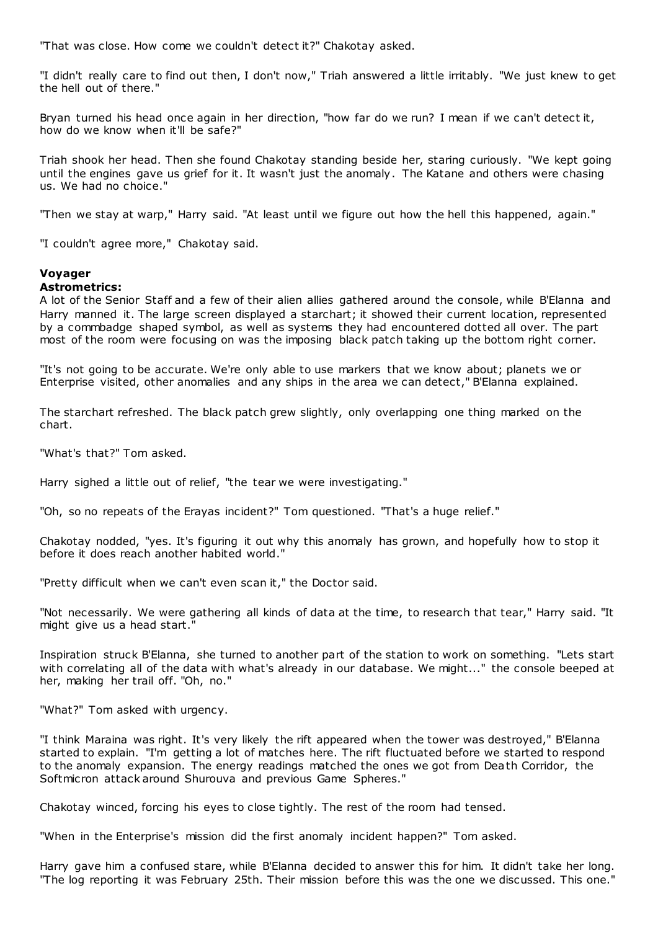"That was close. How come we couldn't detect it?" Chakotay asked.

"I didn't really care to find out then, I don't now," Triah answered a little irritably. "We just knew to get the hell out of there."

Bryan turned his head once again in her direction, "how far do we run? I mean if we can't detect it, how do we know when it'll be safe?"

Triah shook her head. Then she found Chakotay standing beside her, staring curiously. "We kept going until the engines gave us grief for it. It wasn't just the anomaly. The Katane and others were chasing us. We had no choice."

"Then we stay at warp," Harry said. "At least until we figure out how the hell this happened, again."

"I couldn't agree more," Chakotay said.

# **Voyager**

### **Astrometrics:**

A lot of the Senior Staff and a few of their alien allies gathered around the console, while B'Elanna and Harry manned it. The large screen displayed a starchart; it showed their current location, represented by a commbadge shaped symbol, as well as systems they had encountered dotted all over. The part most of the room were focusing on was the imposing black patch taking up the bottom right corner.

"It's not going to be accurate. We're only able to use markers that we know about; planets we or Enterprise visited, other anomalies and any ships in the area we can detect," B'Elanna explained.

The starchart refreshed. The black patch grew slightly, only overlapping one thing marked on the chart.

"What's that?" Tom asked.

Harry sighed a little out of relief, "the tear we were investigating."

"Oh, so no repeats of the Erayas incident?" Tom questioned. "That's a huge relief."

Chakotay nodded, "yes. It's figuring it out why this anomaly has grown, and hopefully how to stop it before it does reach another habited world."

"Pretty difficult when we can't even scan it," the Doctor said.

"Not necessarily. We were gathering all kinds of data at the time, to research that tear," Harry said. "It might give us a head start."

Inspiration struck B'Elanna, she turned to another part of the station to work on something. "Lets start with correlating all of the data with what's already in our database. We might..." the console beeped at her, making her trail off. "Oh, no."

"What?" Tom asked with urgency.

"I think Maraina was right. It's very likely the rift appeared when the tower was destroyed," B'Elanna started to explain. "I'm getting a lot of matches here. The rift fluctuated before we started to respond to the anomaly expansion. The energy readings matched the ones we got from Death Corridor, the Softmicron attack around Shurouva and previous Game Spheres."

Chakotay winced, forcing his eyes to close tightly. The rest of the room had tensed.

"When in the Enterprise's mission did the first anomaly incident happen?" Tom asked.

Harry gave him a confused stare, while B'Elanna decided to answer this for him. It didn't take her long. "The log reporting it was February 25th. Their mission before this was the one we discussed. This one."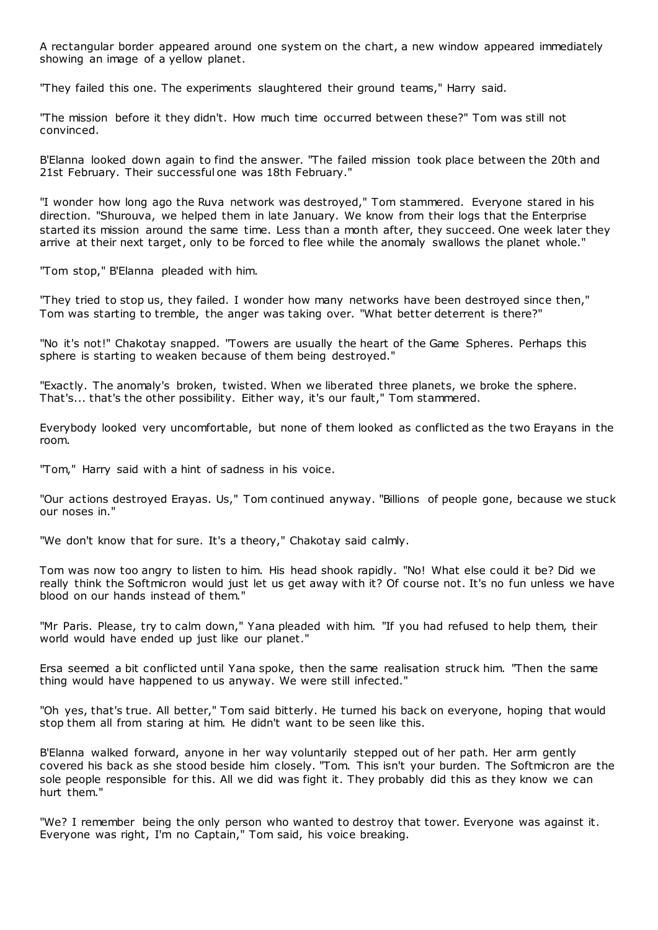A rectangular border appeared around one system on the chart, a new window appeared immediately showing an image of a yellow planet.

"They failed this one. The experiments slaughtered their ground teams," Harry said.

"The mission before it they didn't. How much time occurred between these?" Tom was still not convinced.

B'Elanna looked down again to find the answer. "The failed mission took place between the 20th and 21st February. Their successful one was 18th February."

"I wonder how long ago the Ruva network was destroyed," Tom stammered. Everyone stared in his direction. "Shurouva, we helped them in late January. We know from their logs that the Enterprise started its mission around the same time. Less than a month after, they succeed. One week later they arrive at their next target, only to be forced to flee while the anomaly swallows the planet whole."

"Tom stop," B'Elanna pleaded with him.

"They tried to stop us, they failed. I wonder how many networks have been destroyed since then," Tom was starting to tremble, the anger was taking over. "What better deterrent is there?"

"No it's not!" Chakotay snapped. "Towers are usually the heart of the Game Spheres. Perhaps this sphere is starting to weaken because of them being destroyed."

"Exactly. The anomaly's broken, twisted. When we liberated three planets, we broke the sphere. That's... that's the other possibility. Either way, it's our fault," Tom stammered.

Everybody looked very uncomfortable, but none of them looked as conflicted as the two Erayans in the room.

"Tom," Harry said with a hint of sadness in his voice.

"Our actions destroyed Erayas. Us," Tom continued anyway. "Billions of people gone, because we stuck our noses in."

"We don't know that for sure. It's a theory," Chakotay said calmly.

Tom was now too angry to listen to him. His head shook rapidly. "No! What else could it be? Did we really think the Softmicron would just let us get away with it? Of course not. It's no fun unless we have blood on our hands instead of them."

"Mr Paris. Please, try to calm down," Yana pleaded with him. "If you had refused to help them, their world would have ended up just like our planet."

Ersa seemed a bit conflicted until Yana spoke, then the same realisation struck him. "Then the same thing would have happened to us anyway. We were still infected."

"Oh yes, that's true. All better," Tom said bitterly. He turned his back on everyone, hoping that would stop them all from staring at him. He didn't want to be seen like this.

B'Elanna walked forward, anyone in her way voluntarily stepped out of her path. Her arm gently covered his back as she stood beside him closely. "Tom. This isn't your burden. The Softmicron are the sole people responsible for this. All we did was fight it. They probably did this as they know we can hurt them."

"We? I remember being the only person who wanted to destroy that tower. Everyone was against it. Everyone was right, I'm no Captain," Tom said, his voice breaking.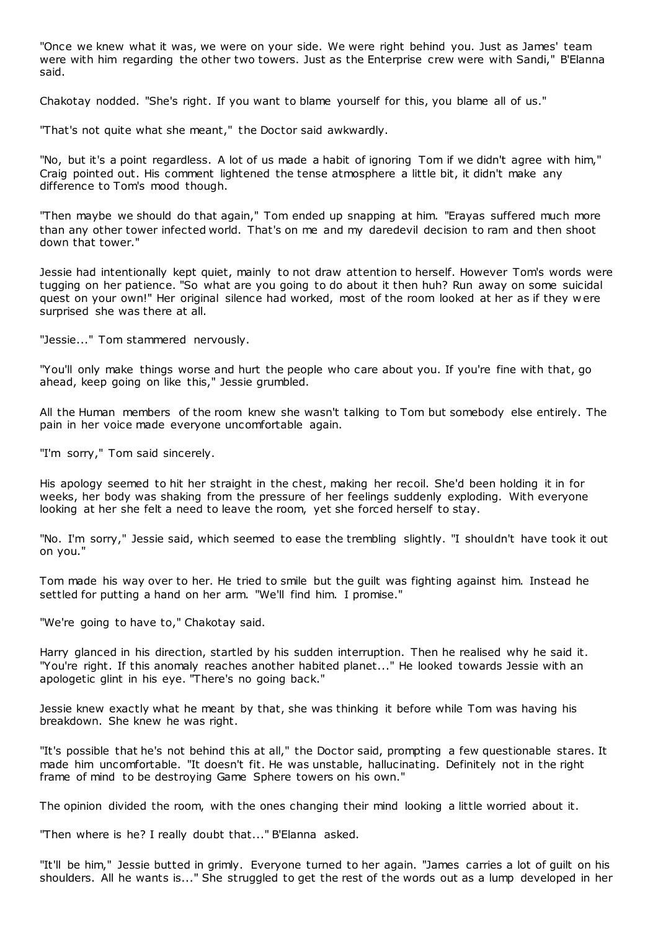"Once we knew what it was, we were on your side. We were right behind you. Just as James' team were with him regarding the other two towers. Just as the Enterprise crew were with Sandi," B'Elanna said.

Chakotay nodded. "She's right. If you want to blame yourself for this, you blame all of us."

"That's not quite what she meant," the Doctor said awkwardly.

"No, but it's a point regardless. A lot of us made a habit of ignoring Tom if we didn't agree with him," Craig pointed out. His comment lightened the tense atmosphere a little bit, it didn't make any difference to Tom's mood though.

"Then maybe we should do that again," Tom ended up snapping at him. "Erayas suffered much more than any other tower infected world. That's on me and my daredevil decision to ram and then shoot down that tower."

Jessie had intentionally kept quiet, mainly to not draw attention to herself. However Tom's words were tugging on her patience. "So what are you going to do about it then huh? Run away on some suicidal quest on your own!" Her original silence had worked, most of the room looked at her as if they w ere surprised she was there at all.

"Jessie..." Tom stammered nervously.

"You'll only make things worse and hurt the people who care about you. If you're fine with that, go ahead, keep going on like this," Jessie grumbled.

All the Human members of the room knew she wasn't talking to Tom but somebody else entirely. The pain in her voice made everyone uncomfortable again.

"I'm sorry," Tom said sincerely.

His apology seemed to hit her straight in the chest, making her recoil. She'd been holding it in for weeks, her body was shaking from the pressure of her feelings suddenly exploding. With everyone looking at her she felt a need to leave the room, yet she forced herself to stay.

"No. I'm sorry," Jessie said, which seemed to ease the trembling slightly. "I shouldn't have took it out on you."

Tom made his way over to her. He tried to smile but the guilt was fighting against him. Instead he settled for putting a hand on her arm. "We'll find him. I promise."

"We're going to have to," Chakotay said.

Harry glanced in his direction, startled by his sudden interruption. Then he realised why he said it. "You're right. If this anomaly reaches another habited planet..." He looked towards Jessie with an apologetic glint in his eye. "There's no going back."

Jessie knew exactly what he meant by that, she was thinking it before while Tom was having his breakdown. She knew he was right.

"It's possible that he's not behind this at all," the Doctor said, prompting a few questionable stares. It made him uncomfortable. "It doesn't fit. He was unstable, hallucinating. Definitely not in the right frame of mind to be destroying Game Sphere towers on his own."

The opinion divided the room, with the ones changing their mind looking a little worried about it.

"Then where is he? I really doubt that..." B'Elanna asked.

"It'll be him," Jessie butted in grimly. Everyone turned to her again. "James carries a lot of guilt on his shoulders. All he wants is..." She struggled to get the rest of the words out as a lump developed in her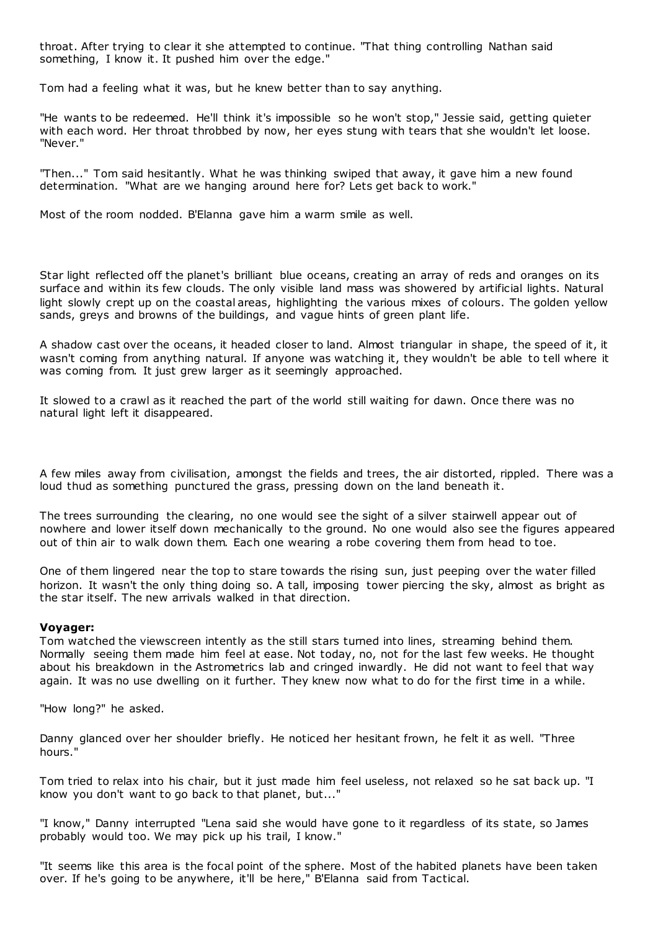throat. After trying to clear it she attempted to continue. "That thing controlling Nathan said something, I know it. It pushed him over the edge."

Tom had a feeling what it was, but he knew better than to say anything.

"He wants to be redeemed. He'll think it's impossible so he won't stop," Jessie said, getting quieter with each word. Her throat throbbed by now, her eyes stung with tears that she wouldn't let loose. "Never."

"Then..." Tom said hesitantly. What he was thinking swiped that away, it gave him a new found determination. "What are we hanging around here for? Lets get back to work."

Most of the room nodded. B'Elanna gave him a warm smile as well.

Star light reflected off the planet's brilliant blue oceans, creating an array of reds and oranges on its surface and within its few clouds. The only visible land mass was showered by artificial lights. Natural light slowly crept up on the coastal areas, highlighting the various mixes of colours. The golden yellow sands, greys and browns of the buildings, and vague hints of green plant life.

A shadow cast over the oceans, it headed closer to land. Almost triangular in shape, the speed of it, it wasn't coming from anything natural. If anyone was watching it, they wouldn't be able to tell where it was coming from. It just grew larger as it seemingly approached.

It slowed to a crawl as it reached the part of the world still waiting for dawn. Once there was no natural light left it disappeared.

A few miles away from civilisation, amongst the fields and trees, the air distorted, rippled. There was a loud thud as something punctured the grass, pressing down on the land beneath it.

The trees surrounding the clearing, no one would see the sight of a silver stairwell appear out of nowhere and lower itself down mechanically to the ground. No one would also see the figures appeared out of thin air to walk down them. Each one wearing a robe covering them from head to toe.

One of them lingered near the top to stare towards the rising sun, just peeping over the water filled horizon. It wasn't the only thing doing so. A tall, imposing tower piercing the sky, almost as bright as the star itself. The new arrivals walked in that direction.

### **Voyager:**

Tom watched the viewscreen intently as the still stars turned into lines, streaming behind them. Normally seeing them made him feel at ease. Not today, no, not for the last few weeks. He thought about his breakdown in the Astrometrics lab and cringed inwardly. He did not want to feel that way again. It was no use dwelling on it further. They knew now what to do for the first time in a while.

"How long?" he asked.

Danny glanced over her shoulder briefly. He noticed her hesitant frown, he felt it as well. "Three hours."

Tom tried to relax into his chair, but it just made him feel useless, not relaxed so he sat back up. "I know you don't want to go back to that planet, but..."

"I know," Danny interrupted "Lena said she would have gone to it regardless of its state, so James probably would too. We may pick up his trail, I know."

"It seems like this area is the focal point of the sphere. Most of the habited planets have been taken over. If he's going to be anywhere, it'll be here," B'Elanna said from Tactical.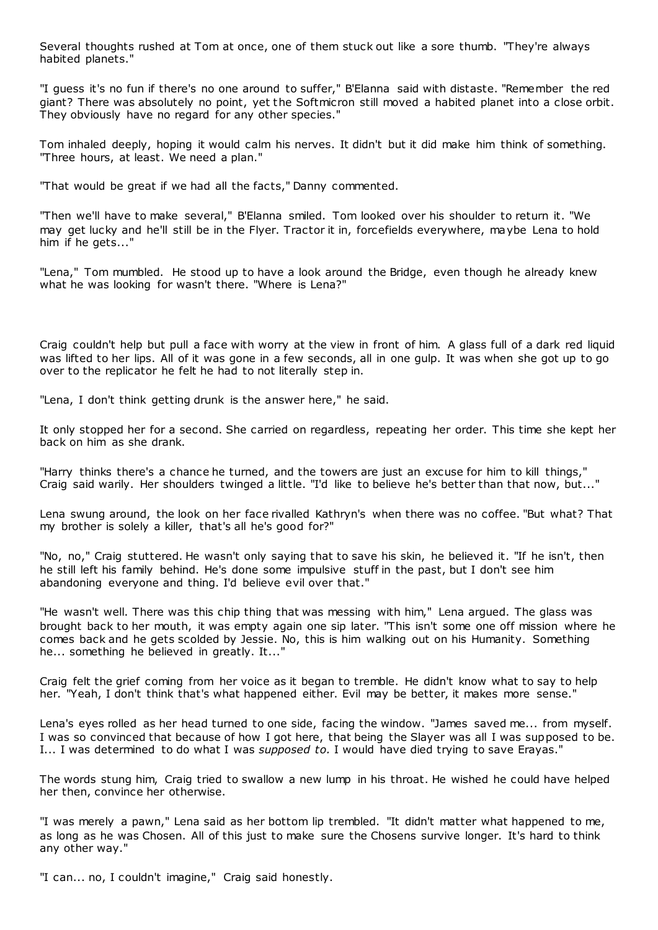Several thoughts rushed at Tom at once, one of them stuck out like a sore thumb. "They're always habited planets."

"I guess it's no fun if there's no one around to suffer," B'Elanna said with distaste. "Remember the red giant? There was absolutely no point, yet the Softmicron still moved a habited planet into a close orbit. They obviously have no regard for any other species."

Tom inhaled deeply, hoping it would calm his nerves. It didn't but it did make him think of something. "Three hours, at least. We need a plan."

"That would be great if we had all the facts," Danny commented.

"Then we'll have to make several," B'Elanna smiled. Tom looked over his shoulder to return it. "We may get lucky and he'll still be in the Flyer. Tractor it in, forcefields everywhere, maybe Lena to hold him if he gets..."

"Lena," Tom mumbled. He stood up to have a look around the Bridge, even though he already knew what he was looking for wasn't there. "Where is Lena?"

Craig couldn't help but pull a face with worry at the view in front of him. A glass full of a dark red liquid was lifted to her lips. All of it was gone in a few seconds, all in one gulp. It was when she got up to go over to the replicator he felt he had to not literally step in.

"Lena, I don't think getting drunk is the answer here," he said.

It only stopped her for a second. She carried on regardless, repeating her order. This time she kept her back on him as she drank.

"Harry thinks there's a chance he turned, and the towers are just an excuse for him to kill things," Craig said warily. Her shoulders twinged a little. "I'd like to believe he's better than that now, but..."

Lena swung around, the look on her face rivalled Kathryn's when there was no coffee. "But what? That my brother is solely a killer, that's all he's good for?"

"No, no," Craig stuttered. He wasn't only saying that to save his skin, he believed it. "If he isn't, then he still left his family behind. He's done some impulsive stuff in the past, but I don't see him abandoning everyone and thing. I'd believe evil over that."

"He wasn't well. There was this chip thing that was messing with him," Lena argued. The glass was brought back to her mouth, it was empty again one sip later. "This isn't some one off mission where he comes back and he gets scolded by Jessie. No, this is him walking out on his Humanity. Something he... something he believed in greatly. It..."

Craig felt the grief coming from her voice as it began to tremble. He didn't know what to say to help her. "Yeah, I don't think that's what happened either. Evil may be better, it makes more sense."

Lena's eyes rolled as her head turned to one side, facing the window. "James saved me... from myself. I was so convinced that because of how I got here, that being the Slayer was all I was supposed to be. I... I was determined to do what I was *supposed to.* I would have died trying to save Erayas."

The words stung him, Craig tried to swallow a new lump in his throat. He wished he could have helped her then, convince her otherwise.

"I was merely a pawn," Lena said as her bottom lip trembled. "It didn't matter what happened to me, as long as he was Chosen. All of this just to make sure the Chosens survive longer. It's hard to think any other way."

"I can... no, I couldn't imagine," Craig said honestly.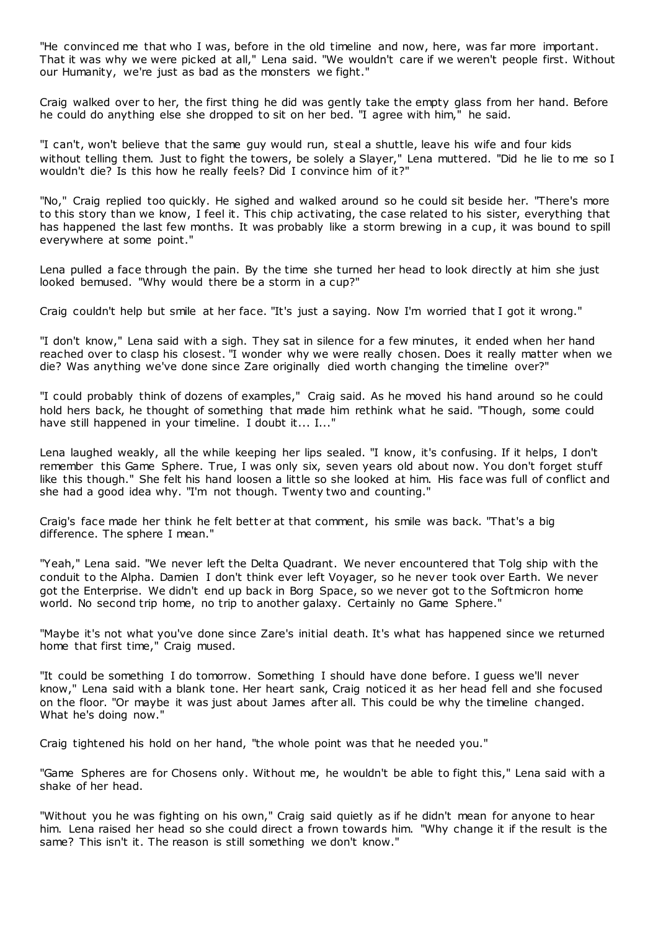"He convinced me that who I was, before in the old timeline and now, here, was far more important. That it was why we were picked at all," Lena said. "We wouldn't care if we weren't people first. Without our Humanity, we're just as bad as the monsters we fight."

Craig walked over to her, the first thing he did was gently take the empty glass from her hand. Before he could do anything else she dropped to sit on her bed. "I agree with him," he said.

"I can't, won't believe that the same guy would run, steal a shuttle, leave his wife and four kids without telling them. Just to fight the towers, be solely a Slayer," Lena muttered. "Did he lie to me so I wouldn't die? Is this how he really feels? Did I convince him of it?"

"No," Craig replied too quickly. He sighed and walked around so he could sit beside her. "There's more to this story than we know, I feel it. This chip activating, the case related to his sister, everything that has happened the last few months. It was probably like a storm brewing in a cup, it was bound to spill everywhere at some point."

Lena pulled a face through the pain. By the time she turned her head to look directly at him she just looked bemused. "Why would there be a storm in a cup?"

Craig couldn't help but smile at her face. "It's just a saying. Now I'm worried that I got it wrong."

"I don't know," Lena said with a sigh. They sat in silence for a few minutes, it ended when her hand reached over to clasp his closest. "I wonder why we were really chosen. Does it really matter when we die? Was anything we've done since Zare originally died worth changing the timeline over?"

"I could probably think of dozens of examples," Craig said. As he moved his hand around so he could hold hers back, he thought of something that made him rethink what he said. "Though, some could have still happened in your timeline. I doubt it... I..."

Lena laughed weakly, all the while keeping her lips sealed. "I know, it's confusing. If it helps, I don't remember this Game Sphere. True, I was only six, seven years old about now. You don't forget stuff like this though." She felt his hand loosen a little so she looked at him. His face was full of conflict and she had a good idea why. "I'm not though. Twenty two and counting."

Craig's face made her think he felt better at that comment, his smile was back. "That's a big difference. The sphere I mean."

"Yeah," Lena said. "We never left the Delta Quadrant. We never encountered that Tolg ship with the conduit to the Alpha. Damien I don't think ever left Voyager, so he never took over Earth. We never got the Enterprise. We didn't end up back in Borg Space, so we never got to the Softmicron home world. No second trip home, no trip to another galaxy. Certainly no Game Sphere."

"Maybe it's not what you've done since Zare's initial death. It's what has happened since we returned home that first time," Craig mused.

"It could be something I do tomorrow. Something I should have done before. I guess we'll never know," Lena said with a blank tone. Her heart sank, Craig noticed it as her head fell and she focused on the floor. "Or maybe it was just about James after all. This could be why the timeline changed. What he's doing now."

Craig tightened his hold on her hand, "the whole point was that he needed you."

"Game Spheres are for Chosens only. Without me, he wouldn't be able to fight this," Lena said with a shake of her head.

"Without you he was fighting on his own," Craig said quietly as if he didn't mean for anyone to hear him. Lena raised her head so she could direct a frown towards him. "Why change it if the result is the same? This isn't it. The reason is still something we don't know."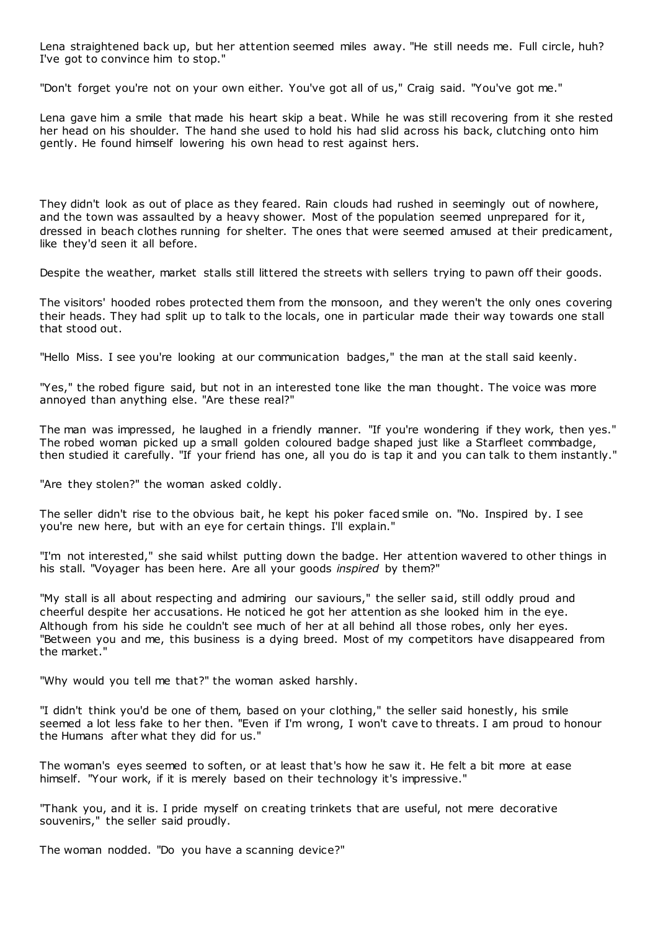Lena straightened back up, but her attention seemed miles away. "He still needs me. Full circle, huh? I've got to convince him to stop."

"Don't forget you're not on your own either. You've got all of us," Craig said. "You've got me."

Lena gave him a smile that made his heart skip a beat. While he was still recovering from it she rested her head on his shoulder. The hand she used to hold his had slid across his back, clutching onto him gently. He found himself lowering his own head to rest against hers.

They didn't look as out of place as they feared. Rain clouds had rushed in seemingly out of nowhere, and the town was assaulted by a heavy shower. Most of the population seemed unprepared for it, dressed in beach clothes running for shelter. The ones that were seemed amused at their predicament, like they'd seen it all before.

Despite the weather, market stalls still littered the streets with sellers trying to pawn off their goods.

The visitors' hooded robes protected them from the monsoon, and they weren't the only ones covering their heads. They had split up to talk to the locals, one in particular made their way towards one stall that stood out.

"Hello Miss. I see you're looking at our communication badges," the man at the stall said keenly.

"Yes," the robed figure said, but not in an interested tone like the man thought. The voice was more annoyed than anything else. "Are these real?"

The man was impressed, he laughed in a friendly manner. "If you're wondering if they work, then yes." The robed woman picked up a small golden coloured badge shaped just like a Starfleet commbadge, then studied it carefully. "If your friend has one, all you do is tap it and you can talk to them instantly."

"Are they stolen?" the woman asked coldly.

The seller didn't rise to the obvious bait, he kept his poker faced smile on. "No. Inspired by. I see you're new here, but with an eye for certain things. I'll explain."

"I'm not interested," she said whilst putting down the badge. Her attention wavered to other things in his stall. "Voyager has been here. Are all your goods *inspired* by them?"

"My stall is all about respecting and admiring our saviours," the seller said, still oddly proud and cheerful despite her accusations. He noticed he got her attention as she looked him in the eye. Although from his side he couldn't see much of her at all behind all those robes, only her eyes. "Between you and me, this business is a dying breed. Most of my competitors have disappeared from the market."

"Why would you tell me that?" the woman asked harshly.

"I didn't think you'd be one of them, based on your clothing," the seller said honestly, his smile seemed a lot less fake to her then. "Even if I'm wrong, I won't cave to threats. I am proud to honour the Humans after what they did for us."

The woman's eyes seemed to soften, or at least that's how he saw it. He felt a bit more at ease himself. "Your work, if it is merely based on their technology it's impressive."

"Thank you, and it is. I pride myself on creating trinkets that are useful, not mere decorative souvenirs," the seller said proudly.

The woman nodded. "Do you have a scanning device?"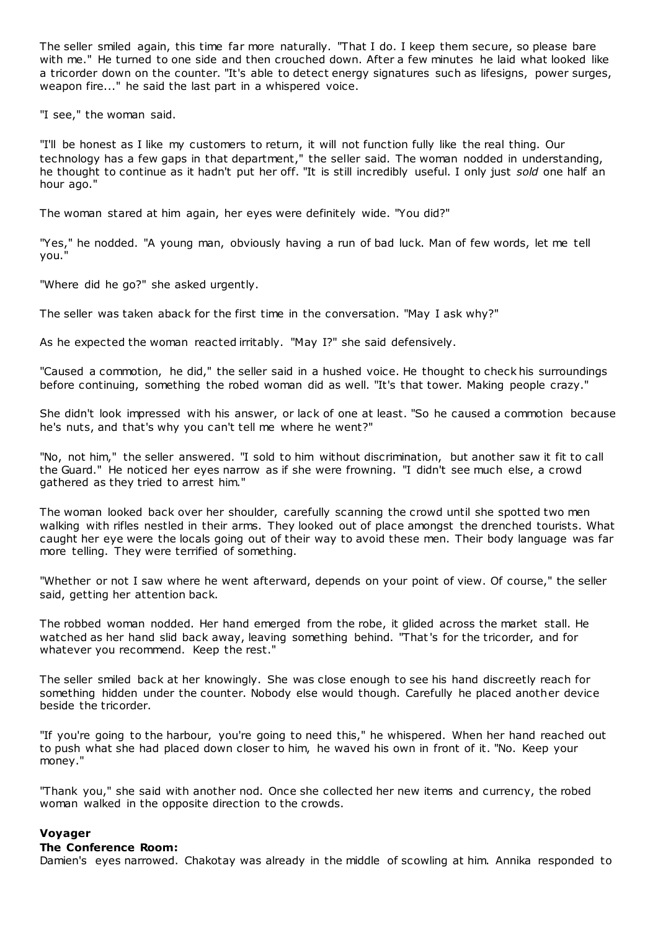The seller smiled again, this time far more naturally. "That I do. I keep them secure, so please bare with me." He turned to one side and then crouched down. After a few minutes he laid what looked like a tricorder down on the counter. "It's able to detect energy signatures such as lifesigns, power surges, weapon fire..." he said the last part in a whispered voice.

"I see," the woman said.

"I'll be honest as I like my customers to return, it will not function fully like the real thing. Our technology has a few gaps in that department," the seller said. The woman nodded in understanding, he thought to continue as it hadn't put her off. "It is still incredibly useful. I only just *sold* one half an hour ago."

The woman stared at him again, her eyes were definitely wide. "You did?"

"Yes," he nodded. "A young man, obviously having a run of bad luck. Man of few words, let me tell you."

"Where did he go?" she asked urgently.

The seller was taken aback for the first time in the conversation. "May I ask why?"

As he expected the woman reacted irritably. "May I?" she said defensively.

"Caused a commotion, he did," the seller said in a hushed voice. He thought to check his surroundings before continuing, something the robed woman did as well. "It's that tower. Making people crazy."

She didn't look impressed with his answer, or lack of one at least. "So he caused a commotion because he's nuts, and that's why you can't tell me where he went?"

"No, not him," the seller answered. "I sold to him without discrimination, but another saw it fit to call the Guard." He noticed her eyes narrow as if she were frowning. "I didn't see much else, a crowd gathered as they tried to arrest him."

The woman looked back over her shoulder, carefully scanning the crowd until she spotted two men walking with rifles nestled in their arms. They looked out of place amongst the drenched tourists. What caught her eye were the locals going out of their way to avoid these men. Their body language was far more telling. They were terrified of something.

"Whether or not I saw where he went afterward, depends on your point of view. Of course," the seller said, getting her attention back.

The robbed woman nodded. Her hand emerged from the robe, it glided across the market stall. He watched as her hand slid back away, leaving something behind. "That's for the tricorder, and for whatever you recommend. Keep the rest."

The seller smiled back at her knowingly. She was close enough to see his hand discreetly reach for something hidden under the counter. Nobody else would though. Carefully he placed another device beside the tricorder.

"If you're going to the harbour, you're going to need this," he whispered. When her hand reached out to push what she had placed down closer to him, he waved his own in front of it. "No. Keep your money."

"Thank you," she said with another nod. Once she collected her new items and currency, the robed woman walked in the opposite direction to the crowds.

### **Voyager**

#### **The Conference Room:**

Damien's eyes narrowed. Chakotay was already in the middle of scowling at him. Annika responded to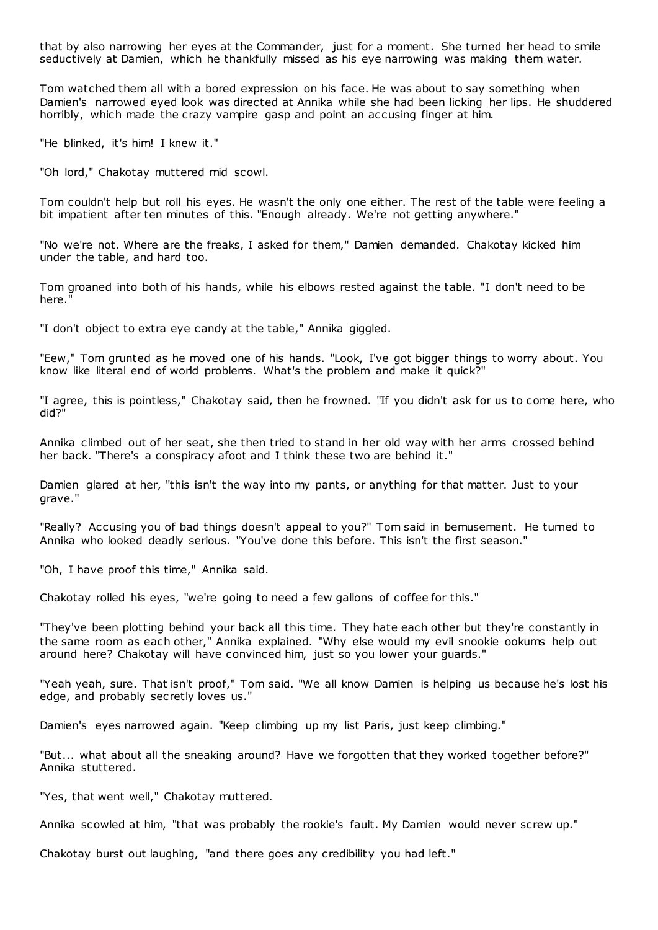that by also narrowing her eyes at the Commander, just for a moment. She turned her head to smile seductively at Damien, which he thankfully missed as his eye narrowing was making them water.

Tom watched them all with a bored expression on his face. He was about to say something when Damien's narrowed eyed look was directed at Annika while she had been licking her lips. He shuddered horribly, which made the crazy vampire gasp and point an accusing finger at him.

"He blinked, it's him! I knew it."

"Oh lord," Chakotay muttered mid scowl.

Tom couldn't help but roll his eyes. He wasn't the only one either. The rest of the table were feeling a bit impatient after ten minutes of this. "Enough already. We're not getting anywhere."

"No we're not. Where are the freaks, I asked for them," Damien demanded. Chakotay kicked him under the table, and hard too.

Tom groaned into both of his hands, while his elbows rested against the table. "I don't need to be here."

"I don't object to extra eye candy at the table," Annika giggled.

"Eew," Tom grunted as he moved one of his hands. "Look, I've got bigger things to worry about. You know like literal end of world problems. What's the problem and make it quick?"

"I agree, this is pointless," Chakotay said, then he frowned. "If you didn't ask for us to come here, who did?"

Annika climbed out of her seat, she then tried to stand in her old way with her arms crossed behind her back. "There's a conspiracy afoot and I think these two are behind it."

Damien glared at her, "this isn't the way into my pants, or anything for that matter. Just to your grave."

"Really? Accusing you of bad things doesn't appeal to you?" Tom said in bemusement. He turned to Annika who looked deadly serious. "You've done this before. This isn't the first season."

"Oh, I have proof this time," Annika said.

Chakotay rolled his eyes, "we're going to need a few gallons of coffee for this."

"They've been plotting behind your back all this time. They hate each other but they're constantly in the same room as each other," Annika explained. "Why else would my evil snookie ookums help out around here? Chakotay will have convinced him, just so you lower your guards."

"Yeah yeah, sure. That isn't proof," Tom said. "We all know Damien is helping us because he's lost his edge, and probably secretly loves us."

Damien's eyes narrowed again. "Keep climbing up my list Paris, just keep climbing."

"But... what about all the sneaking around? Have we forgotten that they worked together before?" Annika stuttered.

"Yes, that went well," Chakotay muttered.

Annika scowled at him, "that was probably the rookie's fault. My Damien would never screw up."

Chakotay burst out laughing, "and there goes any credibility you had left."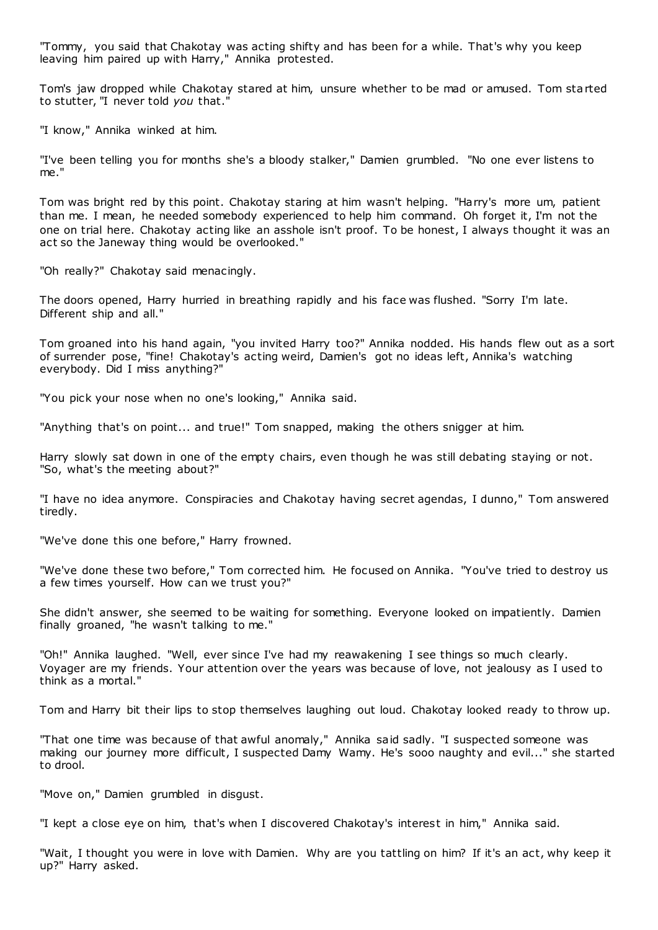"Tommy, you said that Chakotay was acting shifty and has been for a while. That's why you keep leaving him paired up with Harry," Annika protested.

Tom's jaw dropped while Chakotay stared at him, unsure whether to be mad or amused. Tom started to stutter, "I never told *you* that."

"I know," Annika winked at him.

"I've been telling you for months she's a bloody stalker," Damien grumbled. "No one ever listens to me."

Tom was bright red by this point. Chakotay staring at him wasn't helping. "Harry's more um, patient than me. I mean, he needed somebody experienced to help him command. Oh forget it, I'm not the one on trial here. Chakotay acting like an asshole isn't proof. To be honest, I always thought it was an act so the Janeway thing would be overlooked."

"Oh really?" Chakotay said menacingly.

The doors opened, Harry hurried in breathing rapidly and his face was flushed. "Sorry I'm late. Different ship and all."

Tom groaned into his hand again, "you invited Harry too?" Annika nodded. His hands flew out as a sort of surrender pose, "fine! Chakotay's acting weird, Damien's got no ideas left, Annika's watching everybody. Did I miss anything?"

"You pick your nose when no one's looking," Annika said.

"Anything that's on point... and true!" Tom snapped, making the others snigger at him.

Harry slowly sat down in one of the empty chairs, even though he was still debating staying or not. "So, what's the meeting about?"

"I have no idea anymore. Conspiracies and Chakotay having secret agendas, I dunno," Tom answered tiredly.

"We've done this one before," Harry frowned.

"We've done these two before," Tom corrected him. He focused on Annika. "You've tried to destroy us a few times yourself. How can we trust you?"

She didn't answer, she seemed to be waiting for something. Everyone looked on impatiently. Damien finally groaned, "he wasn't talking to me."

"Oh!" Annika laughed. "Well, ever since I've had my reawakening I see things so much clearly. Voyager are my friends. Your attention over the years was because of love, not jealousy as I used to think as a mortal."

Tom and Harry bit their lips to stop themselves laughing out loud. Chakotay looked ready to throw up.

"That one time was because of that awful anomaly," Annika said sadly. "I suspected someone was making our journey more difficult, I suspected Damy Wamy. He's sooo naughty and evil..." she started to drool.

"Move on," Damien grumbled in disgust.

"I kept a close eye on him, that's when I discovered Chakotay's interest in him," Annika said.

"Wait, I thought you were in love with Damien. Why are you tattling on him? If it's an act, why keep it up?" Harry asked.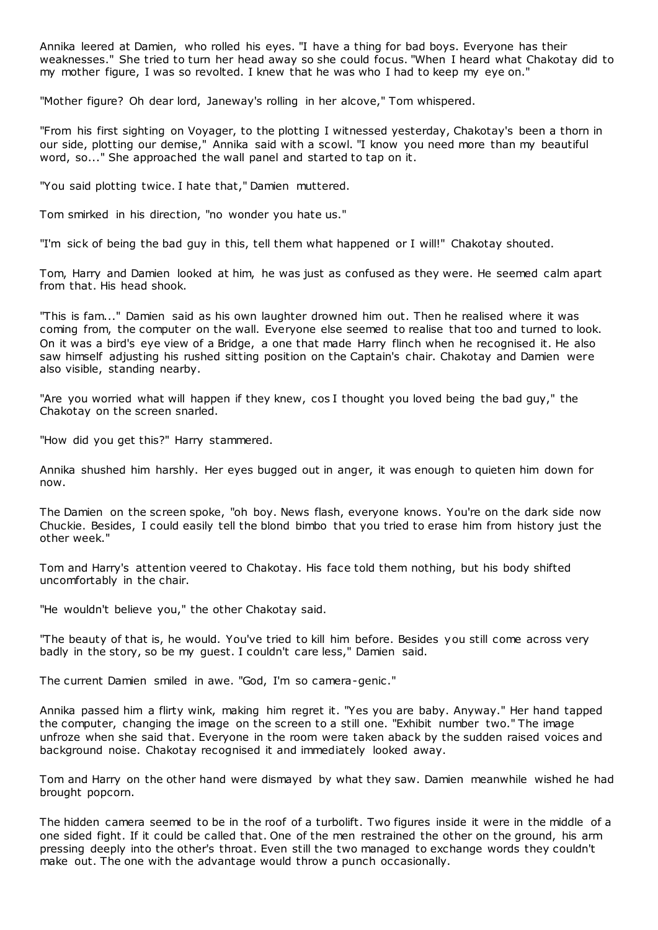Annika leered at Damien, who rolled his eyes. "I have a thing for bad boys. Everyone has their weaknesses." She tried to turn her head away so she could focus. "When I heard what Chakotay did to my mother figure, I was so revolted. I knew that he was who I had to keep my eye on."

"Mother figure? Oh dear lord, Janeway's rolling in her alcove," Tom whispered.

"From his first sighting on Voyager, to the plotting I witnessed yesterday, Chakotay's been a thorn in our side, plotting our demise," Annika said with a scowl. "I know you need more than my beautiful word, so..." She approached the wall panel and started to tap on it.

"You said plotting twice. I hate that," Damien muttered.

Tom smirked in his direction, "no wonder you hate us."

"I'm sick of being the bad guy in this, tell them what happened or I will!" Chakotay shouted.

Tom, Harry and Damien looked at him, he was just as confused as they were. He seemed calm apart from that. His head shook.

"This is fam..." Damien said as his own laughter drowned him out. Then he realised where it was coming from, the computer on the wall. Everyone else seemed to realise that too and turned to look. On it was a bird's eye view of a Bridge, a one that made Harry flinch when he recognised it. He also saw himself adjusting his rushed sitting position on the Captain's chair. Chakotay and Damien were also visible, standing nearby.

"Are you worried what will happen if they knew, cos I thought you loved being the bad guy," the Chakotay on the screen snarled.

"How did you get this?" Harry stammered.

Annika shushed him harshly. Her eyes bugged out in anger, it was enough to quieten him down for now.

The Damien on the screen spoke, "oh boy. News flash, everyone knows. You're on the dark side now Chuckie. Besides, I could easily tell the blond bimbo that you tried to erase him from history just the other week."

Tom and Harry's attention veered to Chakotay. His face told them nothing, but his body shifted uncomfortably in the chair.

"He wouldn't believe you," the other Chakotay said.

"The beauty of that is, he would. You've tried to kill him before. Besides you still come across very badly in the story, so be my guest. I couldn't care less," Damien said.

The current Damien smiled in awe. "God, I'm so camera-genic ."

Annika passed him a flirty wink, making him regret it. "Yes you are baby. Anyway." Her hand tapped the computer, changing the image on the screen to a still one. "Exhibit number two." The image unfroze when she said that. Everyone in the room were taken aback by the sudden raised voices and background noise. Chakotay recognised it and immediately looked away.

Tom and Harry on the other hand were dismayed by what they saw. Damien meanwhile wished he had brought popcorn.

The hidden camera seemed to be in the roof of a turbolift. Two figures inside it were in the middle of a one sided fight. If it could be called that. One of the men restrained the other on the ground, his arm pressing deeply into the other's throat. Even still the two managed to exchange words they couldn't make out. The one with the advantage would throw a punch occasionally.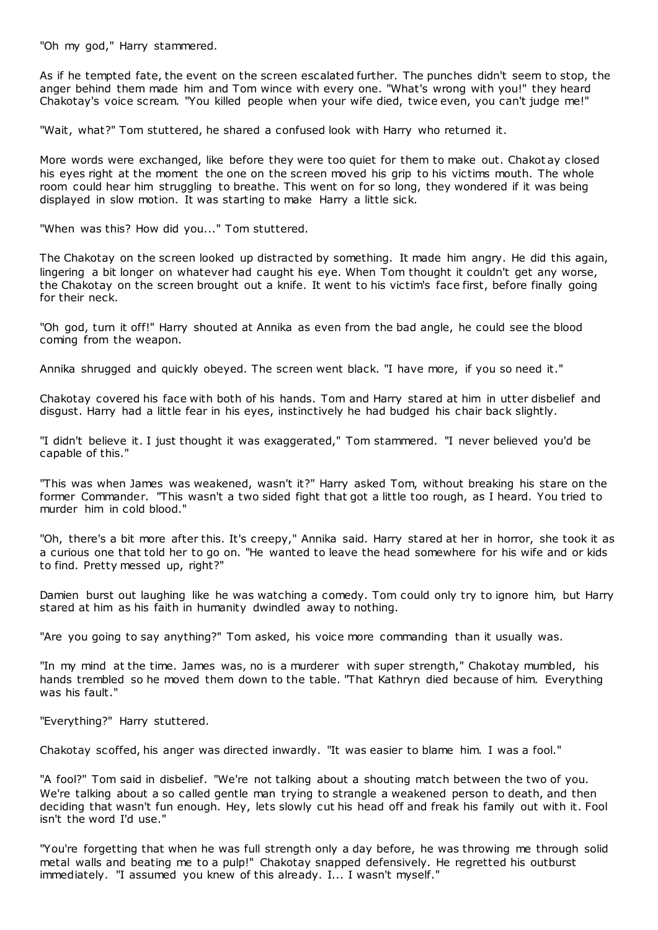"Oh my god," Harry stammered.

As if he tempted fate, the event on the screen escalated further. The punches didn't seem to stop, the anger behind them made him and Tom wince with every one. "What's wrong with you!" they heard Chakotay's voice scream. "You killed people when your wife died, twice even, you can't judge me!"

"Wait, what?" Tom stuttered, he shared a confused look with Harry who returned it.

More words were exchanged, like before they were too quiet for them to make out. Chakot ay closed his eyes right at the moment the one on the screen moved his grip to his victims mouth. The whole room could hear him struggling to breathe. This went on for so long, they wondered if it was being displayed in slow motion. It was starting to make Harry a little sick.

"When was this? How did you..." Tom stuttered.

The Chakotay on the screen looked up distracted by something. It made him angry. He did this again, lingering a bit longer on whatever had caught his eye. When Tom thought it couldn't get any worse, the Chakotay on the screen brought out a knife. It went to his victim's face first, before finally going for their neck.

"Oh god, turn it off!" Harry shouted at Annika as even from the bad angle, he could see the blood coming from the weapon.

Annika shrugged and quickly obeyed. The screen went black. "I have more, if you so need it."

Chakotay covered his face with both of his hands. Tom and Harry stared at him in utter disbelief and disgust. Harry had a little fear in his eyes, instinctively he had budged his chair back slightly.

"I didn't believe it. I just thought it was exaggerated," Tom stammered. "I never believed you'd be capable of this."

"This was when James was weakened, wasn't it?" Harry asked Tom, without breaking his stare on the former Commander. "This wasn't a two sided fight that got a little too rough, as I heard. You tried to murder him in cold blood."

"Oh, there's a bit more after this. It's creepy," Annika said. Harry stared at her in horror, she took it as a curious one that told her to go on. "He wanted to leave the head somewhere for his wife and or kids to find. Pretty messed up, right?"

Damien burst out laughing like he was watching a comedy. Tom could only try to ignore him, but Harry stared at him as his faith in humanity dwindled away to nothing.

"Are you going to say anything?" Tom asked, his voice more commanding than it usually was.

"In my mind at the time. James was, no is a murderer with super strength," Chakotay mumbled, his hands trembled so he moved them down to the table. "That Kathryn died because of him. Everything was his fault."

"Everything?" Harry stuttered.

Chakotay scoffed, his anger was directed inwardly. "It was easier to blame him. I was a fool."

"A fool?" Tom said in disbelief. "We're not talking about a shouting match between the two of you. We're talking about a so called gentle man trying to strangle a weakened person to death, and then deciding that wasn't fun enough. Hey, lets slowly cut his head off and freak his family out with it. Fool isn't the word I'd use."

"You're forgetting that when he was full strength only a day before, he was throwing me through solid metal walls and beating me to a pulp!" Chakotay snapped defensively. He regretted his outburst immediately. "I assumed you knew of this already. I... I wasn't myself."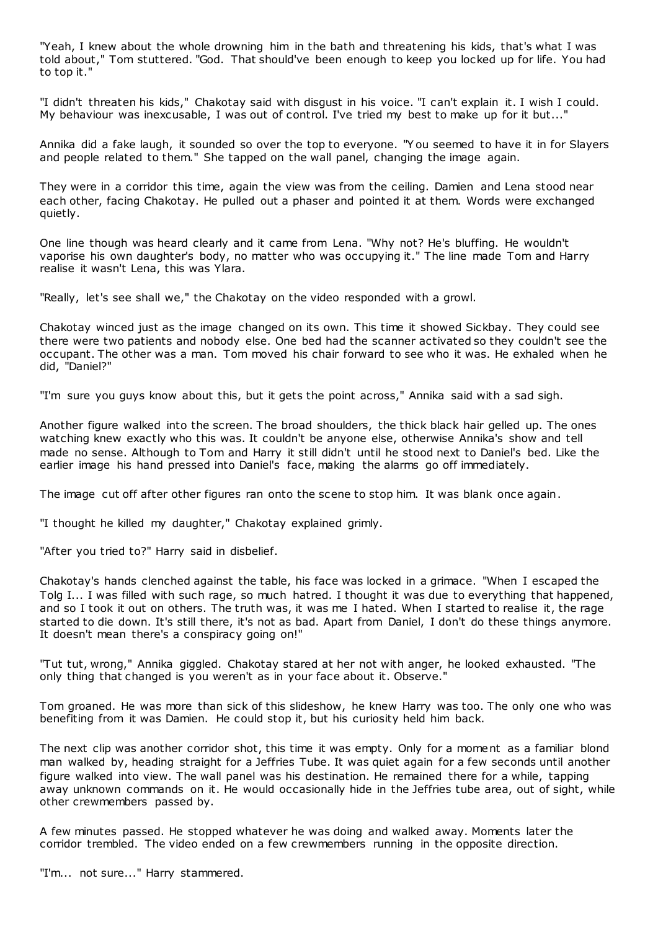"Yeah, I knew about the whole drowning him in the bath and threatening his kids, that's what I was told about," Tom stuttered. "God. That should've been enough to keep you locked up for life. You had to top it."

"I didn't threaten his kids," Chakotay said with disgust in his voice. "I can't explain it. I wish I could. My behaviour was inexcusable, I was out of control. I've tried my best to make up for it but..."

Annika did a fake laugh, it sounded so over the top to everyone. "Y ou seemed to have it in for Slayers and people related to them." She tapped on the wall panel, changing the image again.

They were in a corridor this time, again the view was from the ceiling. Damien and Lena stood near each other, facing Chakotay. He pulled out a phaser and pointed it at them. Words were exchanged quietly.

One line though was heard clearly and it came from Lena. "Why not? He's bluffing. He wouldn't vaporise his own daughter's body, no matter who was occupying it." The line made Tom and Harry realise it wasn't Lena, this was Ylara.

"Really, let's see shall we," the Chakotay on the video responded with a growl.

Chakotay winced just as the image changed on its own. This time it showed Sickbay. They could see there were two patients and nobody else. One bed had the scanner activated so they couldn't see the occupant. The other was a man. Tom moved his chair forward to see who it was. He exhaled when he did, "Daniel?"

"I'm sure you guys know about this, but it gets the point across," Annika said with a sad sigh.

Another figure walked into the screen. The broad shoulders, the thick black hair gelled up. The ones watching knew exactly who this was. It couldn't be anyone else, otherwise Annika's show and tell made no sense. Although to Tom and Harry it still didn't until he stood next to Daniel's bed. Like the earlier image his hand pressed into Daniel's face, making the alarms go off immediately.

The image cut off after other figures ran onto the scene to stop him. It was blank once again.

"I thought he killed my daughter," Chakotay explained grimly.

"After you tried to?" Harry said in disbelief.

Chakotay's hands clenched against the table, his face was locked in a grimace. "When I escaped the Tolg I... I was filled with such rage, so much hatred. I thought it was due to everything that happened, and so I took it out on others. The truth was, it was me I hated. When I started to realise it, the rage started to die down. It's still there, it's not as bad. Apart from Daniel, I don't do these things anymore. It doesn't mean there's a conspiracy going on!"

"Tut tut, wrong," Annika giggled. Chakotay stared at her not with anger, he looked exhausted. "The only thing that changed is you weren't as in your face about it. Observe."

Tom groaned. He was more than sick of this slideshow, he knew Harry was too. The only one who was benefiting from it was Damien. He could stop it, but his curiosity held him back.

The next clip was another corridor shot, this time it was empty. Only for a moment as a familiar blond man walked by, heading straight for a Jeffries Tube. It was quiet again for a few seconds until another figure walked into view. The wall panel was his destination. He remained there for a while, tapping away unknown commands on it. He would occasionally hide in the Jeffries tube area, out of sight, while other crewmembers passed by.

A few minutes passed. He stopped whatever he was doing and walked away. Moments later the corridor trembled. The video ended on a few crewmembers running in the opposite direction.

"I'm... not sure..." Harry stammered.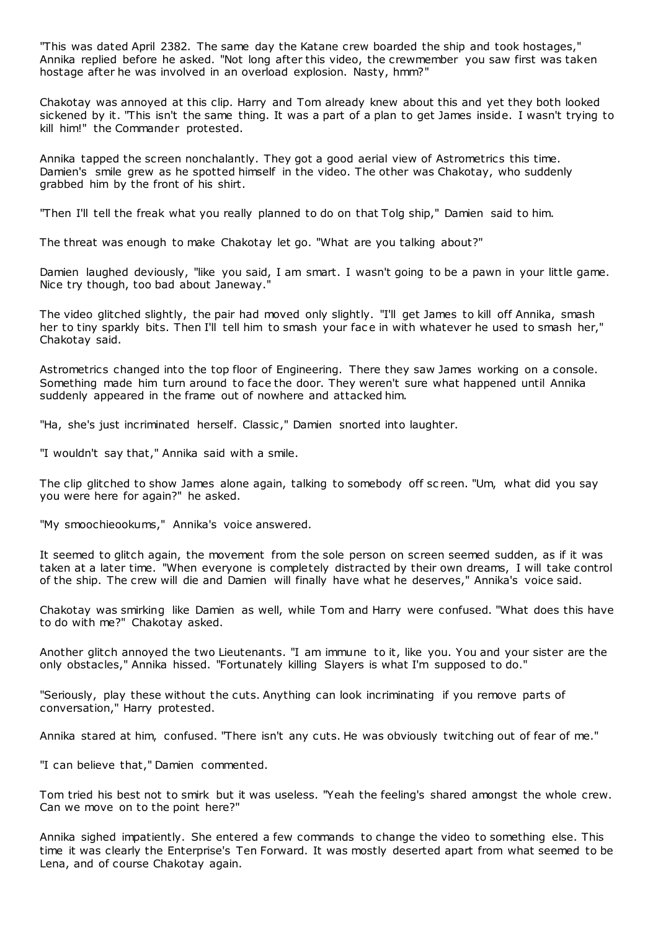"This was dated April 2382. The same day the Katane crew boarded the ship and took hostages," Annika replied before he asked. "Not long after this video, the crewmember you saw first was taken hostage after he was involved in an overload explosion. Nasty, hmm?"

Chakotay was annoyed at this clip. Harry and Tom already knew about this and yet they both looked sickened by it. "This isn't the same thing. It was a part of a plan to get James inside. I wasn't trying to kill him!" the Commander protested.

Annika tapped the screen nonchalantly. They got a good aerial view of Astrometrics this time. Damien's smile grew as he spotted himself in the video. The other was Chakotay, who suddenly grabbed him by the front of his shirt.

"Then I'll tell the freak what you really planned to do on that Tolg ship," Damien said to him.

The threat was enough to make Chakotay let go. "What are you talking about?"

Damien laughed deviously, "like you said, I am smart. I wasn't going to be a pawn in your little game. Nice try though, too bad about Janeway."

The video glitched slightly, the pair had moved only slightly. "I'll get James to kill off Annika, smash her to tiny sparkly bits. Then I'll tell him to smash your fac e in with whatever he used to smash her," Chakotay said.

Astrometrics changed into the top floor of Engineering. There they saw James working on a console. Something made him turn around to face the door. They weren't sure what happened until Annika suddenly appeared in the frame out of nowhere and attacked him.

"Ha, she's just incriminated herself. Classic ," Damien snorted into laughter.

"I wouldn't say that," Annika said with a smile.

The clip glitched to show James alone again, talking to somebody off sc reen. "Um, what did you say you were here for again?" he asked.

"My smoochieookums," Annika's voice answered.

It seemed to glitch again, the movement from the sole person on screen seemed sudden, as if it was taken at a later time. "When everyone is completely distracted by their own dreams, I will take control of the ship. The crew will die and Damien will finally have what he deserves," Annika's voice said.

Chakotay was smirking like Damien as well, while Tom and Harry were confused. "What does this have to do with me?" Chakotay asked.

Another glitch annoyed the two Lieutenants. "I am immune to it, like you. You and your sister are the only obstacles," Annika hissed. "Fortunately killing Slayers is what I'm supposed to do."

"Seriously, play these without the cuts. Anything can look incriminating if you remove parts of conversation," Harry protested.

Annika stared at him, confused. "There isn't any cuts. He was obviously twitching out of fear of me."

"I can believe that," Damien commented.

Tom tried his best not to smirk but it was useless. "Yeah the feeling's shared amongst the whole crew. Can we move on to the point here?"

Annika sighed impatiently. She entered a few commands to change the video to something else. This time it was clearly the Enterprise's Ten Forward. It was mostly deserted apart from what seemed to be Lena, and of course Chakotay again.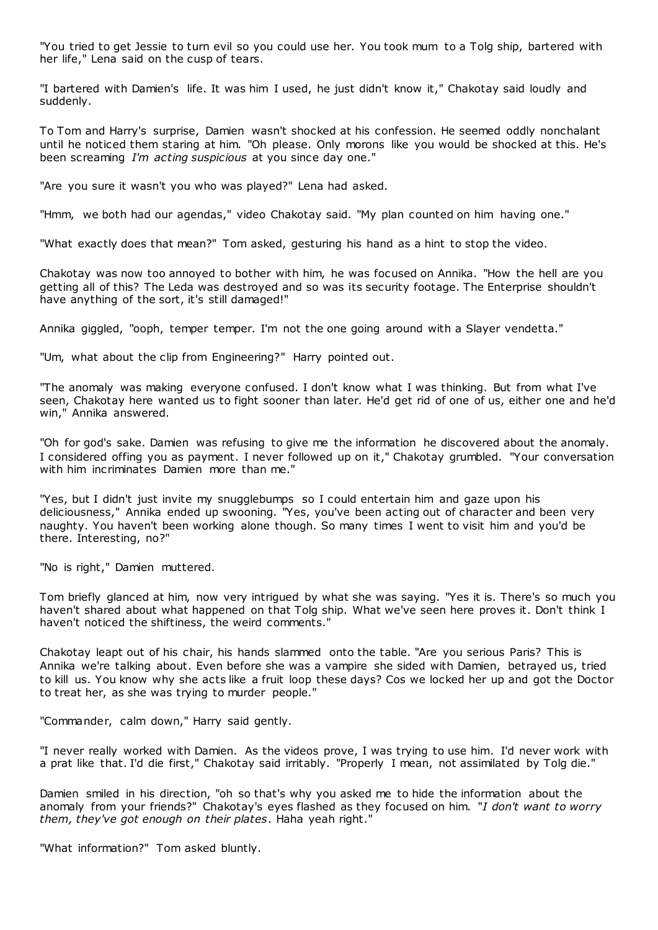"You tried to get Jessie to turn evil so you could use her. You took mum to a Tolg ship, bartered with her life," Lena said on the cusp of tears.

"I bartered with Damien's life. It was him I used, he just didn't know it," Chakotay said loudly and suddenly.

To Tom and Harry's surprise, Damien wasn't shocked at his confession. He seemed oddly nonchalant until he noticed them staring at him. "Oh please. Only morons like you would be shocked at this. He's been screaming *I'm acting suspicious* at you since day one."

"Are you sure it wasn't you who was played?" Lena had asked.

"Hmm, we both had our agendas," video Chakotay said. "My plan counted on him having one."

"What exactly does that mean?" Tom asked, gesturing his hand as a hint to stop the video.

Chakotay was now too annoyed to bother with him, he was focused on Annika. "How the hell are you getting all of this? The Leda was destroyed and so was its security footage. The Enterprise shouldn't have anything of the sort, it's still damaged!"

Annika giggled, "ooph, temper temper. I'm not the one going around with a Slayer vendetta."

"Um, what about the clip from Engineering?" Harry pointed out.

"The anomaly was making everyone confused. I don't know what I was thinking. But from what I've seen, Chakotay here wanted us to fight sooner than later. He'd get rid of one of us, either one and he'd win," Annika answered.

"Oh for god's sake. Damien was refusing to give me the information he discovered about the anomaly. I considered offing you as payment. I never followed up on it," Chakotay grumbled. "Your conversation with him incriminates Damien more than me."

"Yes, but I didn't just invite my snugglebumps so I could entertain him and gaze upon his deliciousness," Annika ended up swooning. "Yes, you've been acting out of character and been very naughty. You haven't been working alone though. So many times I went to visit him and you'd be there. Interesting, no?"

"No is right," Damien muttered.

Tom briefly glanced at him, now very intrigued by what she was saying. "Yes it is. There's so much you haven't shared about what happened on that Tolg ship. What we've seen here proves it. Don't think I haven't noticed the shiftiness, the weird comments."

Chakotay leapt out of his chair, his hands slammed onto the table. "Are you serious Paris? This is Annika we're talking about. Even before she was a vampire she sided with Damien, betrayed us, tried to kill us. You know why she acts like a fruit loop these days? Cos we locked her up and got the Doctor to treat her, as she was trying to murder people."

"Commander, calm down," Harry said gently.

"I never really worked with Damien. As the videos prove, I was trying to use him. I'd never work with a prat like that. I'd die first," Chakotay said irritably. "Properly I mean, not assimilated by Tolg die."

Damien smiled in his direction, "oh so that's why you asked me to hide the information about the anomaly from your friends?" Chakotay's eyes flashed as they focused on him. "*I don't want to worry them, they've got enough on their plates*. Haha yeah right."

"What information?" Tom asked bluntly.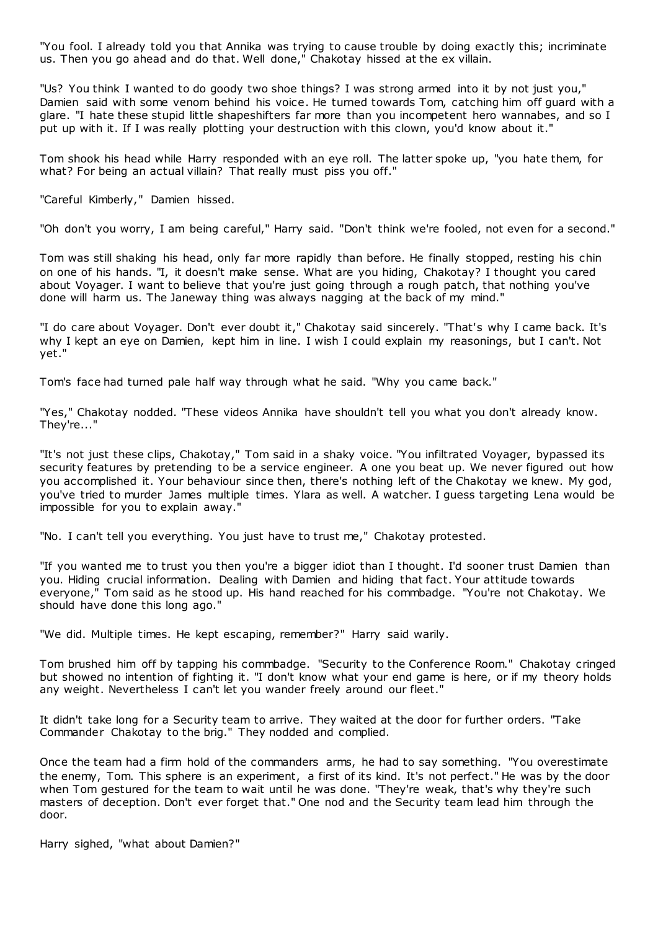"You fool. I already told you that Annika was trying to cause trouble by doing exactly this; incriminate us. Then you go ahead and do that. Well done," Chakotay hissed at the ex villain.

"Us? You think I wanted to do goody two shoe things? I was strong armed into it by not just you," Damien said with some venom behind his voice. He turned towards Tom, catching him off guard with a glare. "I hate these stupid little shapeshifters far more than you incompetent hero wannabes, and so I put up with it. If I was really plotting your destruction with this clown, you'd know about it."

Tom shook his head while Harry responded with an eye roll. The latter spoke up, "you hate them, for what? For being an actual villain? That really must piss you off."

"Careful Kimberly," Damien hissed.

"Oh don't you worry, I am being careful," Harry said. "Don't think we're fooled, not even for a second."

Tom was still shaking his head, only far more rapidly than before. He finally stopped, resting his chin on one of his hands. "I, it doesn't make sense. What are you hiding, Chakotay? I thought you cared about Voyager. I want to believe that you're just going through a rough patch, that nothing you've done will harm us. The Janeway thing was always nagging at the back of my mind."

"I do care about Voyager. Don't ever doubt it," Chakotay said sincerely. "That's why I came back. It's why I kept an eye on Damien, kept him in line. I wish I could explain my reasonings, but I can't. Not yet."

Tom's face had turned pale half way through what he said. "Why you came back."

"Yes," Chakotay nodded. "These videos Annika have shouldn't tell you what you don't already know. They're..."

"It's not just these clips, Chakotay," Tom said in a shaky voice. "You infiltrated Voyager, bypassed its security features by pretending to be a service engineer. A one you beat up. We never figured out how you accomplished it. Your behaviour since then, there's nothing left of the Chakotay we knew. My god, you've tried to murder James multiple times. Ylara as well. A watcher. I guess targeting Lena would be impossible for you to explain away."

"No. I can't tell you everything. You just have to trust me," Chakotay protested.

"If you wanted me to trust you then you're a bigger idiot than I thought. I'd sooner trust Damien than you. Hiding crucial information. Dealing with Damien and hiding that fact. Your attitude towards everyone," Tom said as he stood up. His hand reached for his commbadge. "You're not Chakotay. We should have done this long ago."

"We did. Multiple times. He kept escaping, remember?" Harry said warily.

Tom brushed him off by tapping his commbadge. "Security to the Conference Room." Chakotay cringed but showed no intention of fighting it. "I don't know what your end game is here, or if my theory holds any weight. Nevertheless I can't let you wander freely around our fleet."

It didn't take long for a Security team to arrive. They waited at the door for further orders. "Take Commander Chakotay to the brig." They nodded and complied.

Once the team had a firm hold of the commanders arms, he had to say something. "You overestimate the enemy, Tom. This sphere is an experiment, a first of its kind. It's not perfect." He was by the door when Tom gestured for the team to wait until he was done. "They're weak, that's why they're such masters of deception. Don't ever forget that." One nod and the Security team lead him through the door.

Harry sighed, "what about Damien?"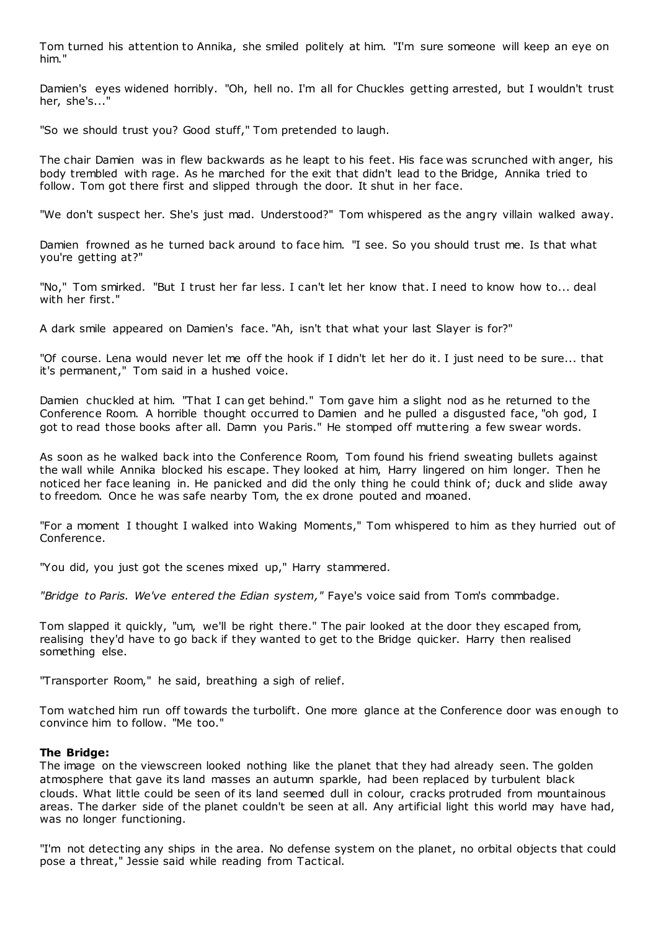Tom turned his attention to Annika, she smiled politely at him. "I'm sure someone will keep an eye on him."

Damien's eyes widened horribly. "Oh, hell no. I'm all for Chuckles getting arrested, but I wouldn't trust her, she's..."

"So we should trust you? Good stuff," Tom pretended to laugh.

The chair Damien was in flew backwards as he leapt to his feet. His face was scrunched with anger, his body trembled with rage. As he marched for the exit that didn't lead to the Bridge, Annika tried to follow. Tom got there first and slipped through the door. It shut in her face.

"We don't suspect her. She's just mad. Understood?" Tom whispered as the angry villain walked away.

Damien frowned as he turned back around to face him. "I see. So you should trust me. Is that what you're getting at?"

"No," Tom smirked. "But I trust her far less. I can't let her know that. I need to know how to... deal with her first."

A dark smile appeared on Damien's face. "Ah, isn't that what your last Slayer is for?"

"Of course. Lena would never let me off the hook if I didn't let her do it. I just need to be sure... that it's permanent," Tom said in a hushed voice.

Damien chuckled at him. "That I can get behind." Tom gave him a slight nod as he returned to the Conference Room. A horrible thought occurred to Damien and he pulled a disgusted face, "oh god, I got to read those books after all. Damn you Paris." He stomped off muttering a few swear words.

As soon as he walked back into the Conference Room, Tom found his friend sweating bullets against the wall while Annika blocked his escape. They looked at him, Harry lingered on him longer. Then he noticed her face leaning in. He panicked and did the only thing he could think of; duck and slide away to freedom. Once he was safe nearby Tom, the ex drone pouted and moaned.

"For a moment I thought I walked into Waking Moments," Tom whispered to him as they hurried out of Conference.

"You did, you just got the scenes mixed up," Harry stammered.

*"Bridge to Paris. We've entered the Edian system,"* Faye's voice said from Tom's commbadge.

Tom slapped it quickly, "um, we'll be right there." The pair looked at the door they escaped from, realising they'd have to go back if they wanted to get to the Bridge quicker. Harry then realised something else.

"Transporter Room," he said, breathing a sigh of relief.

Tom watched him run off towards the turbolift. One more glance at the Conference door was enough to convince him to follow. "Me too."

## **The Bridge:**

The image on the viewscreen looked nothing like the planet that they had already seen. The golden atmosphere that gave its land masses an autumn sparkle, had been replaced by turbulent black clouds. What little could be seen of its land seemed dull in colour, cracks protruded from mountainous areas. The darker side of the planet couldn't be seen at all. Any artificial light this world may have had, was no longer functioning.

"I'm not detecting any ships in the area. No defense system on the planet, no orbital objects that could pose a threat," Jessie said while reading from Tactical.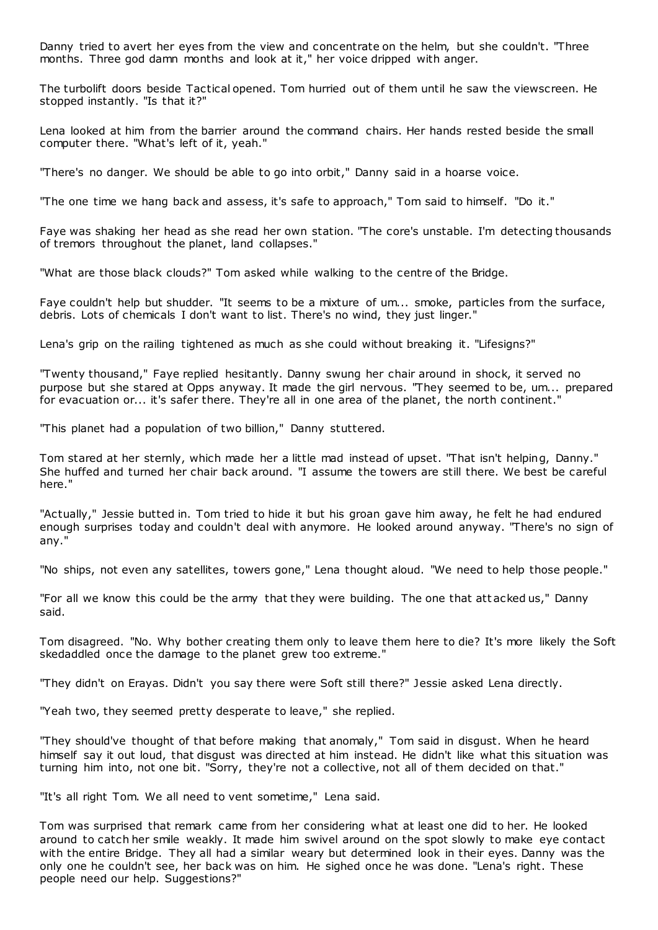Danny tried to avert her eyes from the view and concentrate on the helm, but she couldn't. "Three months. Three god damn months and look at it," her voice dripped with anger.

The turbolift doors beside Tactical opened. Tom hurried out of them until he saw the viewscreen. He stopped instantly. "Is that it?"

Lena looked at him from the barrier around the command chairs. Her hands rested beside the small computer there. "What's left of it, yeah."

"There's no danger. We should be able to go into orbit," Danny said in a hoarse voice.

"The one time we hang back and assess, it's safe to approach," Tom said to himself. "Do it."

Faye was shaking her head as she read her own station. "The core's unstable. I'm detecting thousands of tremors throughout the planet, land collapses."

"What are those black clouds?" Tom asked while walking to the centre of the Bridge.

Faye couldn't help but shudder. "It seems to be a mixture of um... smoke, particles from the surface, debris. Lots of chemicals I don't want to list. There's no wind, they just linger."

Lena's grip on the railing tightened as much as she could without breaking it. "Lifesigns?"

"Twenty thousand," Faye replied hesitantly. Danny swung her chair around in shock, it served no purpose but she stared at Opps anyway. It made the girl nervous. "They seemed to be, um... prepared for evacuation or... it's safer there. They're all in one area of the planet, the north continent."

"This planet had a population of two billion," Danny stuttered.

Tom stared at her sternly, which made her a little mad instead of upset. "That isn't helping, Danny." She huffed and turned her chair back around. "I assume the towers are still there. We best be careful here."

"Actually," Jessie butted in. Tom tried to hide it but his groan gave him away, he felt he had endured enough surprises today and couldn't deal with anymore. He looked around anyway. "There's no sign of any."

"No ships, not even any satellites, towers gone," Lena thought aloud. "We need to help those people."

"For all we know this could be the army that they were building. The one that att acked us," Danny said.

Tom disagreed. "No. Why bother creating them only to leave them here to die? It's more likely the Soft skedaddled once the damage to the planet grew too extreme."

"They didn't on Erayas. Didn't you say there were Soft still there?" Jessie asked Lena directly.

"Yeah two, they seemed pretty desperate to leave," she replied.

"They should've thought of that before making that anomaly," Tom said in disgust. When he heard himself say it out loud, that disgust was directed at him instead. He didn't like what this situation was turning him into, not one bit. "Sorry, they're not a collective, not all of them decided on that."

"It's all right Tom. We all need to vent sometime," Lena said.

Tom was surprised that remark came from her considering what at least one did to her. He looked around to catch her smile weakly. It made him swivel around on the spot slowly to make eye contact with the entire Bridge. They all had a similar weary but determined look in their eyes. Danny was the only one he couldn't see, her back was on him. He sighed once he was done. "Lena's right. These people need our help. Suggestions?"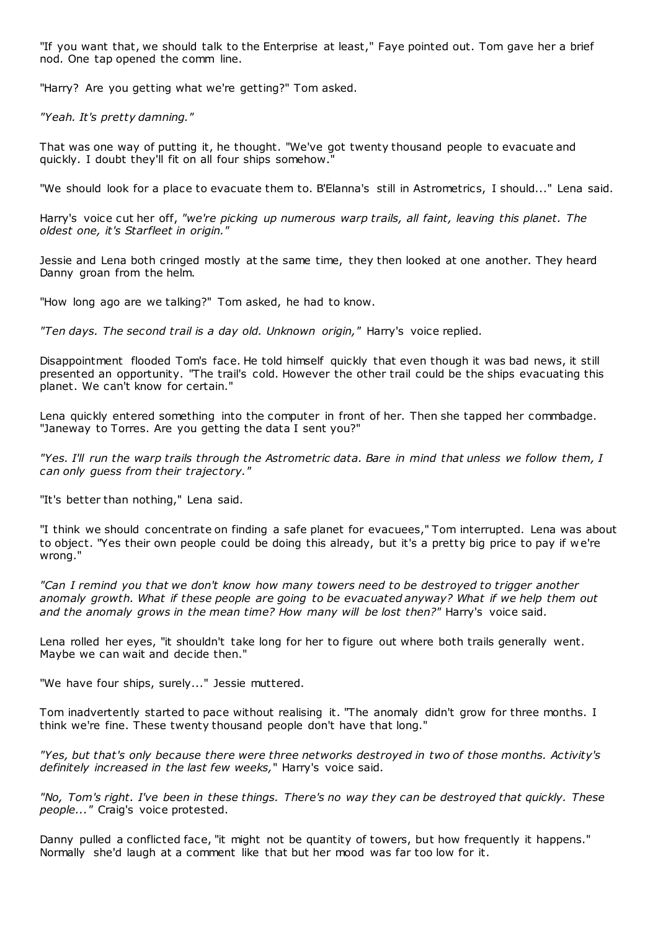"If you want that, we should talk to the Enterprise at least," Faye pointed out. Tom gave her a brief nod. One tap opened the comm line.

"Harry? Are you getting what we're getting?" Tom asked.

*"Yeah. It's pretty damning."*

That was one way of putting it, he thought. "We've got twenty thousand people to evacuate and quickly. I doubt they'll fit on all four ships somehow.

"We should look for a place to evacuate them to. B'Elanna's still in Astrometrics, I should..." Lena said.

Harry's voice cut her off, *"we're picking up numerous warp trails, all faint, leaving this planet. The oldest one, it's Starfleet in origin."*

Jessie and Lena both cringed mostly at the same time, they then looked at one another. They heard Danny groan from the helm.

"How long ago are we talking?" Tom asked, he had to know.

*"Ten days. The second trail is a day old. Unknown origin,"* Harry's voice replied.

Disappointment flooded Tom's face. He told himself quickly that even though it was bad news, it still presented an opportunity. "The trail's cold. However the other trail could be the ships evacuating this planet. We can't know for certain."

Lena quickly entered something into the computer in front of her. Then she tapped her commbadge. "Janeway to Torres. Are you getting the data I sent you?"

*"Yes. I'll run the warp trails through the Astrometric data. Bare in mind that unless we follow them, I can only guess from their trajectory."*

"It's better than nothing," Lena said.

"I think we should concentrate on finding a safe planet for evacuees," Tom interrupted. Lena was about to object. "Yes their own people could be doing this already, but it's a pretty big price to pay if w e're wrong."

*"Can I remind you that we don't know how many towers need to be destroyed to trigger another anomaly growth. What if these people are going to be evacuated anyway? What if we help them out and the anomaly grows in the mean time? How many will be lost then?"* Harry's voice said.

Lena rolled her eyes, "it shouldn't take long for her to figure out where both trails generally went. Maybe we can wait and decide then."

"We have four ships, surely..." Jessie muttered.

Tom inadvertently started to pace without realising it. "The anomaly didn't grow for three months. I think we're fine. These twenty thousand people don't have that long."

*"Yes, but that's only because there were three networks destroyed in two of those months. Activity's definitely increased in the last few weeks,*" Harry's voice said.

*"No, Tom's right. I've been in these things. There's no way they can be destroyed that quickly. These people..."* Craig's voice protested.

Danny pulled a conflicted face, "it might not be quantity of towers, but how frequently it happens." Normally she'd laugh at a comment like that but her mood was far too low for it.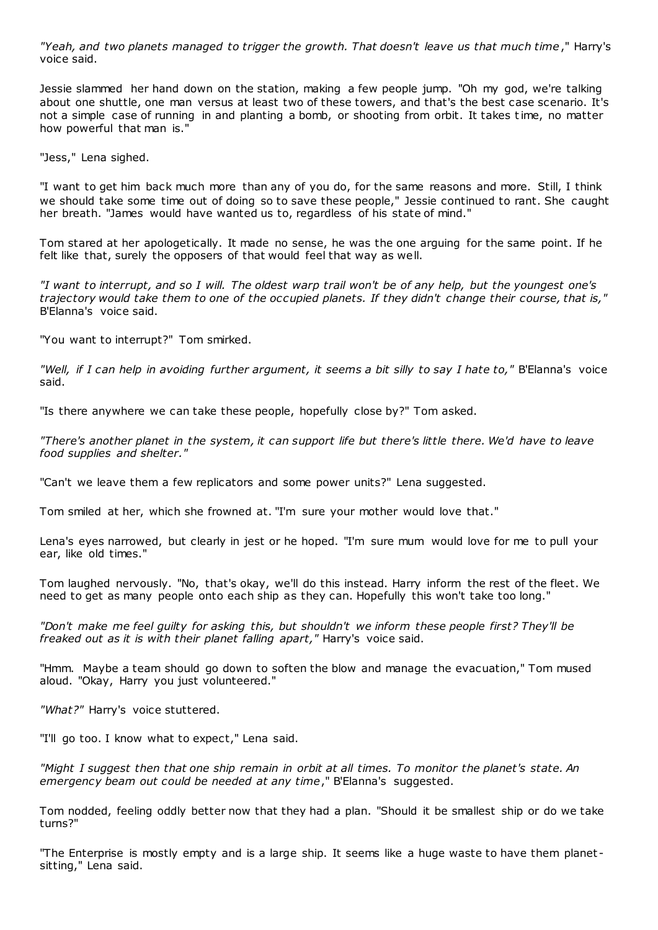*"Yeah, and two planets managed to trigger the growth. That doesn't leave us that much time*," Harry's voice said.

Jessie slammed her hand down on the station, making a few people jump. "Oh my god, we're talking about one shuttle, one man versus at least two of these towers, and that's the best case scenario. It's not a simple case of running in and planting a bomb, or shooting from orbit. It takes time, no matter how powerful that man is."

"Jess," Lena sighed.

"I want to get him back much more than any of you do, for the same reasons and more. Still, I think we should take some time out of doing so to save these people," Jessie continued to rant. She caught her breath. "James would have wanted us to, regardless of his state of mind."

Tom stared at her apologetically. It made no sense, he was the one arguing for the same point. If he felt like that, surely the opposers of that would feel that way as well.

*"I want to interrupt, and so I will. The oldest warp trail won't be of any help, but the youngest one's trajectory would take them to one of the occupied planets. If they didn't change their course, that is,"*  B'Elanna's voice said.

"You want to interrupt?" Tom smirked.

*"Well, if I can help in avoiding further argument, it seems a bit silly to say I hate to,"* B'Elanna's voice said.

"Is there anywhere we can take these people, hopefully close by?" Tom asked.

*"There's another planet in the system, it can support life but there's little there. We'd have to leave food supplies and shelter."*

"Can't we leave them a few replicators and some power units?" Lena suggested.

Tom smiled at her, which she frowned at. "I'm sure your mother would love that."

Lena's eyes narrowed, but clearly in jest or he hoped. "I'm sure mum would love for me to pull your ear, like old times."

Tom laughed nervously. "No, that's okay, we'll do this instead. Harry inform the rest of the fleet. We need to get as many people onto each ship as they can. Hopefully this won't take too long."

*"Don't make me feel guilty for asking this, but shouldn't we inform these people first? They'll be freaked out as it is with their planet falling apart,"* Harry's voice said.

"Hmm. Maybe a team should go down to soften the blow and manage the evacuation," Tom mused aloud. "Okay, Harry you just volunteered."

*"What?"* Harry's voice stuttered.

"I'll go too. I know what to expect," Lena said.

*"Might I suggest then that one ship remain in orbit at all times. To monitor the planet's state. An emergency beam out could be needed at any time*," B'Elanna's suggested.

Tom nodded, feeling oddly better now that they had a plan. "Should it be smallest ship or do we take turns?"

"The Enterprise is mostly empty and is a large ship. It seems like a huge waste to have them planet sitting," Lena said.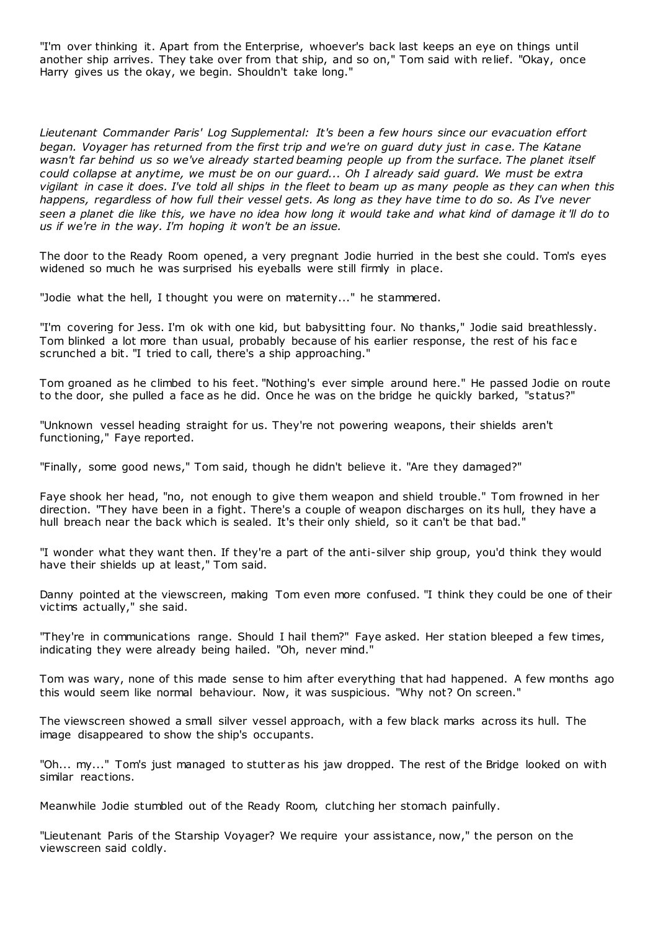"I'm over thinking it. Apart from the Enterprise, whoever's back last keeps an eye on things until another ship arrives. They take over from that ship, and so on," Tom said with relief. "Okay, once Harry gives us the okay, we begin. Shouldn't take long."

*Lieutenant Commander Paris' Log Supplemental: It's been a few hours since our evacuation effort began. Voyager has returned from the first trip and we're on guard duty just in case. The Katane wasn't far behind us so we've already started beaming people up from the surface. The planet itself could collapse at anytime, we must be on our guard... Oh I already said guard. We must be extra vigilant in case it does. I've told all ships in the fleet to beam up as many people as they can when this happens, regardless of how full their vessel gets. As long as they have time to do so. As I've never seen a planet die like this, we have no idea how long it would take and what kind of damage it'll do to us if we're in the way. I'm hoping it won't be an issue.*

The door to the Ready Room opened, a very pregnant Jodie hurried in the best she could. Tom's eyes widened so much he was surprised his eyeballs were still firmly in place.

"Jodie what the hell, I thought you were on maternity..." he stammered.

"I'm covering for Jess. I'm ok with one kid, but babysitting four. No thanks," Jodie said breathlessly. Tom blinked a lot more than usual, probably because of his earlier response, the rest of his fac e scrunched a bit. "I tried to call, there's a ship approaching."

Tom groaned as he climbed to his feet. "Nothing's ever simple around here." He passed Jodie on route to the door, she pulled a face as he did. Once he was on the bridge he quickly barked, "s tatus?"

"Unknown vessel heading straight for us. They're not powering weapons, their shields aren't functioning," Faye reported.

"Finally, some good news," Tom said, though he didn't believe it. "Are they damaged?"

Faye shook her head, "no, not enough to give them weapon and shield trouble." Tom frowned in her direction. "They have been in a fight. There's a couple of weapon discharges on its hull, they have a hull breach near the back which is sealed. It's their only shield, so it can't be that bad."

"I wonder what they want then. If they're a part of the anti-silver ship group, you'd think they would have their shields up at least," Tom said.

Danny pointed at the viewscreen, making Tom even more confused. "I think they could be one of their victims actually," she said.

"They're in communications range. Should I hail them?" Faye asked. Her station bleeped a few times, indicating they were already being hailed. "Oh, never mind."

Tom was wary, none of this made sense to him after everything that had happened. A few months ago this would seem like normal behaviour. Now, it was suspicious. "Why not? On screen."

The viewscreen showed a small silver vessel approach, with a few black marks across its hull. The image disappeared to show the ship's occupants.

"Oh... my..." Tom's just managed to stutter as his jaw dropped. The rest of the Bridge looked on with similar reactions.

Meanwhile Jodie stumbled out of the Ready Room, clutching her stomach painfully.

"Lieutenant Paris of the Starship Voyager? We require your assistance, now," the person on the viewscreen said coldly.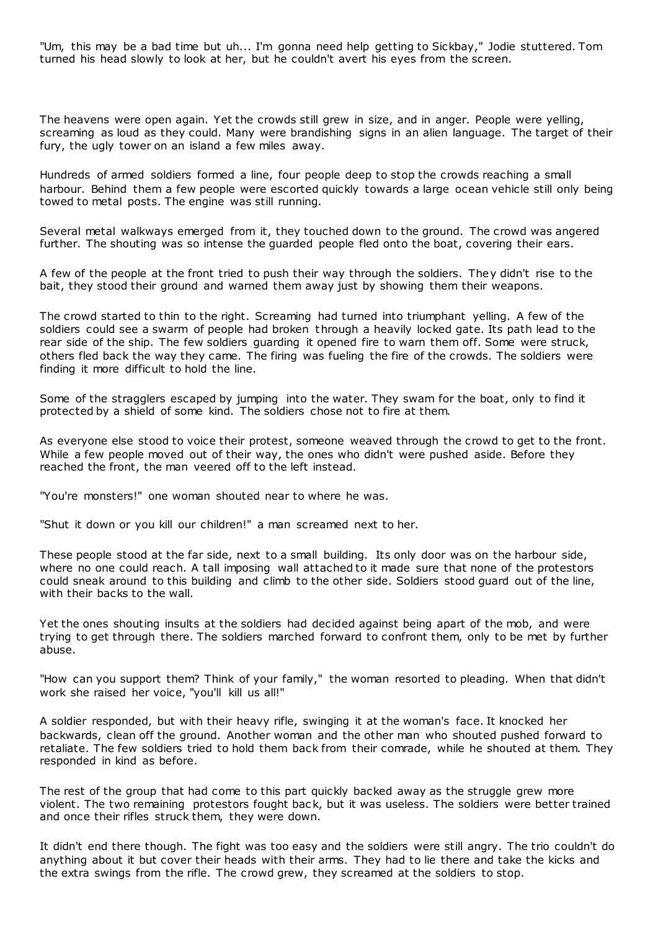"Um, this may be a bad time but uh... I'm gonna need help getting to Sickbay," Jodie stuttered. Tom turned his head slowly to look at her, but he couldn't avert his eyes from the screen.

The heavens were open again. Yet the crowds still grew in size, and in anger. People were yelling, screaming as loud as they could. Many were brandishing signs in an alien language. The target of their fury, the ugly tower on an island a few miles away.

Hundreds of armed soldiers formed a line, four people deep to stop the crowds reaching a small harbour. Behind them a few people were escorted quickly towards a large ocean vehicle still only being towed to metal posts. The engine was still running.

Several metal walkways emerged from it, they touched down to the ground. The crowd was angered further. The shouting was so intense the guarded people fled onto the boat, covering their ears.

A few of the people at the front tried to push their way through the soldiers. They didn't rise to the bait, they stood their ground and warned them away just by showing them their weapons.

The crowd started to thin to the right. Screaming had turned into triumphant yelling. A few of the soldiers could see a swarm of people had broken through a heavily locked gate. Its path lead to the rear side of the ship. The few soldiers guarding it opened fire to warn them off. Some were struck, others fled back the way they came. The firing was fueling the fire of the crowds. The soldiers were finding it more difficult to hold the line.

Some of the stragglers escaped by jumping into the water. They swam for the boat, only to find it protected by a shield of some kind. The soldiers chose not to fire at them.

As everyone else stood to voice their protest, someone weaved through the crowd to get to the front. While a few people moved out of their way, the ones who didn't were pushed aside. Before they reached the front, the man veered off to the left instead.

"You're monsters!" one woman shouted near to where he was.

"Shut it down or you kill our children!" a man screamed next to her.

These people stood at the far side, next to a small building. Its only door was on the harbour side, where no one could reach. A tall imposing wall attached to it made sure that none of the protestors could sneak around to this building and climb to the other side. Soldiers stood guard out of the line, with their backs to the wall.

Yet the ones shouting insults at the soldiers had decided against being apart of the mob, and were trying to get through there. The soldiers marched forward to confront them, only to be met by further abuse.

"How can you support them? Think of your family," the woman resorted to pleading. When that didn't work she raised her voice, "you'll kill us all!"

A soldier responded, but with their heavy rifle, swinging it at the woman's face. It knocked her backwards, clean off the ground. Another woman and the other man who shouted pushed forward to retaliate. The few soldiers tried to hold them back from their comrade, while he shouted at them. They responded in kind as before.

The rest of the group that had come to this part quickly backed away as the struggle grew more violent. The two remaining protestors fought back, but it was useless. The soldiers were better trained and once their rifles struck them, they were down.

It didn't end there though. The fight was too easy and the soldiers were still angry. The trio couldn't do anything about it but cover their heads with their arms. They had to lie there and take the kicks and the extra swings from the rifle. The crowd grew, they screamed at the soldiers to stop.